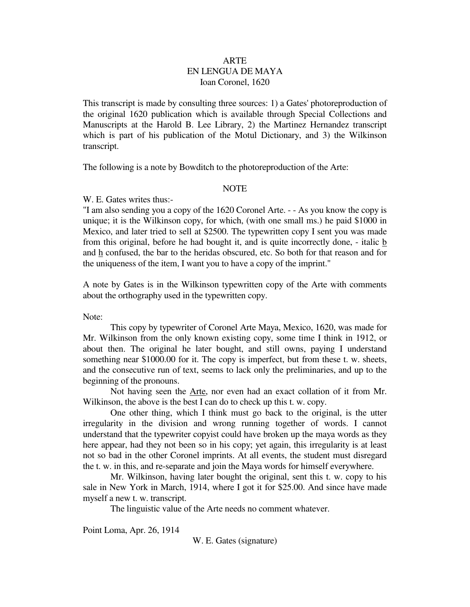### ARTE EN LENGUA DE MAYA Ioan Coronel, 1620

This transcript is made by consulting three sources: 1) a Gates' photoreproduction of the original 1620 publication which is available through Special Collections and Manuscripts at the Harold B. Lee Library, 2) the Martinez Hernandez transcript which is part of his publication of the Motul Dictionary, and 3) the Wilkinson transcript.

The following is a note by Bowditch to the photoreproduction of the Arte:

#### **NOTE**

W. E. Gates writes thus:-

"I am also sending you a copy of the 1620 Coronel Arte. - - As you know the copy is unique; it is the Wilkinson copy, for which, (with one small ms.) he paid \$1000 in Mexico, and later tried to sell at \$2500. The typewritten copy I sent you was made from this original, before he had bought it, and is quite incorrectly done, - italic b and h confused, the bar to the heridas obscured, etc. So both for that reason and for the uniqueness of the item, I want you to have a copy of the imprint."

A note by Gates is in the Wilkinson typewritten copy of the Arte with comments about the orthography used in the typewritten copy.

Note:

 This copy by typewriter of Coronel Arte Maya, Mexico, 1620, was made for Mr. Wilkinson from the only known existing copy, some time I think in 1912, or about then. The original he later bought, and still owns, paying I understand something near \$1000.00 for it. The copy is imperfect, but from these t. w. sheets, and the consecutive run of text, seems to lack only the preliminaries, and up to the beginning of the pronouns.

 Not having seen the Arte, nor even had an exact collation of it from Mr. Wilkinson, the above is the best I can do to check up this t. w. copy.

 One other thing, which I think must go back to the original, is the utter irregularity in the division and wrong running together of words. I cannot understand that the typewriter copyist could have broken up the maya words as they here appear, had they not been so in his copy; yet again, this irregularity is at least not so bad in the other Coronel imprints. At all events, the student must disregard the t. w. in this, and re-separate and join the Maya words for himself everywhere.

 Mr. Wilkinson, having later bought the original, sent this t. w. copy to his sale in New York in March, 1914, where I got it for \$25.00. And since have made myself a new t. w. transcript.

The linguistic value of the Arte needs no comment whatever.

Point Loma, Apr. 26, 1914

W. E. Gates (signature)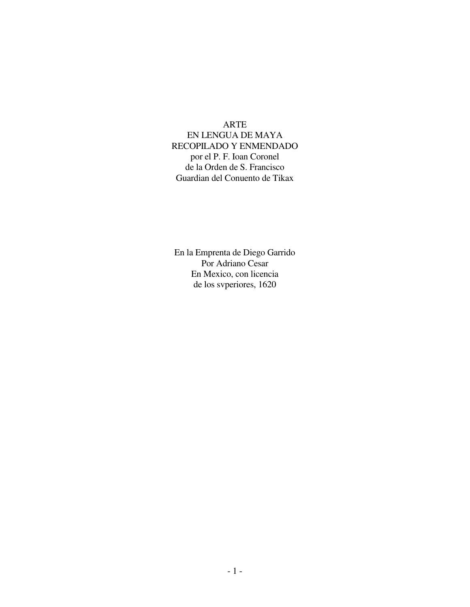#### ARTE

 EN LENGUA DE MAYA RECOPILADO Y ENMENDADO por el P. F. Ioan Coronel de la Orden de S. Francisco Guardian del Conuento de Tikax

 En la Emprenta de Diego Garrido Por Adriano Cesar En Mexico, con licencia de los svperiores, 1620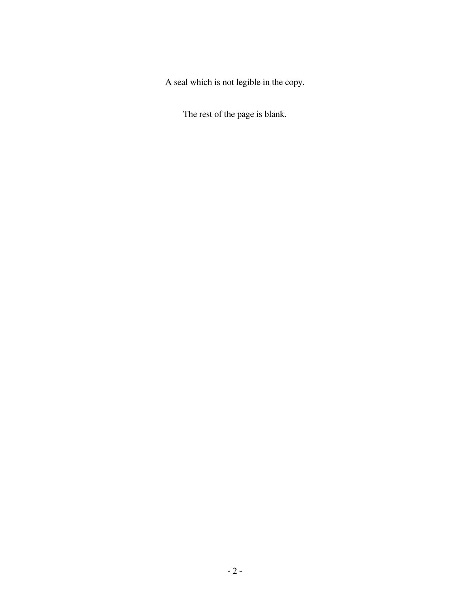A seal which is not legible in the copy.

The rest of the page is blank.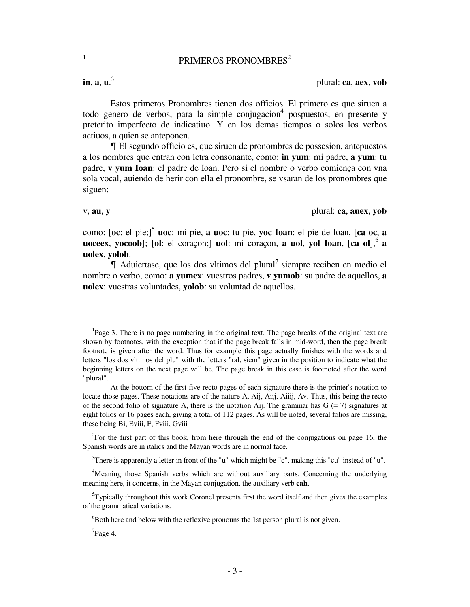# PRIMEROS PRONOMBRES<sup>2</sup>

**in**, **a**, **u**. 3

1

plural: **ca**, **aex**, **vob**

 Estos primeros Pronombres tienen dos officios. El primero es que siruen a todo genero de verbos, para la simple conjugacion<sup>4</sup> pospuestos, en presente y preterito imperfecto de indicatiuo. Y en los demas tiempos o solos los verbos actiuos, a quien se anteponen.

& El segundo officio es, que siruen de pronombres de possesion, antepuestos a los nombres que entran con letra consonante, como: **in yum**: mi padre, **a yum**: tu padre, **v yum Ioan**: el padre de Ioan. Pero si el nombre o verbo comiença con vna sola vocal, auiendo de herir con ella el pronombre, se vsaran de los pronombres que siguen:

 $\overline{\phantom{0}}$ 

**v**, **au**, **y** plural: **ca**, **auex**, **yob**

como: [**oc**: el pie;]<sup>5</sup> **uoc**: mi pie, **a uoc**: tu pie, **yoc Ioan**: el pie de Ioan, [**ca oc**, **a uoceex**, **yocoob**]; [ol: el coraçon;] **uol**: mi coraçon, **a uol**, **yol Ioan**, [ca ol],<sup>6</sup> **a uolex**, **yolob**.

 $\P$  Aduiertase, que los dos vltimos del plural<sup>7</sup> siempre reciben en medio el nombre o verbo, como: **a yumex**: vuestros padres, **v yumob**: su padre de aquellos, **a uolex**: vuestras voluntades, **yolob**: su voluntad de aquellos.

<sup>2</sup>For the first part of this book, from here through the end of the conjugations on page 16, the Spanish words are in italics and the Mayan words are in normal face.

<sup>3</sup>There is apparently a letter in front of the "u" which might be "c", making this "cu" instead of "u".

<sup>4</sup>Meaning those Spanish verbs which are without auxiliary parts. Concerning the underlying meaning here, it concerns, in the Mayan conjugation, the auxiliary verb **cah**.

 $5T$ ypically throughout this work Coronel presents first the word itself and then gives the examples of the grammatical variations.

<sup>6</sup>Both here and below with the reflexive pronouns the 1st person plural is not given.

 $7Page 4.$ 

<sup>&</sup>lt;sup>1</sup>Page 3. There is no page numbering in the original text. The page breaks of the original text are shown by footnotes, with the exception that if the page break falls in mid-word, then the page break footnote is given after the word. Thus for example this page actually finishes with the words and letters "los dos vltimos del plu" with the letters "ral, siem" given in the position to indicate what the beginning letters on the next page will be. The page break in this case is footnoted after the word "plural".

At the bottom of the first five recto pages of each signature there is the printer's notation to locate those pages. These notations are of the nature A, Aij, Aiij, Aiiij, Av. Thus, this being the recto of the second folio of signature A, there is the notation Aij. The grammar has  $G = 7$ ) signatures at eight folios or 16 pages each, giving a total of 112 pages. As will be noted, several folios are missing, these being Bi, Eviii, F, Fviii, Gviii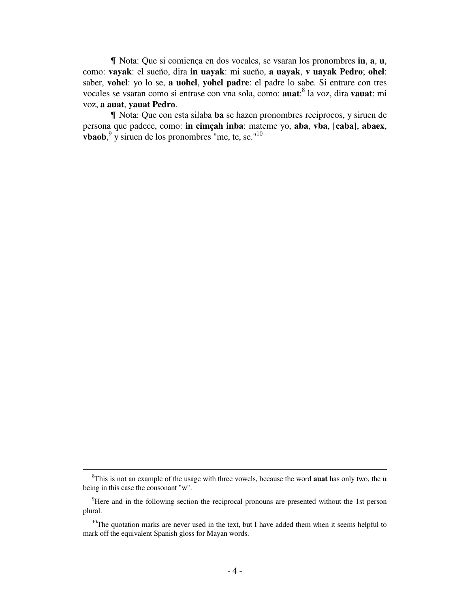& Nota: Que si comiença en dos vocales, se vsaran los pronombres **in**, **a**, **u**, como: **vayak**: el sueño, dira **in uayak**: mi sueño, **a uayak**, **v uayak Pedro**; **ohel**: saber, **vohel**: yo lo se, **a uohel**, **yohel padre**: el padre lo sabe. Si entrare con tres vocales se vsaran como si entrase con vna sola, como: **auat**: 8 la voz, dira **vauat**: mi voz, **a auat**, **yauat Pedro**.

& Nota: Que con esta silaba **ba** se hazen pronombres reciprocos, y siruen de persona que padece, como: **in cimçah inba**: mateme yo, **aba**, **vba**, [**caba**], **abaex**, **vbaob**, 9 y siruen de los pronombres "me, te, se."<sup>10</sup>

į.

<sup>8</sup>This is not an example of the usage with three vowels, because the word **auat** has only two, the **u** being in this case the consonant "w".

<sup>&</sup>lt;sup>9</sup>Here and in the following section the reciprocal pronouns are presented without the 1st person plural.

 $10$ The quotation marks are never used in the text, but I have added them when it seems helpful to mark off the equivalent Spanish gloss for Mayan words.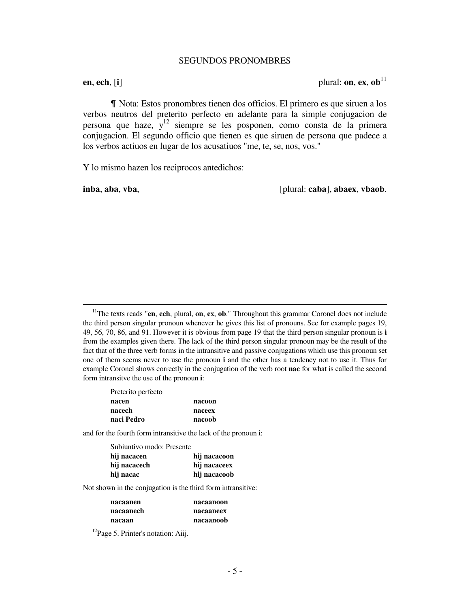#### SEGUNDOS PRONOMBRES

**en**, **ech**,  $[\mathbf{i}]$  plural: **on**, **ex**,  $\mathbf{ob}^{11}$ 

& Nota: Estos pronombres tienen dos officios. El primero es que siruen a los verbos neutros del preterito perfecto en adelante para la simple conjugacion de persona que haze, y<sup>12</sup> siempre se les posponen, como consta de la primera conjugacion. El segundo officio que tienen es que siruen de persona que padece a los verbos actiuos en lugar de los acusatiuos "me, te, se, nos, vos."

Y lo mismo hazen los reciprocos antedichos:

 $\overline{a}$ 

**inba**, **aba**, **vba**, **included included included included included included included included included included included included included included included included included included i** 

<sup>11</sup>The texts reads "**en**, **ech**, plural, **on**, **ex**, **ob**." Throughout this grammar Coronel does not include the third person singular pronoun whenever he gives this list of pronouns. See for example pages 19, 49, 56, 70, 86, and 91. However it is obvious from page 19 that the third person singular pronoun is **i** from the examples given there. The lack of the third person singular pronoun may be the result of the fact that of the three verb forms in the intransitive and passive conjugations which use this pronoun set one of them seems never to use the pronoun **i** and the other has a tendency not to use it. Thus for example Coronel shows correctly in the conjugation of the verb root **nac** for what is called the second form intransitve the use of the pronoun **i**:

| Preterito perfecto |        |
|--------------------|--------|
| nacen              | nacoon |
| nacech             | naceex |
| naci Pedro         | nacoob |

and for the fourth form intransitive the lack of the pronoun **i**:

| Subiuntivo modo: Presente |
|---------------------------|
| hij nacacoon              |
| hij nacaceex              |
| hij nacacoob              |
|                           |

Not shown in the conjugation is the third form intransitive:

| nacaanen  | nacaanoon |
|-----------|-----------|
| nacaanech | nacaaneex |
| nacaan    | nacaanoob |

<sup>12</sup>Page 5. Printer's notation: Aiij.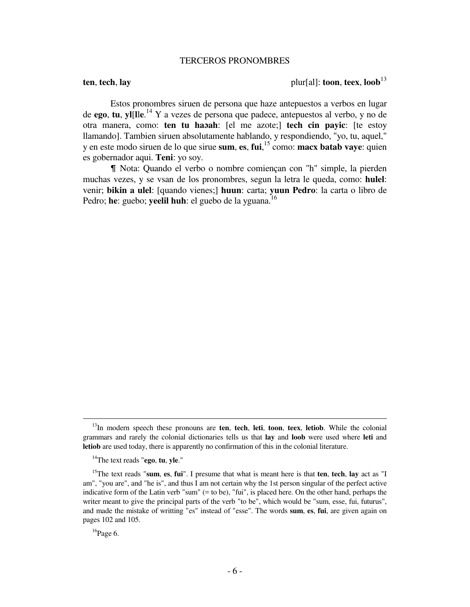#### TERCEROS PRONOMBRES

## **ten**, **tech**, **lay** plur[al]: **toon**, **teex**,  $\text{loop}^{13}$

 Estos pronombres siruen de persona que haze antepuestos a verbos en lugar de **ego**, **tu**, **yl**[**l**l**e**. <sup>14</sup> Y a vezes de persona que padece, antepuestos al verbo, y no de otra manera, como: **ten tu haɔah**: [el me azote;] **tech cin payic**: [te estoy llamando]. Tambien siruen absolutamente hablando, y respondiendo, "yo, tu, aquel," y en este modo siruen de lo que sirue **sum**, **es**, **fui**, <sup>15</sup> como: **macx batab vaye**: quien es gobernador aqui. **Teni**: yo soy.

& Nota: Quando el verbo o nombre comiençan con "h" simple, la pierden muchas vezes, y se vsan de los pronombres, segun la letra le queda, como: **hulel**: venir; **bikin a ulel**: [quando vienes;] **huun**: carta; **yuun Pedro**: la carta o libro de Pedro; he: guebo; yeelil huh: el guebo de la yguana.<sup>16</sup>

<sup>13</sup>In modern speech these pronouns are **ten**, **tech**, **leti**, **toon**, **teex**, **letiob**. While the colonial grammars and rarely the colonial dictionaries tells us that **lay** and **loob** were used where **leti** and **letiob** are used today, there is apparently no confirmation of this in the colonial literature.

<sup>14</sup>The text reads "**ego**, **tu**, **yle**."

<sup>15</sup>The text reads "**sum**, **es**, **fui**". I presume that what is meant here is that **ten**, **tech**, **lay** act as "I am", "you are", and "he is", and thus I am not certain why the 1st person singular of the perfect active indicative form of the Latin verb "sum" (= to be), "fui", is placed here. On the other hand, perhaps the writer meant to give the principal parts of the verb "to be", which would be "sum, esse, fui, futurus", and made the mistake of writting "es" instead of "esse". The words **sum**, **es**, **fui**, are given again on pages 102 and 105.

 $16$ Page 6.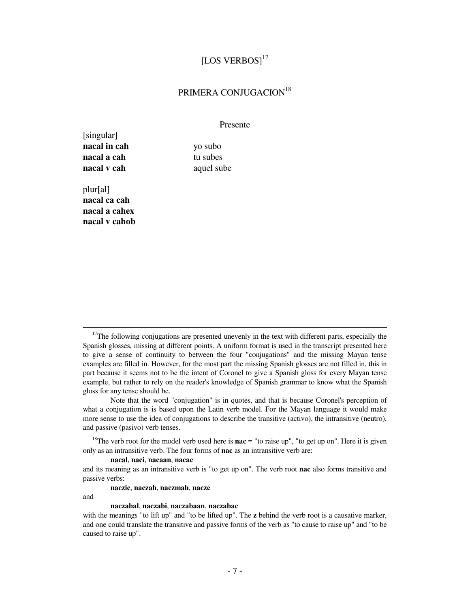# [LOS VERBOS]<sup>17</sup>

# PRIMERA CONJUGACION<sup>18</sup>

#### Presente

[singular] **nacal in cah** yo subo **nacal a cah** tu subes **nacal v cah** aquel sube

plur[al] **nacal ca cah nacal a cahex nacal v cahob**

 Note that the word "conjugation" is in quotes, and that is because Coronel's perception of what a conjugation is is based upon the Latin verb model. For the Mayan language it would make more sense to use the idea of conjugations to describe the transitive (activo), the intransitive (neutro), and passive (pasivo) verb tenses.

<sup>18</sup>The verb root for the model verb used here is **nac** = "to raise up", "to get up on". Here it is given only as an intransitive verb. The four forms of **nac** as an intransitive verb are:

#### **nacal**, **naci**, **nacaan**, **nacac**

and its meaning as an intransitive verb is "to get up on". The verb root **nac** also forms transitive and passive verbs:

 **naczic**, **naczah**, **naczmah**, **nacze**

and

 $\overline{\phantom{0}}$ 

#### **naczabal**, **naczabi**, **naczabaan**, **naczabac**

with the meanings "to lift up" and "to be lifted up". The **z** behind the verb root is a causative marker, and one could translate the transitive and passive forms of the verb as "to cause to raise up" and "to be caused to raise up".

 $17$ The following conjugations are presented unevenly in the text with different parts, especially the Spanish glosses, missing at different points. A uniform format is used in the transcript presented here to give a sense of continuity to between the four "conjugations" and the missing Mayan tense examples are filled in. However, for the most part the missing Spanish glosses are not filled in, this in part because it seems not to be the intent of Coronel to give a Spanish gloss for every Mayan tense example, but rather to rely on the reader's knowledge of Spanish grammar to know what the Spanish gloss for any tense should be.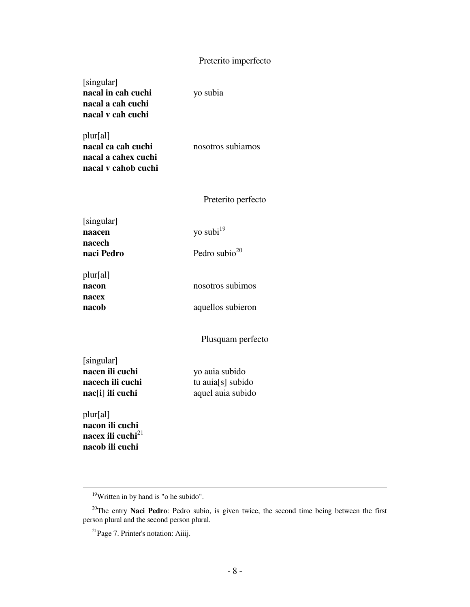# Preterito imperfecto

| [singular]         |
|--------------------|
| nacal in cah cuchi |
| nacal a cah cuchi  |
| nacal v cah cuchi  |

yo subia

plur[al] **nacal ca cah cuchi** nosotros subiamos **nacal a cahex cuchi nacal v cahob cuchi**

Preterito perfecto

| [singular] |                     |
|------------|---------------------|
| naacen     | yo subi $^{19}$     |
| nacech     |                     |
| naci Pedro | Pedro subio $^{20}$ |

plur[al] **nacon** nosotros subimos **nacex nacob** aquellos subieron

Plusquam perfecto

[singular]

**nacen ili cuchi** yo auia subido **nacech ili cuchi** tu auia[s] subido **nac**[**i**] **ili cuchi** aquel auia subido

plur[al] **nacon ili cuchi** nacex ili cuchi<sup>21</sup> **nacob ili cuchi**

<sup>&</sup>lt;sup>19</sup>Written in by hand is "o he subido".

<sup>&</sup>lt;sup>20</sup>The entry Naci Pedro: Pedro subio, is given twice, the second time being between the first person plural and the second person plural.

 $^{21}$ Page 7. Printer's notation: Aiiij.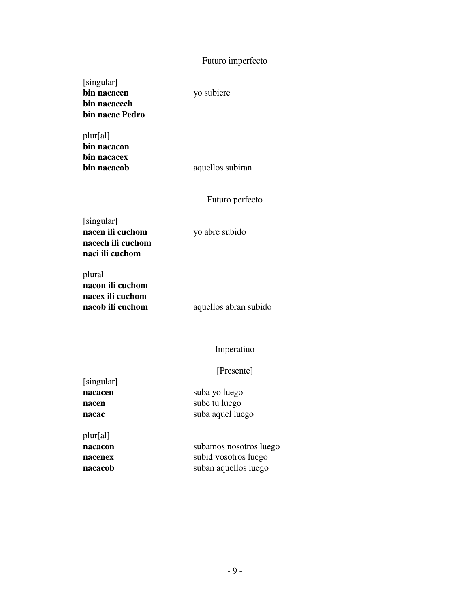# Futuro imperfecto

[singular] **bin nacacen** yo subiere **bin nacacech bin nacac Pedro**

plur[al] **bin nacacon bin nacacex**

**bin nacacob** aquellos subiran

Futuro perfecto

[singular] **nacen ili cuchom** yo abre subido **nacech ili cuchom naci ili cuchom**

plural **nacon ili cuchom nacex ili cuchom**

**nacob ili cuchom** aquellos abran subido

#### Imperatiuo

#### [Presente]

[singular] **nacacen** suba yo luego **nacen** sube tu luego **nacac** suba aquel luego

plur[al]

**nacacon** subamos nosotros luego **nacenex** subid vosotros luego **nacacob** suban aquellos luego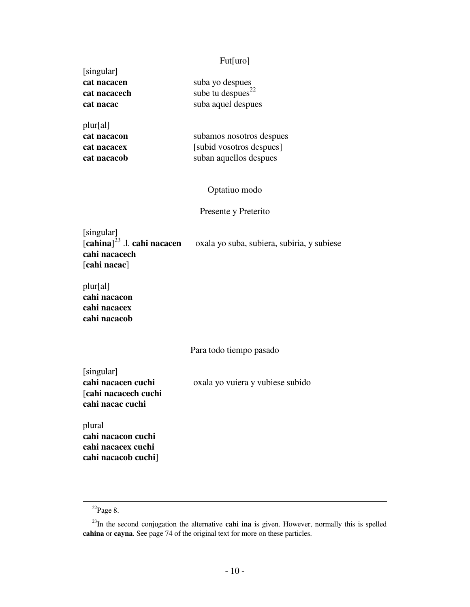#### Fut[uro]

| suba yo despues               |
|-------------------------------|
| sube tu despues <sup>22</sup> |
| suba aquel despues            |
|                               |

plur[al]

[singular]

**cat nacacon** subamos nosotros despues **cat nacacex** [subid vosotros despues] **cat nacacob** suban aquellos despues

Optatiuo modo

### Presente y Preterito

[singular]  $\left[\text{cahina}\right]^{\bar{2}3}$ .l. cahi nacacen oxala yo suba, subiera, subiria, y subiese **cahi nacacech** [**cahi nacac**]

plur[al] **cahi nacacon cahi nacacex cahi nacacob**

Para todo tiempo pasado

[singular] [**cahi nacacech cuchi cahi nacac cuchi**

**cahi nacacen cuchi** oxala yo vuiera y vubiese subido

plural **cahi nacacon cuchi cahi nacacex cuchi cahi nacacob cuchi**]

 $^{22}$ Page 8.

<sup>&</sup>lt;sup>23</sup>In the second conjugation the alternative **cahi ina** is given. However, normally this is spelled **cahina** or **cayna**. See page 74 of the original text for more on these particles.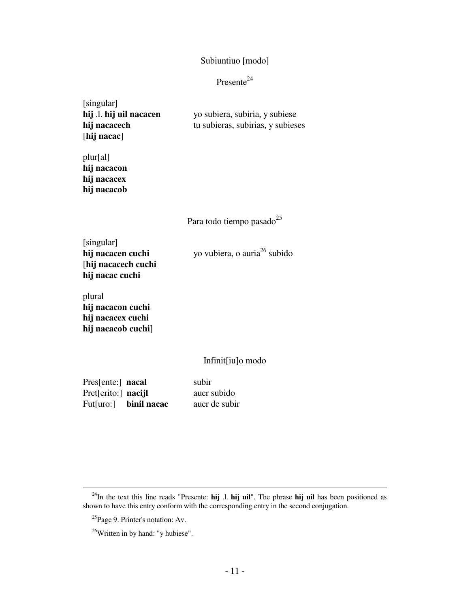### Subiuntiuo [modo]

# Presente<sup>24</sup>

| [singular]              |                                   |
|-------------------------|-----------------------------------|
| hij .l. hij uil nacacen | yo subiera, subiria, y subiese    |
| hij nacacech            | tu subieras, subirias, y subieses |
| [hij nacac]             |                                   |

plur[al] **hij nacacon hij nacacex hij nacacob**

Para todo tiempo pasado<sup>25</sup>

[singular] **hij nacacen cuchi** yo vubiera, o auria<sup>26</sup> subido [**hij nacacech cuchi hij nacac cuchi**

plural **hij nacacon cuchi hij nacacex cuchi hij nacacob cuchi**]

## Infinit[iu]o modo

| Pressente: nacal    |                       | subir         |
|---------------------|-----------------------|---------------|
| Pret[erito:] nacijl |                       | auer subido   |
|                     | Fut[uro:] binil nacac | auer de subir |

<sup>24</sup>In the text this line reads "Presente: **hij** .l. **hij uil**". The phrase **hij uil** has been positioned as shown to have this entry conform with the corresponding entry in the second conjugation.

<sup>25</sup>Page 9. Printer's notation: Av.

<sup>&</sup>lt;sup>26</sup>Written in by hand: "y hubiese".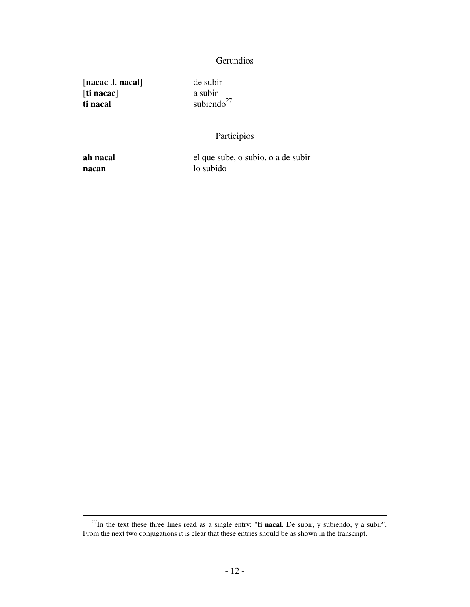# **Gerundios**

[**nacac** .l. **nacal**] de subir [ti nacac] **ti nacal** subiendo<sup>27</sup>

# Participios

 $\overline{a}$ 

**ah nacal** el que sube, o subio, o a de subir **nacan** lo subido

<sup>27</sup>In the text these three lines read as a single entry: "**ti nacal**. De subir, y subiendo, y a subir". From the next two conjugations it is clear that these entries should be as shown in the transcript.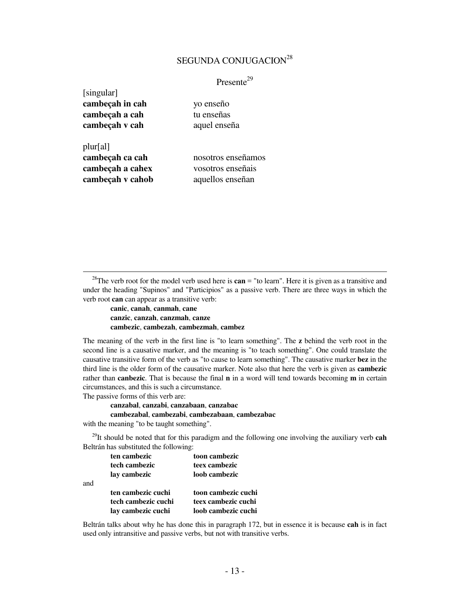# SEGUNDA CONJUGACION<sup>28</sup>

Presente<sup>29</sup>

| [singular]       |                    |
|------------------|--------------------|
| cambeçah in cah  | yo enseño          |
| cambeçah a cah   | tu enseñas         |
| cambeçah v cah   | aquel enseña       |
|                  |                    |
| plur[al]         |                    |
| cambeçah ca cah  | nosotros enseñamos |
| cambeçah a cahex | vosotros enseñais  |
| cambeçah v cahob | aquellos enseñan   |

<sup>28</sup>The verb root for the model verb used here is **can** = "to learn". Here it is given as a transitive and under the heading "Supinos" and "Participios" as a passive verb. There are three ways in which the verb root **can** can appear as a transitive verb:

 **canic**, **canah**, **canmah**, **cane canzic**, **canzah**, **canzmah**, **canze cambezic**, **cambezah**, **cambezmah**, **cambez**

The meaning of the verb in the first line is "to learn something". The **z** behind the verb root in the second line is a causative marker, and the meaning is "to teach something". One could translate the causative transitive form of the verb as "to cause to learn something". The causative marker **bez** in the third line is the older form of the causative marker. Note also that here the verb is given as **cambezic** rather than **canbezic**. That is because the final **n** in a word will tend towards becoming **m** in certain circumstances, and this is such a circumstance. The passive forms of this verb are:

 **canzabal**, **canzabi**, **canzabaan**, **canzabac cambezabal**, **cambezabi**, **cambezabaan**, **cambezabac**

with the meaning "to be taught something".

 $\overline{a}$ 

<sup>29</sup>It should be noted that for this paradigm and the following one involving the auxiliary verb **cah** Beltrán has substituted the following:

|     | ten cambezic        | toon cambezic       |
|-----|---------------------|---------------------|
|     | tech cambezic       | teex cambezic       |
|     | lay cambezic        | loob cambezic       |
| and |                     |                     |
|     | ten cambezic cuchi  | toon cambezic cuchi |
|     | tech cambezic cuchi | teex cambezic cuchi |
|     | lay cambezic cuchi  | loob cambezic cuchi |

Beltrán talks about why he has done this in paragraph 172, but in essence it is because **cah** is in fact used only intransitive and passive verbs, but not with transitive verbs.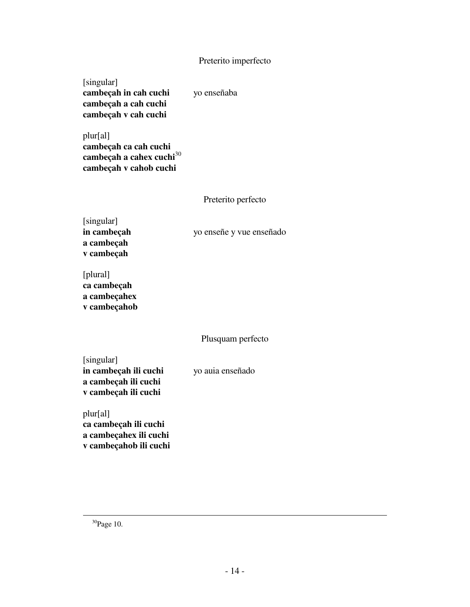### Preterito imperfecto

# [singular]

**cambeçah in cah cuchi** yo enseñaba **cambeçah a cah cuchi cambeçah v cah cuchi**

plur[al] **cambeçah ca cah cuchi cambeçah a cahex cuchi**<sup>30</sup> **cambeçah v cahob cuchi**

#### Preterito perfecto

[singular] **a cambeçah v cambeçah**

**in cambeçah** yo enseñe y vue enseñado

[plural] **ca cambeçah a cambeçahex v cambeçahob**

### Plusquam perfecto

[singular] **in cambeçah ili cuchi** yo auia enseñado **a cambeçah ili cuchi v cambeçah ili cuchi**

plur[al] **ca cambeçah ili cuchi a cambeçahex ili cuchi v cambeçahob ili cuchi**

<sup>30</sup>Page 10.

į.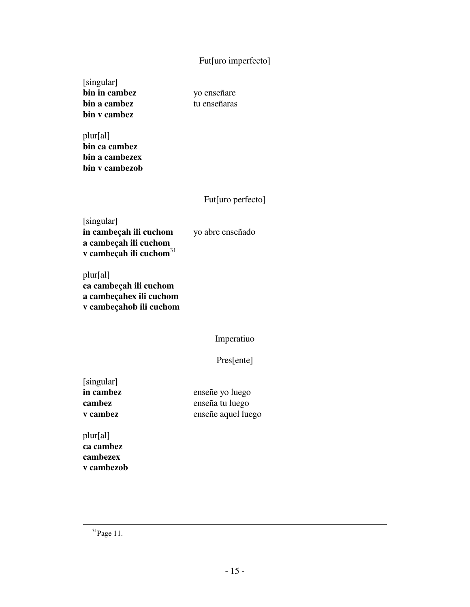# Fut[uro imperfecto]

[singular] **bin in cambez** yo enseñare **bin a cambez** tu enseñaras **bin v cambez**

plur[al] **bin ca cambez bin a cambezex bin v cambezob**

# Fut[uro perfecto]

[singular] **in cambeçah ili cuchom** yo abre enseñado **a cambeçah ili cuchom v cambeçah ili cuchom**<sup>31</sup>

plur[al] **ca cambeçah ili cuchom a cambeçahex ili cuchom v cambeçahob ili cuchom**

Imperatiuo

Pres[ente]

[singular]

**in cambez** enseñe yo luego **cambez** enseña tu luego **v cambez** enseñe aquel luego

plur[al] **ca cambez cambezex v cambezob**

 $31$ Page 11.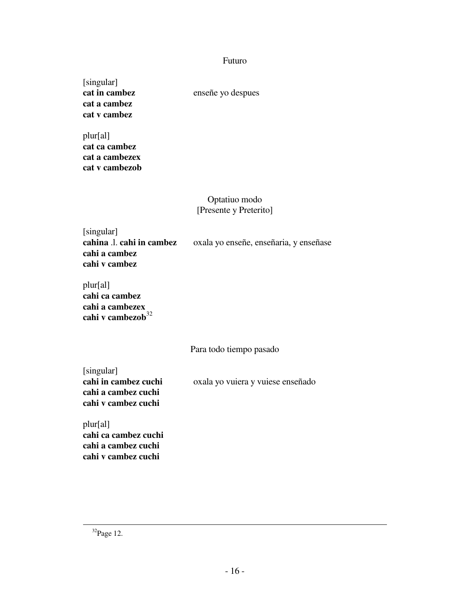### Futuro

[singular] **cat a cambez cat v cambez**

**cat in cambez** enseñe yo despues

plur[al] **cat ca cambez cat a cambezex cat v cambezob**

# Optatiuo modo [Presente y Preterito]

[singular] **cahi a cambez cahi v cambez**

**cahina** .l. **cahi in cambez** oxala yo enseñe, enseñaria, y enseñase

plur[al]

**cahi ca cambez cahi a cambezex** cahi v cambezob $^{32}$ 

Para todo tiempo pasado

[singular] **cahi a cambez cuchi cahi v cambez cuchi**

**cahi in cambez cuchi** oxala yo vuiera y vuiese enseñado

plur[al] **cahi ca cambez cuchi cahi a cambez cuchi cahi v cambez cuchi**

<sup>32</sup>Page 12.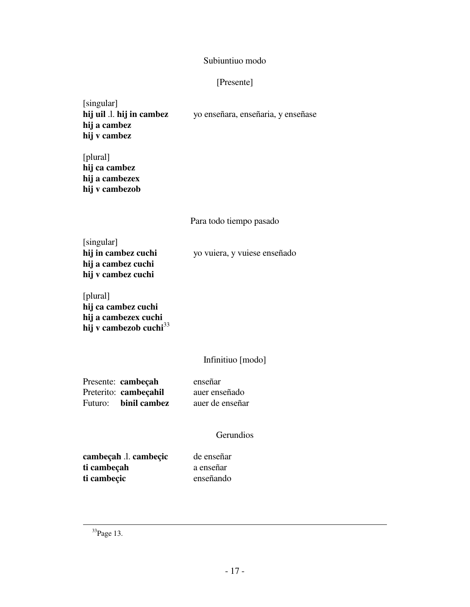### Subiuntiuo modo

# [Presente]

# [singular] **hij uil** .l. **hij in cambez** yo enseñara, enseñaria, y enseñase **hij a cambez hij v cambez**

[plural] **hij ca cambez hij a cambezex hij v cambezob**

Para todo tiempo pasado

[singular]<br>**hij in cambez cuchi** yo vuiera, y vuiese enseñado **hij a cambez cuchi hij v cambez cuchi**

| [plural]                           |
|------------------------------------|
| hij ca cambez cuchi                |
| hij a cambezex cuchi               |
| hij v cambezob cuchi <sup>33</sup> |

# Infinitiuo [modo]

Presente: **cambeçah** enseñar Preterito: **cambeçahil** auer enseñado Futuro: **binil cambez** auer de enseñar

### **Gerundios**

**cambeçah** .l. **cambeçic** de enseñar **ti cambeçah** a enseñar **ti cambeçic** enseñando

<sup>33</sup>Page 13.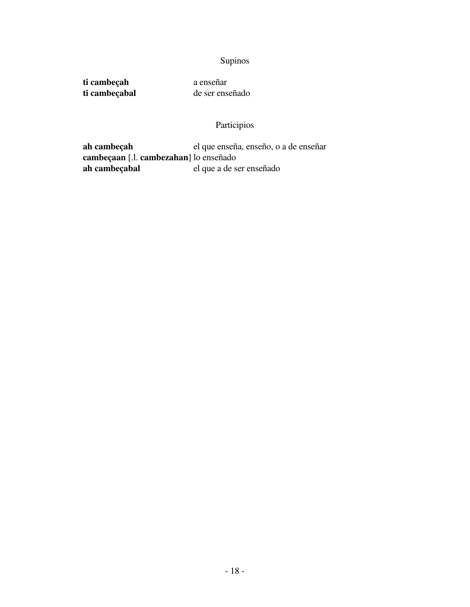# Supinos

ti cambeçabal

**ti cambeçah** a enseñar<br> **ti cambeçabal** de ser enseñado

# Participios

**ah cambeçah** el que enseña, enseño, o a de enseñar **cambeçaan** [.l. **cambezahan**] lo enseñado el que a de ser enseñado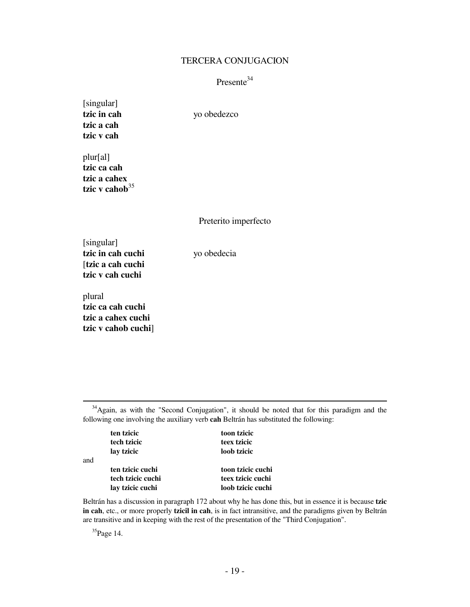#### TERCERA CONJUGACION

# Presente<sup>34</sup>

[singular] **tzic in cah** yo obedezco **tzic a cah tzic v cah**

plur[al] **tzic ca cah tzic a cahex** tzic v cahob<sup>35</sup>

Preterito imperfecto

[singular] **tzic in cah cuchi** yo obedecia [**tzic a cah cuchi tzic v cah cuchi**

plural **tzic ca cah cuchi tzic a cahex cuchi tzic v cahob cuchi**]

 $\overline{a}$ 

and

<sup>34</sup>Again, as with the "Second Conjugation", it should be noted that for this paradigm and the following one involving the auxiliary verb **cah** Beltrán has substituted the following:

**ten tzicic** toon tzicic  **tech tzicic teex tzicic lay tzicic loob tzicic ten tzicic cuchi toon tzicic cuchi tech tzicic cuchi teex tzicic cuchi lay tzicic cuchi loob tzicic cuchi** 

Beltrán has a discussion in paragraph 172 about why he has done this, but in essence it is because **tzic in cah**, etc., or more properly **tzicil in cah**, is in fact intransitive, and the paradigms given by Beltrán are transitive and in keeping with the rest of the presentation of the "Third Conjugation".

<sup>35</sup>Page 14.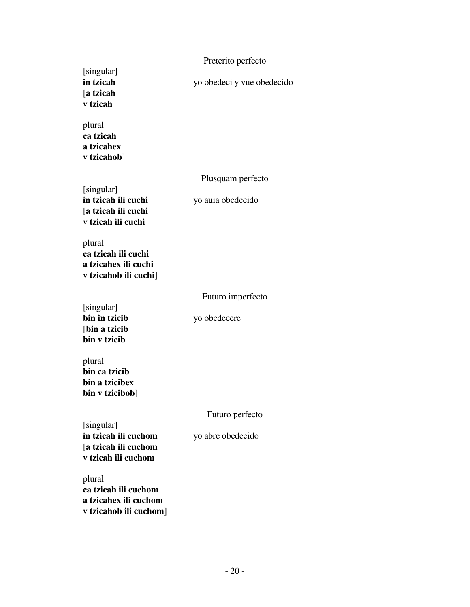|                                                                                   | Preterito perfecto         |
|-----------------------------------------------------------------------------------|----------------------------|
| [singular]<br>in tzicah<br>[a tzicah<br>v tzicah                                  | yo obedeci y vue obedecido |
| plural<br>ca tzicah<br>a tzicahex<br>v tzicahob]                                  |                            |
|                                                                                   | Plusquam perfecto          |
| [singular]<br>in tzicah ili cuchi<br>[a tzicah ili cuchi<br>v tzicah ili cuchi    | yo auia obedecido          |
| plural<br>ca tzicah ili cuchi<br>a tzicahex ili cuchi<br>v tzicahob ili cuchi]    |                            |
|                                                                                   | Futuro imperfecto          |
| [singular]<br>bin in tzicib<br>[bin a tzicib<br>bin v tzicib                      | yo obedecere               |
| plural<br>bin ca tzicib<br>bin a tzicibex<br>bin v tzicibob]                      |                            |
|                                                                                   | Futuro perfecto            |
| [singular]<br>in tzicah ili cuchom<br>[a tzicah ili cuchom<br>v tzicah ili cuchom | yo abre obedecido          |
| plural<br>ca tzicah ili cuchom<br>a tzicahex ili cuchom<br>v tzicahob ili cuchom] |                            |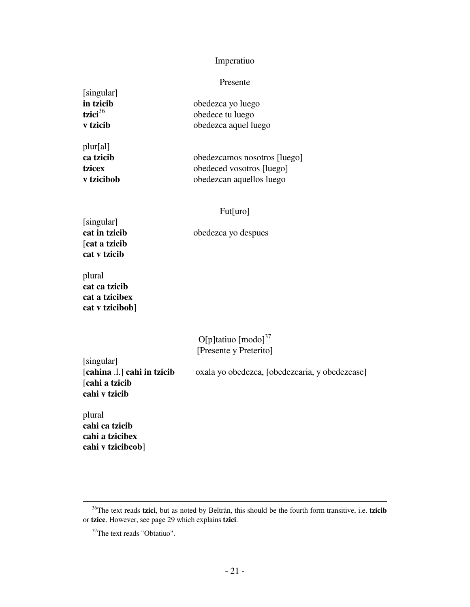# Imperatiuo

#### Presente

| [singular]      |                              |
|-----------------|------------------------------|
| in tzicib       | obedezca yo luego            |
| tzici $36$      | obedece tu luego             |
| <b>v</b> tzicib | obedezca aquel luego         |
| plur[al]        |                              |
| ca tzicib       | obedezcamos nosotros [luego] |
| tzicex          | obedeced vosotros [luego]    |
| v tzicibob      | obedezcan aquellos luego     |

### Fut[uro]

[singular] [**cat a tzicib cat v tzicib**

**cat in tzicib** obedezca yo despues

plural **cat ca tzicib cat a tzicibex cat v tzicibob**]

> O[p]tatiuo  $\left[$ modo]<sup>37</sup> [Presente y Preterito]

[singular]<br>[cahina .l.] cahi in tzicib [**cahi a tzicib cahi v tzicib**

oxala yo obedezca, [obedezcaria, y obedezcase]

plural **cahi ca tzicib cahi a tzicibex cahi v tzicibcob**]

<sup>36</sup>The text reads **tzici**, but as noted by Beltrán, this should be the fourth form transitive, i.e. **tzicib** or **tzice**. However, see page 29 which explains **tzici**.

<sup>&</sup>lt;sup>37</sup>The text reads "Obtatiuo".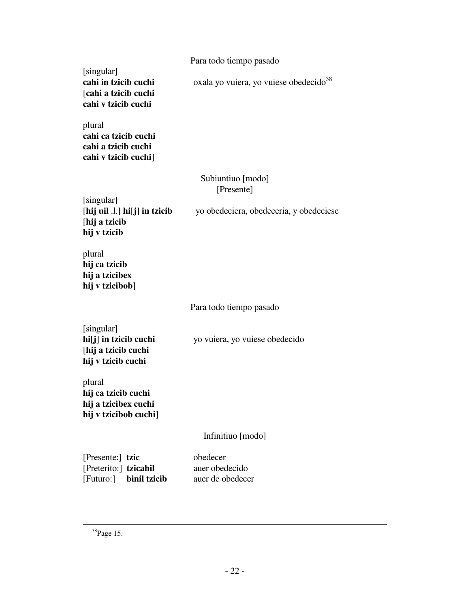[singular] [**cahi a tzicib cuchi cahi v tzicib cuchi**

**cahi ca tzicib cuchi cahi a tzicib cuchi**

plural

**cahi in tzicib cuchi** oxala yo vuiera, yo vuiese obedecido<sup>38</sup>

**cahi v tzicib cuchi**] Subiuntiuo [modo] [Presente]

[singular] [**hij a tzicib hij v tzicib**

[**hij uil** .l.] **hi**[**j**] **in tzicib** yo obedeciera, obedeceria, y obedeciese

plural **hij ca tzicib hij a tzicibex hij v tzicibob**]

## Para todo tiempo pasado

| [singular]                     |                                |
|--------------------------------|--------------------------------|
| $\text{hi}[j]$ in tzicib cuchi | yo vuiera, yo vuiese obedecido |
| [hij a tzicib cuchi            |                                |
| hij v tzicib cuchi             |                                |

plural **hij ca tzicib cuchi hij a tzicibex cuchi hij v tzicibob cuchi**]

# Infinitiuo [modo]

| [Presente:] tzic      |                        | obedecer         |
|-----------------------|------------------------|------------------|
| [Preterito:] tzicahil |                        | auer obedecido   |
|                       | [Futuro:] binil tzicib | auer de obedecer |

<sup>38</sup>Page 15.

į.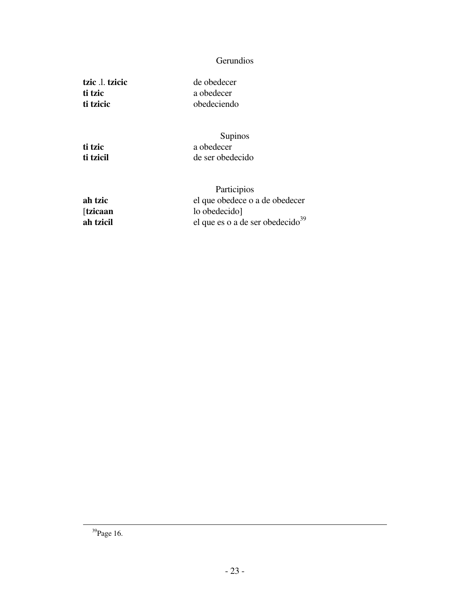# **Gerundios**

**tzic** .l. **tzicic** de obedecer **ti tzic** a obedecer **ti tzicic** obedeciendo

Supinos<br> **ti tzic** a obedecer **ti tzici** a obedecer<br> **ti tzicil** de ser obede de ser obedecido

 Participios **ah tzic** el que obedece o a de obedecer [**tzicaan** lo obedecido] **ah tzicil** el que es o a de ser obedecido<sup>39</sup>

<sup>39</sup>Page 16.

į.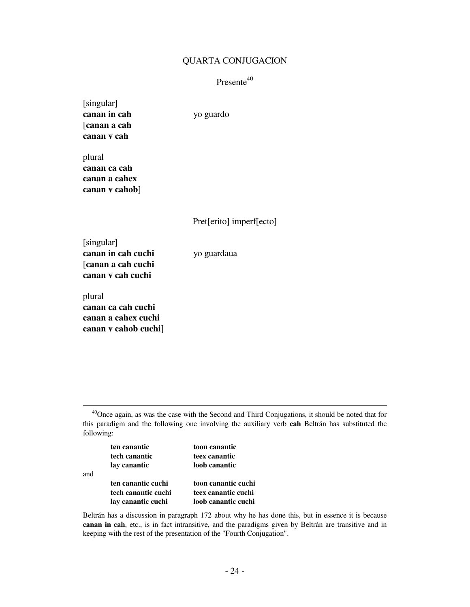#### QUARTA CONJUGACION

# $P$ resente<sup>40</sup>

| [singular]   |           |
|--------------|-----------|
| canan in cah | yo guardo |
| [canan a cah |           |
| canan v cah  |           |
|              |           |

plural **canan ca cah canan a cahex canan v cahob**]

Pret[erito] imperf[ecto]

[singular] **canan in cah cuchi** yo guardaua [**canan a cah cuchi canan v cah cuchi**

plural **canan ca cah cuchi canan a cahex cuchi canan v cahob cuchi**]

 $\overline{\phantom{0}}$ 

<sup>40</sup>Once again, as was the case with the Second and Third Conjugations, it should be noted that for this paradigm and the following one involving the auxiliary verb **cah** Beltrán has substituted the following:

|     | ten canantic        | toon canantic       |
|-----|---------------------|---------------------|
|     | tech canantic       | teex canantic       |
|     | lay canantic        | loob canantic       |
| and |                     |                     |
|     | ten canantic cuchi  | toon canantic cuchi |
|     | tech canantic cuchi | teex canantic cuchi |
|     | lay canantic cuchi  | loob canantic cuchi |

Beltrán has a discussion in paragraph 172 about why he has done this, but in essence it is because **canan in cah**, etc., is in fact intransitive, and the paradigms given by Beltrán are transitive and in keeping with the rest of the presentation of the "Fourth Conjugation".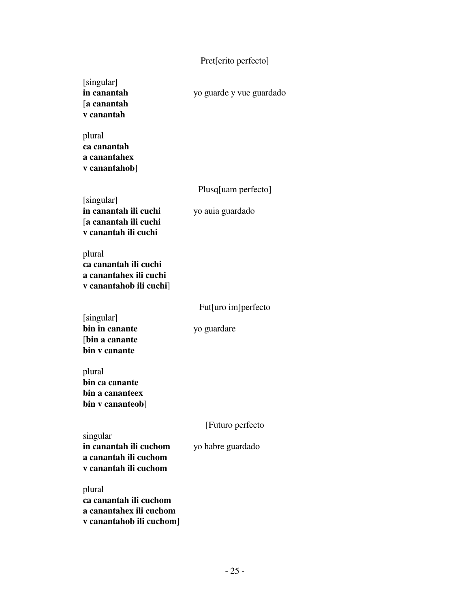# Pret[erito perfecto]

| [singular]<br>in canantah<br>[a canantah<br>v canantah                               | yo guarde y vue guardado |
|--------------------------------------------------------------------------------------|--------------------------|
| plural<br>ca canantah<br>a canantahex<br>v canantahob]                               |                          |
| [singular]                                                                           | Plusq[uam perfecto]      |
| in canantah ili cuchi<br>[a canantah ili cuchi<br>v canantah ili cuchi               | yo auia guardado         |
| plural<br>ca canantah ili cuchi<br>a canantahex ili cuchi<br>v canantahob ili cuchi] |                          |
| [singular]                                                                           | Fut[uro im]perfecto      |
| bin in canante<br>[bin a canante<br>bin v canante                                    | yo guardare              |
| plural<br>bin ca canante<br>bin a cananteex<br>bin v cananteob]                      |                          |
| singular                                                                             | [Futuro perfecto         |
| in canantah ili cuchom<br>a canantah ili cuchom<br>v canantah ili cuchom             | yo habre guardado        |
| plural<br>ca canantah ili cuchom<br>a canantahex ili cuchom                          |                          |

**ca canantah ili cuchom a canantahex ili cuchom v canantahob ili cuchom**]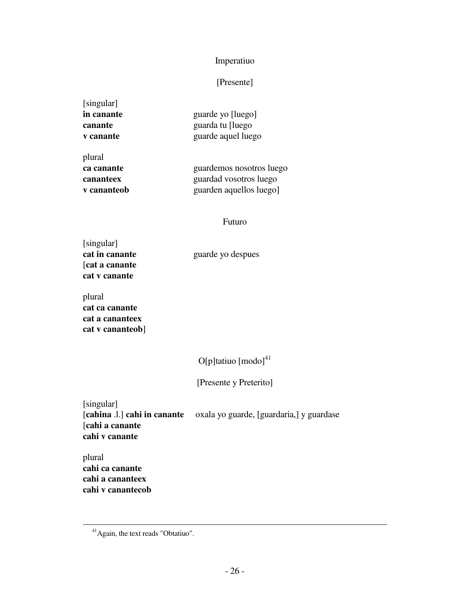# Imperatiuo

# [Presente]

| guarde yo [luego]  |
|--------------------|
| guarda tu [luego   |
| guarde aquel luego |
|                    |

plural

**ca canante** guardemos nosotros luego **cananteex** guardad vosotros luego **v cananteob** guarden aquellos luego]

#### Futuro

[singular] [**cat a canante cat v canante**

**cat in canante** guarde yo despues

plural **cat ca canante cat a cananteex cat v cananteob**]

 $O[p]$ tatiuo  $\left[$ modo $\right]$ <sup>41</sup>

[Presente y Preterito]

[singular] [**cahina** .l.] **cahi in canante** oxala yo guarde, [guardaria,] y guardase [**cahi a canante cahi v canante**

plural **cahi ca canante cahi a cananteex cahi v canantecob**

<sup>&</sup>lt;sup>41</sup> Again, the text reads "Obtatiuo".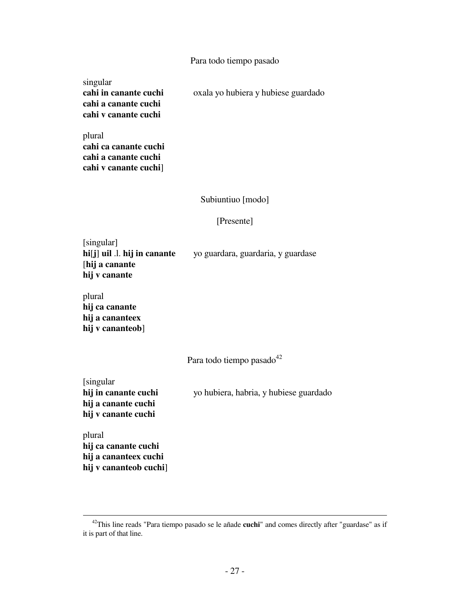#### Para todo tiempo pasado

singular **cahi a canante cuchi cahi v canante cuchi**

**cahi in canante cuchi** oxala yo hubiera y hubiese guardado

plural **cahi ca canante cuchi cahi a canante cuchi cahi v canante cuchi**]

### Subiuntiuo [modo]

#### [Presente]

[singular] **hi**[**j**] **uil** .l. **hij in canante** yo guardara, guardaria, y guardase [**hij a canante hij v canante**

plural **hij ca canante hij a cananteex hij v cananteob**]

Para todo tiempo pasado<sup>42</sup>

[singular **hij a canante cuchi hij v canante cuchi**

**hij in canante cuchi** yo hubiera, habria, y hubiese guardado

plural **hij ca canante cuchi hij a cananteex cuchi hij v cananteob cuchi**]

<sup>42</sup>This line reads "Para tiempo pasado se le añade **cuchi**" and comes directly after "guardase" as if it is part of that line.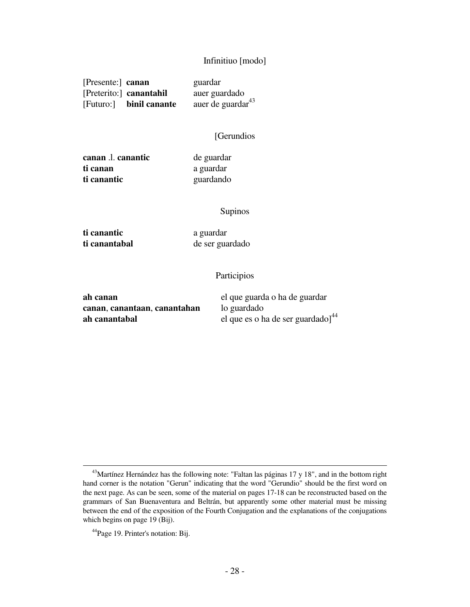#### Infinitiuo [modo]

| [Presente:] canan |                         | guardar                       |
|-------------------|-------------------------|-------------------------------|
|                   | [Preterito:] canantahil | auer guardado                 |
|                   | [Futuro:] binil canante | auer de guardar <sup>43</sup> |

#### [Gerundios

**canan** .l. **canantic** de guardar **ti canan** a guardar **ti canantic** guardando

#### Supinos

**ti canantic** a guardar

 $\overline{a}$ 

**ti canantabal** de ser guardado

#### Participios

| ah canan                     | el que guarda o ha de guardar                 |
|------------------------------|-----------------------------------------------|
| canan, canantaan, canantahan | lo guardado                                   |
| ah canantabal                | el que es o ha de ser guardado] <sup>44</sup> |

<sup>&</sup>lt;sup>43</sup>Martínez Hernández has the following note: "Faltan las páginas 17 y 18", and in the bottom right hand corner is the notation "Gerun" indicating that the word "Gerundio" should be the first word on the next page. As can be seen, some of the material on pages 17-18 can be reconstructed based on the grammars of San Buenaventura and Beltrán, but apparently some other material must be missing between the end of the exposition of the Fourth Conjugation and the explanations of the conjugations which begins on page 19 (Bij).

<sup>44</sup>Page 19. Printer's notation: Bij.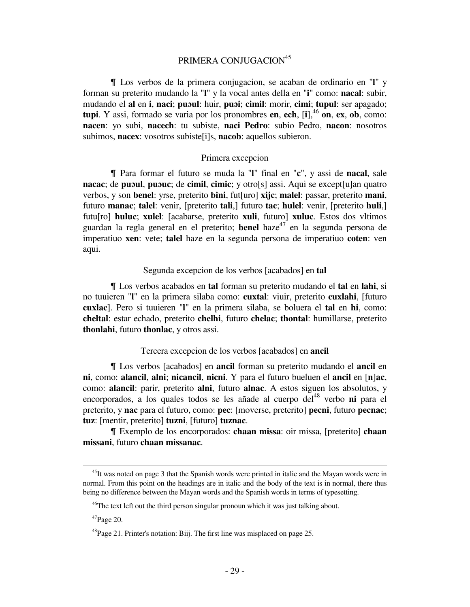# PRIMERA CONJUGACION<sup>45</sup>

& Los verbos de la primera conjugacion, se acaban de ordinario en "**l**" y forman su preterito mudando la "**l**" y la vocal antes della en "**i**" como: **nacal**: subir, mudando el **al** en **i**, **naci**; **puɔul**: huir, **puɔi**; **cimil**: morir, **cimi**; **tupul**: ser apagado; **tupi**. Y assi, formado se varia por los pronombres **en**, **ech**,  $\begin{bmatrix} i \end{bmatrix}$ ,  $\begin{bmatrix} 46 \\ 0 \end{bmatrix}$ , **ex**, **ob**, como: **nacen**: yo subi, **nacech**: tu subiste, **naci Pedro**: subio Pedro, **nacon**: nosotros subimos, **nacex**: vosotros subiste [i]s, **nacob**: aquellos subieron.

#### Primera excepcion

& Para formar el futuro se muda la "**l**" final en "**c**", y assi de **nacal**, sale **nacac**; de **puɔul**, **puɔuc**; de **cimil**, **cimic**; y otro[s] assi. Aqui se except[u]an quatro verbos, y son **benel**: yrse, preterito **bini**, fut[uro] **xijc**; **malel**: passar, preterito **mani**, futuro **manac**; **talel**: venir, [preterito **tali**,] futuro **tac**; **hulel**: venir, [preterito **huli**,] futu[ro] **huluc**; **xulel**: [acabarse, preterito **xuli**, futuro] **xuluc**. Estos dos vltimos guardan la regla general en el preterito; **benel** haze<sup>47</sup> en la segunda persona de imperatiuo **xen**: vete; **talel** haze en la segunda persona de imperatiuo **coten**: ven aqui.

#### Segunda excepcion de los verbos [acabados] en **tal**

& Los verbos acabados en **tal** forman su preterito mudando el **tal** en **lahi**, si no tuuieren "**l**" en la primera silaba como: **cuxtal**: viuir, preterito **cuxlahi**, [futuro **cuxlac**]. Pero si tuuieren "**l**" en la primera silaba, se boluera el **tal** en **hi**, como: **cheltal**: estar echado, preterito **chelhi**, futuro **chelac**; **thontal**: humillarse, preterito **thonlahi**, futuro **thonlac**, y otros assi.

#### Tercera excepcion de los verbos [acabados] en **ancil**

& Los verbos [acabados] en **ancil** forman su preterito mudando el **ancil** en **ni**, como: **alancil**, **alni**; **nicancil**, **nicni**. Y para el futuro bueluen el **ancil** en [**n**]**ac**, como: **alancil**: parir, preterito **alni**, futuro **alnac**. A estos siguen los absolutos, y encorporados, a los quales todos se les añade al cuerpo del<sup>48</sup> verbo **ni** para el preterito, y **nac** para el futuro, como: **pec**: [moverse, preterito] **pecni**, futuro **pecnac**; **tuz**: [mentir, preterito] **tuzni**, [futuro] **tuznac**.

& Exemplo de los encorporados: **chaan missa**: oir missa, [preterito] **chaan missani**, futuro **chaan missanac**.

<sup>&</sup>lt;sup>45</sup>It was noted on page 3 that the Spanish words were printed in italic and the Mayan words were in normal. From this point on the headings are in italic and the body of the text is in normal, there thus being no difference between the Mayan words and the Spanish words in terms of typesetting.

<sup>&</sup>lt;sup>46</sup>The text left out the third person singular pronoun which it was just talking about.

 $47$ Page 20.

<sup>&</sup>lt;sup>48</sup>Page 21. Printer's notation: Biij. The first line was misplaced on page 25.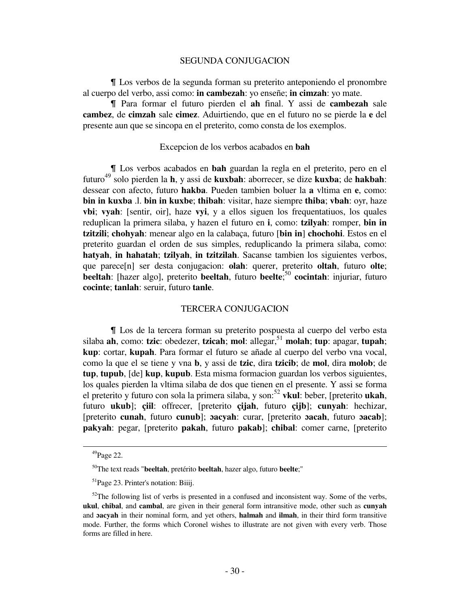#### SEGUNDA CONJUGACION

& Los verbos de la segunda forman su preterito anteponiendo el pronombre al cuerpo del verbo, assi como: **in cambezah**: yo enseñe; **in cimzah**: yo mate.

& Para formar el futuro pierden el **ah** final. Y assi de **cambezah** sale **cambez**, de **cimzah** sale **cimez**. Aduirtiendo, que en el futuro no se pierde la **e** del presente aun que se sincopa en el preterito, como consta de los exemplos.

#### Excepcion de los verbos acabados en **bah**

& Los verbos acabados en **bah** guardan la regla en el preterito, pero en el futuro<sup>49</sup> solo pierden la **h**, y assi de **kuxbah**: aborrecer, se dize **kuxba**; de **hakbah**: dessear con afecto, futuro **hakba**. Pueden tambien boluer la **a** vltima en **e**, como: **bin in kuxba** .l. **bin in kuxbe**; **thibah**: visitar, haze siempre **thiba**; **vbah**: oyr, haze **vbi**; **vyah**: [sentir, oir], haze **vyi**, y a ellos siguen los frequentatiuos, los quales reduplican la primera silaba, y hazen el futuro en **i**, como: **tzilyah**: romper, **bin in tzitzili**; **chohyah**: menear algo en la calabaça, futuro [**bin in**] **chochohi**. Estos en el preterito guardan el orden de sus simples, reduplicando la primera silaba, como: **hatyah**, **in hahatah**; **tzilyah**, **in tzitzilah**. Sacanse tambien los siguientes verbos, que parece[n] ser desta conjugacion: **olah**: querer, preterito **oltah**, futuro **olte**; **beeltah**: [hazer algo], preterito **beeltah**, futuro **beelte**; <sup>50</sup> **cocintah**: injuriar, futuro **cocinte**; **tanlah**: seruir, futuro **tanle**.

#### TERCERA CONJUGACION

& Los de la tercera forman su preterito pospuesta al cuerpo del verbo esta silaba **ah**, como: **tzic**: obedezer, **tzicah**; **mol**: allegar,<sup>51</sup> **molah**; **tup**: apagar, **tupah**; **kup**: cortar, **kupah**. Para formar el futuro se añade al cuerpo del verbo vna vocal, como la que el se tiene y vna **b**, y assi de **tzic**, dira **tzicib**; de **mol**, dira **molob**; de **tup**, **tupub**, [de] **kup**, **kupub**. Esta misma formacion guardan los verbos siguientes, los quales pierden la vltima silaba de dos que tienen en el presente. Y assi se forma el preterito y futuro con sola la primera silaba, y son:<sup>52</sup> **vkul**: beber, [preterito **ukah**, futuro **ukub**]; **çiil**: offrecer, [preterito **çijah**, futuro **çijb**]; **cunyah**: hechizar, [preterito **cunah**, futuro **cunub**]; **ɔacyah**: curar, [preterito **ɔacah**, futuro **ɔacab**]; **pakyah**: pegar, [preterito **pakah**, futuro **pakab**]; **chibal**: comer carne, [preterito

<sup>49</sup>Page 22.

<sup>50</sup>The text reads "**beeltah**, pretérito **beeltah**, hazer algo, futuro **beelte**;"

<sup>&</sup>lt;sup>51</sup>Page 23. Printer's notation: Biiij.

 $52$ The following list of verbs is presented in a confused and inconsistent way. Some of the verbs, **ukul**, **chibal**, and **cambal**, are given in their general form intransitive mode, other such as **cunyah** and **ɔacyah** in their nominal form, and yet others, **halmah** and **ilmah**, in their third form transitive mode. Further, the forms which Coronel wishes to illustrate are not given with every verb. Those forms are filled in here.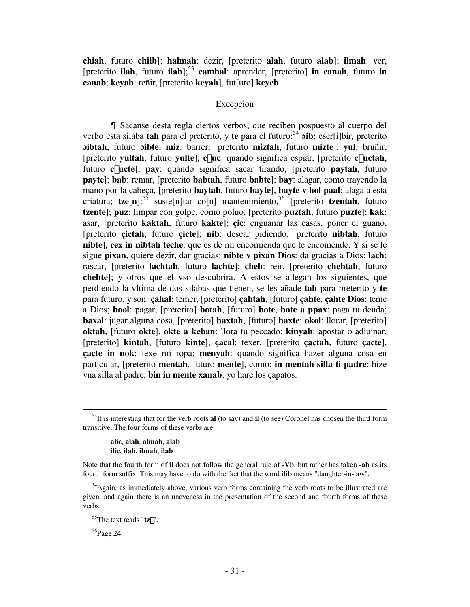**chiah**, futuro **chiib**]; **halmah**: dezir, [preterito **alah**, futuro **alab**]; **ilmah**: ver, [preterito **ilah**, futuro **ilab**];<sup>53</sup> **cambal**: aprender, [preterito] **in canah**, futuro **in canab**; **keyah**: reñir, [preterito **keyah**], fut[uro] **keyeb**.

#### Excepcion

& Sacanse desta regla ciertos verbos, que reciben pospuesto al cuerpo del verbo esta silaba **tah** para el preterito, y **te** para el futuro:<sup>54</sup> **oib**: escr[i]bir, preterito **ɔibtah**, futuro **ɔibte**; **miz**: barrer, [preterito **miztah**, futuro **mizte**]; **yul**: bruñir, [preterito **yultah**, futuro **yulte**]; **c**£**uc**: quando significa espiar, [preterito **c**£**uctah**, futuro **c**£**ucte**]; **pay**: quando significa sacar tirando, [preterito **paytah**, futuro **payte**]; **bab**: remar, [preterito **babtah**, futuro **babte**]; **bay**: alagar, como trayendo la mano por la cabeça, [preterito **baytah**, futuro **bayte**], **bayte v hol paal**: alaga a esta criatura;  $tze[n]$ :<sup>55</sup> suste[n]tar co[n] mantenimiento,<sup>56</sup> [preterito **tzentah**, futuro **tzente**]; **puz**: limpar con golpe, como poluo, [preterito **puztah**, futuro **puzte**]; **kak**: asar, [preterito **kaktah**, futuro **kakte**]; **çic**: enguanar las casas, poner el guano, [preterito **çictah**, futuro **çicte**]; **nib**: desear pidiendo, [preterito **nibtah**, futuro **nibte**], **cex in nibtah teche**: que es de mi encomienda que te encomende. Y si se le sigue **pixan**, quiere dezir, dar gracias: **nibte v pixan Dios**: da gracias a Dios; **lach**: rascar, [preterito **lachtah**, futuro **lachte**]; **cheh**: reir, [preterito **chehtah**, futuro **chehte**]; y otros que el vso descubrira. A estos se allegan los siguientes, que perdiendo la vltima de dos silabas que tienen, se les añade **tah** para preterito y **te** para futuro, y son: **çahal**: temer, [preterito] **çahtah**, [futuro] **çahte**, **çahte Dios**: teme a Dios; **bool**: pagar, [preterito] **botah**, [futuro] **bote**, **bote a ppax**: paga tu deuda; **baxal**: jugar alguna cosa, [preterito] **baxtah**, [futuro] **baxte**; **okol**: llorar, [preterito] **oktah**, [futuro **okte**], **okte a keban**: llora tu peccado; **kinyah**: apostar o adiuinar, [preterito] **kintah**, [futuro **kinte**]; **çacal**: texer, [preterito **çactah**, futuro **çacte**], **çacte in nok**: texe mi ropa; **menyah**: quando significa hazer alguna cosa en particular, [preterito **mentah**, futuro **mente**], como: **in mentah silla ti padre**: hize vna silla al padre, **bin in mente xanab**: yo hare los çapatos.

 **alic**, **alah**, **almah**, **alab ilic**, **ilah**, **ilmah**, **ilab**

<sup>56</sup>Page 24.

<sup>53</sup>It is interesting that for the verb roots **al** (to say) and **il** (to see) Coronel has chosen the third form transitive. The four forms of these verbs are:

Note that the fourth form of **il** does not follow the general rule of **-Vb**, but rather has taken **-ab** as its fourth form suffix. This may have to do with the fact that the word **ilib** means "daughter-in-law".

<sup>&</sup>lt;sup>54</sup>Again, as immediately above, various verb forms containing the verb roots to be illustrated are given, and again there is an uneveness in the presentation of the second and fourth forms of these verbs.

<sup>55</sup>The text reads "**tz**'".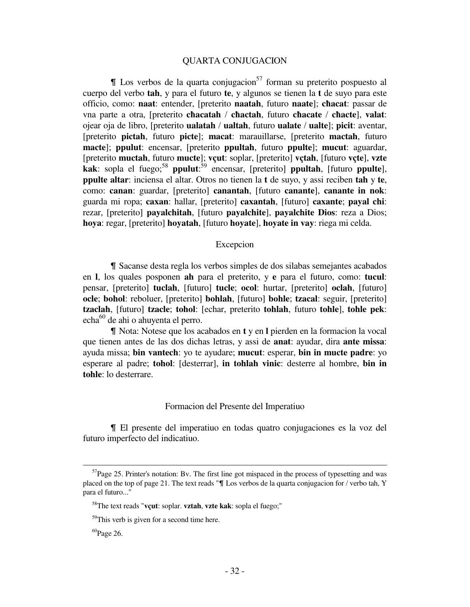#### QUARTA CONJUGACION

 $\parallel$  Los verbos de la quarta conjugacion<sup>57</sup> forman su preterito pospuesto al cuerpo del verbo **tah**, y para el futuro **te**, y algunos se tienen la **t** de suyo para este officio, como: **naat**: entender, [preterito **naatah**, futuro **naate**]; **cħacat**: passar de vna parte a otra, [preterito **cħacatah** / **cħactah**, futuro **cħacate** / **cħacte**], **valat**: ojear oja de libro, [preterito **ualatah** / **ualtah**, futuro **ualate** / **ualte**]; **picit**: aventar, [preterito **pictah**, futuro **picte**]; **macat**: marauillarse, [preterito **mactah**, futuro **macte**]; **ppulut**: encensar, [preterito **ppultah**, futuro **ppulte**]; **mucut**: aguardar, [preterito **muctah**, futuro **mucte**]; **vçut**: soplar, [preterito] **vçtah**, [futuro **vçte**], **vzte kak**: sopla el fuego;<sup>58</sup> **ppulut**:<sup>59</sup> encensar, [preterito] **ppultah**, [futuro **ppulte**], **ppulte altar**: inciensa el altar. Otros no tienen la **t** de suyo, y assi reciben **tah** y **te**, como: **canan**: guardar, [preterito] **canantah**, [futuro **canante**], **canante in nok**: guarda mi ropa; **caxan**: hallar, [preterito] **caxantah**, [futuro] **caxante**; **payal chi**: rezar, [preterito] **payalchitah**, [futuro **payalchite**], **payalchite Dios**: reza a Dios; **hoya**: regar, [preterito] **hoyatah**, [futuro **hoyate**], **hoyate in vay**: riega mi celda.

#### Excepcion

& Sacanse desta regla los verbos simples de dos silabas semejantes acabados en **l**, los quales posponen **ah** para el preterito, y **e** para el futuro, como: **tucul**: pensar, [preterito] **tuclah**, [futuro] **tucle**; **ocol**: hurtar, [preterito] **oclah**, [futuro] **ocle**; **bohol**: reboluer, [preterito] **bohlah**, [futuro] **bohle**; **tzacal**: seguir, [preterito] **tzaclah**, [futuro] **tzacle**; **tohol**: [echar, preterito **tohlah**, futuro **tohle**], **tohle pek**: echa<sup>60</sup> de ahi o ahuyenta el perro.

& Nota: Notese que los acabados en **t** y en **l** pierden en la formacion la vocal que tienen antes de las dos dichas letras, y assi de **anat**: ayudar, dira **ante missa**: ayuda missa; **bin vantech**: yo te ayudare; **mucut**: esperar, **bin in mucte padre**: yo esperare al padre; **tohol**: [desterrar], **in tohlah vinic**: desterre al hombre, **bin in tohle**: lo desterrare.

#### Formacion del Presente del Imperatiuo

& El presente del imperatiuo en todas quatro conjugaciones es la voz del futuro imperfecto del indicatiuo.

 $57$ Page 25. Printer's notation: By. The first line got mispaced in the process of typesetting and was placed on the top of page 21. The text reads " $\P$  Los verbos de la quarta conjugacion for / verbo tah, Y para el futuro..."

<sup>58</sup>The text reads "**vçut**: soplar. **vztah**, **vzte kak**: sopla el fuego;"

 $59$ This verb is given for a second time here.

 ${}^{60}$ Page 26.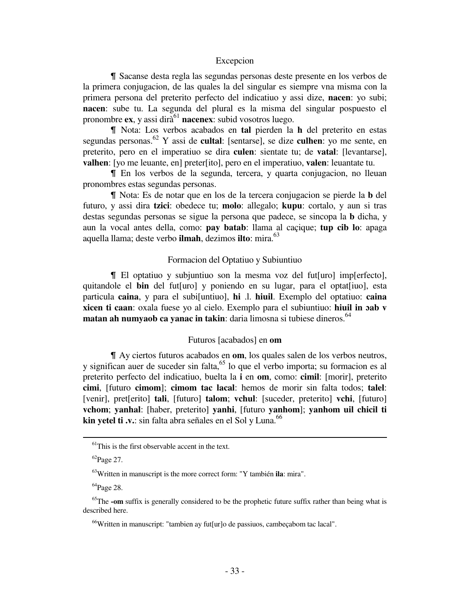#### Excepcion

& Sacanse desta regla las segundas personas deste presente en los verbos de la primera conjugacion, de las quales la del singular es siempre vna misma con la primera persona del preterito perfecto del indicatiuo y assi dize, **nacen**: yo subi; **nacen**: sube tu. La segunda del plural es la misma del singular pospuesto el pronombre  $ex$ , y assi dir $\tilde{a}^{61}$  **nacenex**: subid vosotros luego.

& Nota: Los verbos acabados en **tal** pierden la **h** del preterito en estas segundas personas.<sup>62</sup> Y assi de **cultal**: [sentarse], se dize **culhen**: yo me sente, en preterito, pero en el imperatiuo se dira **culen**: sientate tu; de **vatal**: [levantarse], **valhen**: [yo me leuante, en] preter[ito], pero en el imperatiuo, **valen**: leuantate tu.

& En los verbos de la segunda, tercera, y quarta conjugacion, no lleuan pronombres estas segundas personas.

& Nota: Es de notar que en los de la tercera conjugacion se pierde la **b** del futuro, y assi dira **tzici**: obedece tu; **molo**: allegalo; **kupu**: cortalo, y aun si tras destas segundas personas se sigue la persona que padece, se sincopa la **b** dicha, y aun la vocal antes della, como: **pay batab**: llama al caçique; **tup cib lo**: apaga aquella llama; deste verbo **ilmah**, dezimos **ilto**: mira.<sup>63</sup>

#### Formacion del Optatiuo y Subiuntiuo

& El optatiuo y subjuntiuo son la mesma voz del fut[uro] imp[erfecto], quitandole el **bin** del fut[uro] y poniendo en su lugar, para el optat[iuo], esta particula **caina**, y para el subi[untiuo], **hi** .l. **hiuil**. Exemplo del optatiuo: **caina xicen ti caan**: oxala fuese yo al cielo. Exemplo para el subiuntiuo: **hiuil in ɔab v matan ah numyaob ca yanac in takin:** daria limosna si tubiese dineros.<sup>64</sup>

#### Futuros [acabados] en **om**

& Ay ciertos futuros acabados en **om**, los quales salen de los verbos neutros, y significan auer de suceder sin falta,<sup>65</sup> lo que el verbo importa; su formacion es al preterito perfecto del indicatiuo, buelta la **i** en **om**, como: **cimil**: [morir], preterito **cimi**, [futuro **cimom**]; **cimom tac lacal**: hemos de morir sin falta todos; **talel**: [venir], pret[erito] **tali**, [futuro] **talom**; **vchul**: [suceder, preterito] **vchi**, [futuro] **vchom**; **yanhal**: [haber, preterito] **yanhi**, [futuro **yanhom**]; **yanhom uil chicil ti kin yetel ti .v.:** sin falta abra señales en el Sol y Luna.<sup>66</sup>

 $<sup>61</sup>$ This is the first observable accent in the text.</sup>

 ${}^{62}$ Page 27.

<sup>63</sup>Written in manuscript is the more correct form: "Y también **ila**: mira".

 $^{64}$ Page 28.

<sup>&</sup>lt;sup>65</sup>The **-om** suffix is generally considered to be the prophetic future suffix rather than being what is described here.

 $66$ Written in manuscript: "tambien ay futfurlo de passiuos, cambecabom tac lacal".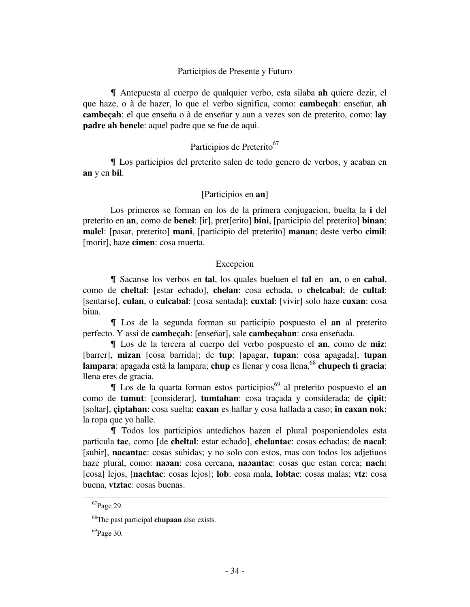#### Participios de Presente y Futuro

& Antepuesta al cuerpo de qualquier verbo, esta silaba **ah** quiere dezir, el que haze, o à de hazer, lo que el verbo significa, como: **cambeçah**: enseñar, **ah cambeçah**: el que enseña o à de enseñar y aun a vezes son de preterito, como: **lay padre ah benele**: aquel padre que se fue de aqui.

### Participios de Preterito<sup>67</sup>

& Los participios del preterito salen de todo genero de verbos, y acaban en **an** y en **bil**.

#### [Participios en **an**]

 Los primeros se forman en los de la primera conjugacion, buelta la **i** del preterito en **an**, como de **benel**: [ir], pret[erito] **bini**, [participio del preterito] **binan**; **malel**: [pasar, preterito] **mani**, [participio del preterito] **manan**; deste verbo **cimil**: [morir], haze **cimen**: cosa muerta.

#### Excepcion

& Sacanse los verbos en **tal**, los quales bueluen el **tal** en **an**, o en **cabal**, como de **cheltal**: [estar echado], **chelan**: cosa echada, o **chelcabal**; de **cultal**: [sentarse], **culan**, o **culcabal**: [cosa sentada]; **cuxtal**: [vivir] solo haze **cuxan**: cosa biua.

& Los de la segunda forman su participio pospuesto el **an** al preterito perfecto. Y assi de **cambeçah**: [enseñar], sale **cambeçahan**: cosa enseñada.

& Los de la tercera al cuerpo del verbo pospuesto el **an**, como de **miz**: [barrer], **mizan** [cosa barrida]; de **tup**: [apagar, **tupan**: cosa apagada], **tupan lampara**: apagada està la lampara; **chup** es llenar y cosa llena,<sup>68</sup> **chupech ti gracia**: llena eres de gracia.

& Los de la quarta forman estos participios<sup>69</sup> al preterito pospuesto el **an** como de **tumut**: [considerar], **tumtahan**: cosa traçada y considerada; de **çipit**: [soltar], **çiptahan**: cosa suelta; **caxan** es hallar y cosa hallada a caso; **in caxan nok**: la ropa que yo halle.

& Todos los participios antedichos hazen el plural posponiendoles esta particula **tac**, como [de **cheltal**: estar echado], **chelantac**: cosas echadas; de **nacal**: [subir], **nacantac**: cosas subidas; y no solo con estos, mas con todos los adjetiuos haze plural, como: **naɔan**: cosa cercana, **naɔantac**: cosas que estan cerca; **nach**: [cosa] lejos, [**nachtac**: cosas lejos]; **lob**: cosa mala, **lobtac**: cosas malas; **vtz**: cosa buena, **vtztac**: cosas buenas.

<sup>67</sup>Page 29.

<sup>68</sup>The past participal **chupaan** also exists.

 $^{69}$ Page 30.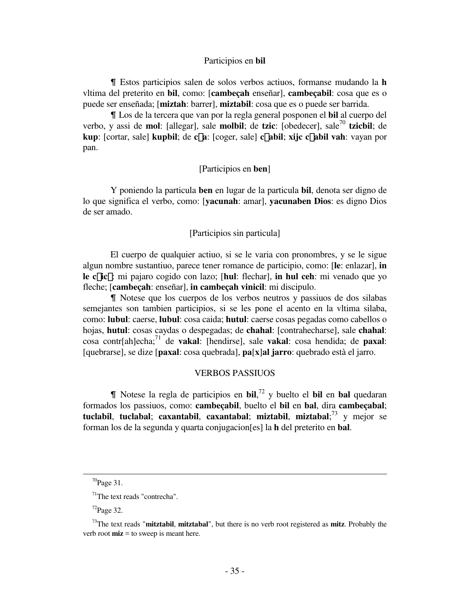## Participios en **bil**

& Estos participios salen de solos verbos actiuos, formanse mudando la **h** vltima del preterito en **bil**, como: [**cambeçah** enseñar], **cambeçabil**: cosa que es o puede ser enseñada; [**miztah**: barrer], **miztabil**: cosa que es o puede ser barrida.

& Los de la tercera que van por la regla general posponen el **bil** al cuerpo del verbo, y assi de **mol**: [allegar], sale **molbil**; de **tzic**: [obedecer], sale<sup>70</sup> **tzicbil**; de **kup**: [cortar, sale] **kupbil**; de **c**£**a**: [coger, sale] **c**£**abil**; **xijc c**£**abil vah**: vayan por pan.

# [Participios en **ben**]

 Y poniendo la particula **ben** en lugar de la particula **bil**, denota ser digno de lo que significa el verbo, como: [**yacunah**: amar], **yacunaben Dios**: es digno Dios de ser amado.

# [Participios sin particula]

 El cuerpo de qualquier actiuo, si se le varia con pronombres, y se le sigue algun nombre sustantiuo, parece tener romance de participio, como: [**le**: enlazar], **in le c**£**ic**£: mi pajaro cogido con lazo; [**hul**: flechar], **in hul ceh**: mi venado que yo fleche; [**cambeçah**: enseñar], **in cambeçah vinicil**: mi discipulo.

& Notese que los cuerpos de los verbos neutros y passiuos de dos silabas semejantes son tambien participios, si se les pone el acento en la vltima silaba, como: **lubul**: caerse, **lubul**: cosa caida; **hutul**: caerse cosas pegadas como cabellos o hojas, **hutul**: cosas caydas o despegadas; de **chahal**: [contrahecharse], sale **chahal**: cosa contr[ah]echa;<sup>71</sup> de **vakal**: [hendirse], sale **vakal**: cosa hendida; de **paxal**: [quebrarse], se dize [**paxal**: cosa quebrada], **pa**[**x**]**al jarro**: quebrado està el jarro.

## VERBOS PASSIUOS

& Notese la regla de participios en **bil**, <sup>72</sup> y buelto el **bil** en **bal** quedaran formados los passiuos, como: **cambeçabil**, buelto el **bil** en **bal**, dira **cambeçabal**; **tuclabil**, **tuclabal**; **caxantabil**, **caxantabal**; **miztabil**, **miztabal**; <sup>73</sup> y mejor se forman los de la segunda y quarta conjugacion[es] la **h** del preterito en **bal**.

 $\overline{a}$ 

 $70$ Page 31.

 $71$ The text reads "contrecha".

 $72$ Page 32.

<sup>73</sup>The text reads "**mitztabil**, **mitztabal**", but there is no verb root registered as **mitz**. Probably the verb root **miz** = to sweep is meant here.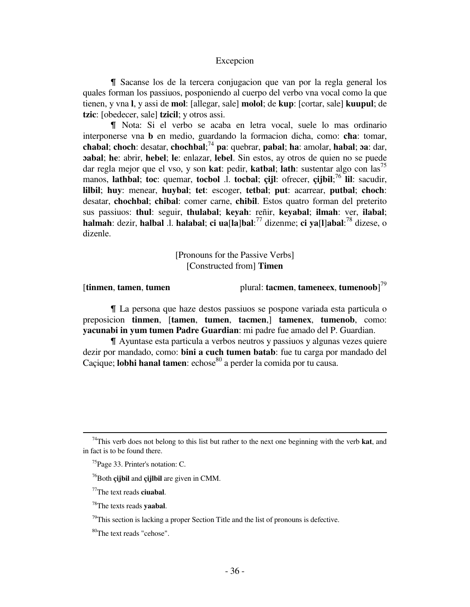# Excepcion

I Sacanse los de la tercera conjugacion que van por la regla general los quales forman los passiuos, posponiendo al cuerpo del verbo vna vocal como la que tienen, y vna **l**, y assi de **mol**: [allegar, sale] **molol**; de **kup**: [cortar, sale] **kuupul**; de **tzic**: [obedecer, sale] **tzicil**; y otros assi.

& Nota: Si el verbo se acaba en letra vocal, suele lo mas ordinario interponerse vna **b** en medio, guardando la formacion dicha, como: **cħa**: tomar, **cħabal**; **choch**: desatar, **chochbal**; <sup>74</sup> **pa**: quebrar, **pabal**; **ha**: amolar, **habal**; **ɔa**: dar, **ɔabal**; **he**: abrir, **hebel**; **le**: enlazar, **lebel**. Sin estos, ay otros de quien no se puede dar regla mejor que el vso, y son **kat**: pedir, **katbal**; **lath**: sustentar algo con las<sup>75</sup> manos, **lathbal**; **toc**: quemar, **tocbol** .l. **tocbal**; **çijl**: ofrecer, **çijbil**; <sup>76</sup> **lil**: sacudir, **lilbil**; **huy**: menear, **huybal**; **tet**: escoger, **tetbal**; **put**: acarrear, **putbal**; **choch**: desatar, **chochbal**; **chibal**: comer carne, **chibil**. Estos quatro forman del preterito sus passiuos: **thul**: seguir, **thulabal**; **keyah**: reñir, **keyabal**; **ilmah**: ver, **ilabal**; **halmah**: dezir, **halbal** .l. **halabal**; **ci ua**[**la**]**bal**: <sup>77</sup> dizenme; **ci ya**[**l**]**abal**: <sup>78</sup> dizese, o dizenle.

> [Pronouns for the Passive Verbs] [Constructed from] **Timen**

[**tinmen**, **tamen**, **tumen** plural: **tacmen**, **tameneex**, **tumenoob**] 79

& La persona que haze destos passiuos se pospone variada esta particula o preposicion **tinmen**, [**tamen**, **tumen**, **tacmen**,] **tamenex**, **tumenob**, como: **yacunabi in yum tumen Padre Guardian**: mi padre fue amado del P. Guardian.

& Ayuntase esta particula a verbos neutros y passiuos y algunas vezes quiere dezir por mandado, como: **bini a cuch tumen batab**: fue tu carga por mandado del Caçique; **lobhi hanal tamen**: echose<sup>80</sup> a perder la comida por tu causa.

<sup>74</sup>This verb does not belong to this list but rather to the next one beginning with the verb **kat**, and in fact is to be found there.

<sup>75</sup>Page 33. Printer's notation: C.

<sup>76</sup>Both **çijbil** and **çijlbil** are given in CMM.

<sup>77</sup>The text reads **ciuabal**.

<sup>78</sup>The texts reads **yaabal**.

 $79$ This section is lacking a proper Section Title and the list of pronouns is defective.

<sup>80</sup>The text reads "cehose".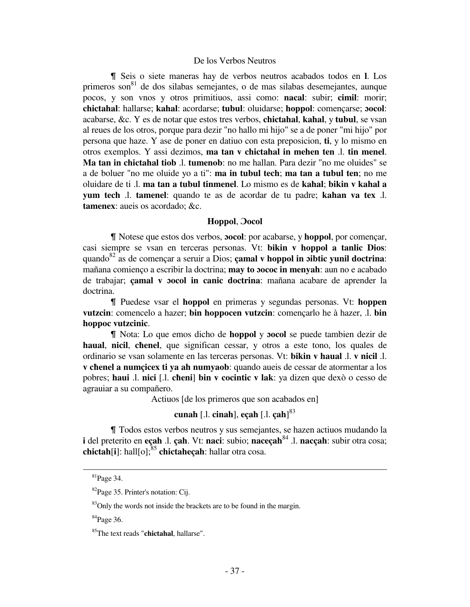# De los Verbos Neutros

& Seis o siete maneras hay de verbos neutros acabados todos en **l**. Los primeros son $^{81}$  de dos silabas semejantes, o de mas silabas desemejantes, aunque pocos, y son vnos y otros primitiuos, assi como: **nacal**: subir; **cimil**: morir; **chictahal**: hallarse; **kahal**: acordarse; **tubul**: oluidarse; **hoppol**: començarse; **ɔocol**: acabarse, &c. Y es de notar que estos tres verbos, **chictahal**, **kahal**, y **tubul**, se vsan al reues de los otros, porque para dezir "no hallo mi hijo" se a de poner "mi hijo" por persona que haze. Y ase de poner en datiuo con esta preposicion, **ti**, y lo mismo en otros exemplos. Y assi dezimos, **ma tan v chictahal in mehen ten** .l. **tin menel**. **Ma tan in chictahal tiob** .l. **tumenob**: no me hallan. Para dezir "no me oluides" se a de boluer "no me oluide yo a ti": **ma in tubul tech**; **ma tan a tubul ten**; no me oluidare de ti .l. **ma tan a tubul tinmenel**. Lo mismo es de **kahal**; **bikin v kahal a yum tech** .l. **tamenel**: quando te as de acordar de tu padre; **kahan va tex** .l. **tamenex**: aueis os acordado; &c.

# **Hoppol**, **Ɔocol**

& Notese que estos dos verbos, **ɔocol**: por acabarse, y **hoppol**, por començar, casi siempre se vsan en terceras personas. Vt: **bikin v hoppol a tanlic Dios**: quando<sup>82</sup> as de començar a seruir a Dios; **çamal v hoppol in ɔibtic yunil doctrina**: mañana comienço a escribir la doctrina; **may to ɔococ in menyah**: aun no e acabado de trabajar; **çamal v ɔocol in canic doctrina**: mañana acabare de aprender la doctrina.

& Puedese vsar el **hoppol** en primeras y segundas personas. Vt: **hoppen vutzcin**: comencelo a hazer; **bin hoppocen vutzcin**: començarlo he à hazer, .l. **bin hoppoc vutzcinic**.

& Nota: Lo que emos dicho de **hoppol** y **ɔocol** se puede tambien dezir de **haual**, **nicil**, **cħenel**, que significan cessar, y otros a este tono, los quales de ordinario se vsan solamente en las terceras personas. Vt: **bikin v haual** .l. **v nicil** .l. **v cħenel a numçicex ti ya ah numyaob**: quando aueis de cessar de atormentar a los pobres; **haui** .l. **nici** [.l. **cħeni**] **bin v cocintic v lak**: ya dizen que dexò o cesso de agrauiar a su compañero.

Actiuos [de los primeros que son acabados en]

# **cunah** [.l. **cinah**], **eçah** [.l. **çah**] 83

& Todos estos verbos neutros y sus semejantes, se hazen actiuos mudando la **i** del preterito en **eçah** .l. **çah**. Vt: **naci**: subio; **naceçah**<sup>84</sup> .l. **nacçah**: subir otra cosa; **chictah**[**i**]: hall[o];<sup>85</sup> **chictaheçah**: hallar otra cosa.

 $\overline{\phantom{0}}$ 

 $84$ Page 36.

<sup>81</sup>Page 34.

<sup>&</sup>lt;sup>82</sup>Page 35. Printer's notation: Cij.

 $83$ Only the words not inside the brackets are to be found in the margin.

<sup>85</sup>The text reads "**chictahal**, hallarse".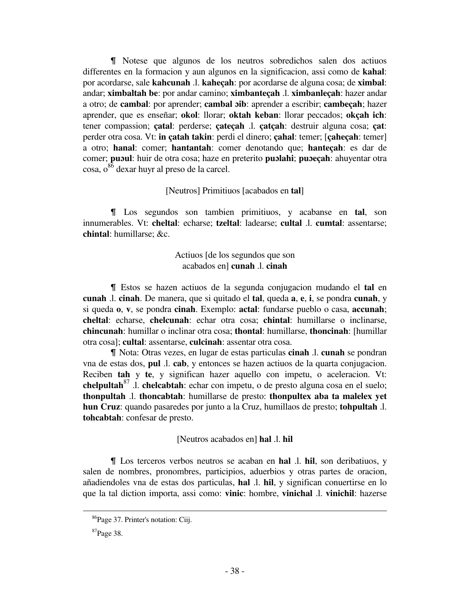I Notese que algunos de los neutros sobredichos salen dos actiuos differentes en la formacion y aun algunos en la significacion, assi como de **kahal**: por acordarse, sale **kahcunah** .l. **kaheçah**: por acordarse de alguna cosa; de **ximbal**: andar; **ximbaltah be**: por andar camino; **ximbanteçah** .l. **ximbanleçah**: hazer andar a otro; de **cambal**: por aprender; **cambal ɔib**: aprender a escribir; **cambeçah**; hazer aprender, que es enseñar; **okol**: llorar; **oktah keban**: llorar peccados; **okçah ich**: tener compassion; **çatal**: perderse; **çateçah** .l. **çatçah**: destruir alguna cosa; **çat**: perder otra cosa. Vt: **in çatah takin**: perdi el dinero; **çahal**: temer; [**çaheçah**: temer] a otro; **hanal**: comer; **hantantah**: comer denotando que; **hanteçah**: es dar de comer; **puɔul**: huir de otra cosa; haze en preterito **puɔlahi**; **puɔeçah**: ahuyentar otra  $\cos a$ ,  $o^{86}$  dexar huyr al preso de la carcel.

# [Neutros] Primitiuos [acabados en **tal**]

& Los segundos son tambien primitiuos, y acabanse en **tal**, son innumerables. Vt: **cheltal**: echarse; **tzeltal**: ladearse; **cultal** .l. **cumtal**: assentarse; **chintal**: humillarse; &c.

> Actiuos [de los segundos que son acabados en] **cunah** .l. **cinah**

& Estos se hazen actiuos de la segunda conjugacion mudando el **tal** en **cunah** .l. **cinah**. De manera, que si quitado el **tal**, queda **a**, **e**, **i**, se pondra **cunah**, y si queda **o**, **v**, se pondra **cinah**. Exemplo: **actal**: fundarse pueblo o casa, **accunah**; **cheltal**: echarse, **chelcunah**: echar otra cosa; **chintal**: humillarse o inclinarse, **chincunah**: humillar o inclinar otra cosa; **thontal**: humillarse, **thoncinah**: [humillar otra cosa]; **cultal**: assentarse, **culcinah**: assentar otra cosa.

& Nota: Otras vezes, en lugar de estas particulas **cinah** .l. **cunah** se pondran vna de estas dos, **pul** .l. **cab**, y entonces se hazen actiuos de la quarta conjugacion. Reciben **tah** y **te**, y significan hazer aquello con impetu, o aceleracion. Vt: **chelpultah**<sup>87</sup> .l. **chelcabtah**: echar con impetu, o de presto alguna cosa en el suelo; **thonpultah** .l. **thoncabtah**: humillarse de presto: **thonpultex aba ta malelex yet hun Cruz**: quando pasaredes por junto a la Cruz, humillaos de presto; **tohpultah** .l. **tohcabtah**: confesar de presto.

# [Neutros acabados en] **hal** .l. **hil**

& Los terceros verbos neutros se acaban en **hal** .l. **hil**, son deribatiuos, y salen de nombres, pronombres, participios, aduerbios y otras partes de oracion, añadiendoles vna de estas dos particulas, **hal** .l. **hil**, y significan conuertirse en lo que la tal diction importa, assi como: **vinic**: hombre, **vinichal** .l. **vinichil**: hazerse

<sup>86</sup>Page 37. Printer's notation: Ciij.

 $87$ Page 38.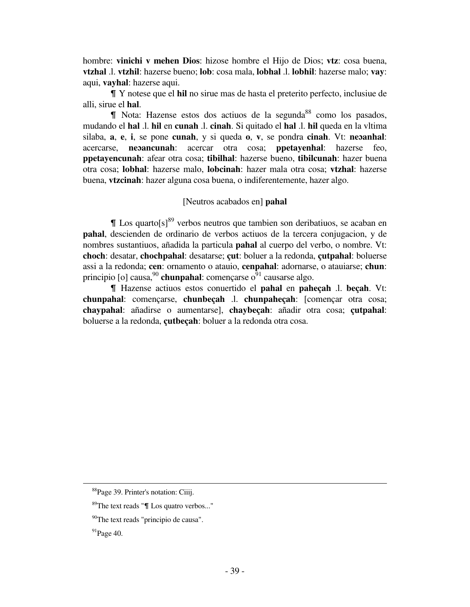hombre: **vinichi v mehen Dios**: hizose hombre el Hijo de Dios; **vtz**: cosa buena, **vtzhal** .l. **vtzhil**: hazerse bueno; **lob**: cosa mala, **lobhal** .l. **lobhil**: hazerse malo; **vay**: aqui, **vayhal**: hazerse aqui.

& Y notese que el **hil** no sirue mas de hasta el preterito perfecto, inclusiue de alli, sirue el **hal**.

 $\blacksquare$  Nota: Hazense estos dos actiuos de la segunda<sup>88</sup> como los pasados, mudando el **hal** .l. **hil** en **cunah** .l. **cinah**. Si quitado el **hal** .l. **hil** queda en la vltima silaba, **a**, **e**, **i**, se pone **cunah**, y si queda **o**, **v**, se pondra **cinah**. Vt: **neɔanhal**: acercarse, **neɔancunah**: acercar otra cosa; **ppetayenhal**: hazerse feo, **ppetayencunah**: afear otra cosa; **tibilhal**: hazerse bueno, **tibilcunah**: hazer buena otra cosa; **lobhal**: hazerse malo, **lobcinah**: hazer mala otra cosa; **vtzhal**: hazerse buena, **vtzcinah**: hazer alguna cosa buena, o indiferentemente, hazer algo.

# [Neutros acabados en] **pahal**

 $\llbracket$  Los quarto $\left[s\right]^{89}$  verbos neutros que tambien son deribatiuos, se acaban en **pahal**, descienden de ordinario de verbos actiuos de la tercera conjugacion, y de nombres sustantiuos, añadida la particula **pahal** al cuerpo del verbo, o nombre. Vt: **choch**: desatar, **chochpahal**: desatarse; **çut**: boluer a la redonda, **çutpahal**: boluerse assi a la redonda; **cen**: ornamento o atauio, **cenpahal**: adornarse, o atauiarse; **chun**: principio [o] causa,  $90$  **chunpahal**: començarse  $0<sup>91</sup>$  causarse algo.

& Hazense actiuos estos conuertido el **pahal** en **paheçah** .l. **beçah**. Vt: **chunpahal**: començarse, **chunbeçah** .l. **chunpaheçah**: [començar otra cosa; **chaypahal**: añadirse o aumentarse], **chaybeçah**: añadir otra cosa; **çutpahal**: boluerse a la redonda, **çutbeçah**: boluer a la redonda otra cosa.

<sup>88</sup>Page 39. Printer's notation: Ciiij.

 $89^{\circ}$ The text reads " $\P$  Los quatro verbos..."

<sup>&</sup>lt;sup>90</sup>The text reads "principio de causa".

 $91$ Page 40.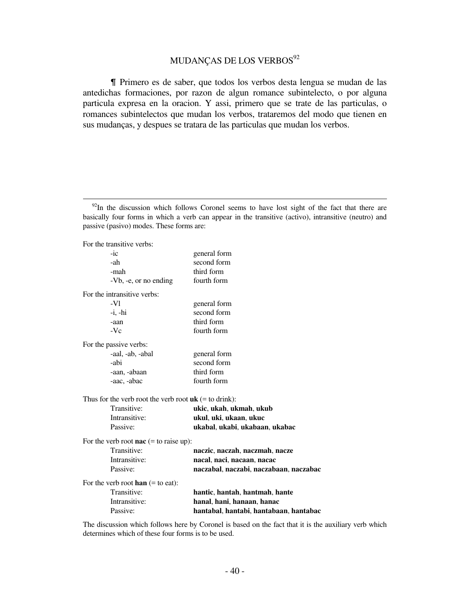# MUDANÇAS DE LOS VERBOS<sup>92</sup>

& Primero es de saber, que todos los verbos desta lengua se mudan de las antedichas formaciones, por razon de algun romance subintelecto, o por alguna particula expresa en la oracion. Y assi, primero que se trate de las particulas, o romances subintelectos que mudan los verbos, trataremos del modo que tienen en sus mudanças, y despues se tratara de las particulas que mudan los verbos.

For the transitive verbs:

į.

| $-ic$                                                   | general form                           |
|---------------------------------------------------------|----------------------------------------|
| -ah                                                     | second form                            |
| -mah                                                    | third form                             |
| -Vb, -e, or no ending                                   | fourth form                            |
| For the intransitive verbs:                             |                                        |
| $-V1$                                                   | general form                           |
| $-i, -hi$                                               | second form                            |
| -aan                                                    | third form                             |
| $-Vc$                                                   | fourth form                            |
| For the passive verbs:                                  |                                        |
| -aal, -ab, -abal                                        | general form                           |
| -abi                                                    | second form                            |
| -aan, -abaan                                            | third form                             |
| -aac, -abac                                             | fourth form                            |
| Thus for the verb root the verb root $uk$ (= to drink): |                                        |
| Transitive:                                             | ukic, ukah, ukmah, ukub                |
| Intransitive:                                           | ukul, uki, ukaan, ukuc                 |
| Passive:                                                | ukabal, ukabi, ukabaan, ukabac         |
| For the verb root <b>nac</b> $(=$ to raise up):         |                                        |
| Transitive:                                             | naczic, naczah, naczmah, nacze         |
| Intransitive:                                           | nacal, naci, nacaan, nacac             |
| Passive:                                                | naczabal, naczabi, naczabaan, naczabac |
| For the verb root han $(=$ to eat):                     |                                        |
| Transitive:                                             | hantic, hantah, hantmah, hante         |
| Intransitive:                                           | hanal, hani, hanaan, hanac             |
| Passive:                                                | hantabal, hantabi, hantabaan, hantabac |

The discussion which follows here by Coronel is based on the fact that it is the auxiliary verb which determines which of these four forms is to be used.

 $92$ In the discussion which follows Coronel seems to have lost sight of the fact that there are basically four forms in which a verb can appear in the transitive (activo), intransitive (neutro) and passive (pasivo) modes. These forms are: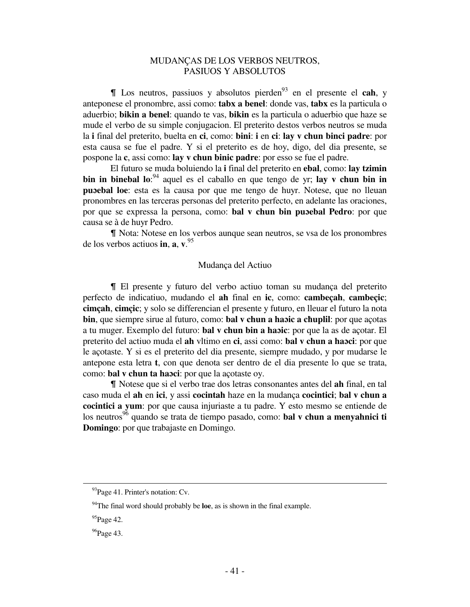# MUDANÇAS DE LOS VERBOS NEUTROS, PASIUOS Y ABSOLUTOS

& Los neutros, passiuos y absolutos pierden<sup>93</sup> en el presente el **cah**, y anteponese el pronombre, assi como: **tabx a benel**: donde vas, **tabx** es la particula o aduerbio; **bikin a benel**: quando te vas, **bikin** es la particula o aduerbio que haze se mude el verbo de su simple conjugacion. El preterito destos verbos neutros se muda la **i** final del preterito, buelta en **ci**, como: **bini**: **i** en **ci**: **lay v chun binci padre**: por esta causa se fue el padre. Y si el preterito es de hoy, digo, del dia presente, se pospone la **c**, assi como: **lay v chun binic padre**: por esso se fue el padre.

 El futuro se muda boluiendo la **i** final del preterito en **ebal**, como: **lay tzimin bin in binebal lo**: <sup>94</sup> aquel es el caballo en que tengo de yr; **lay v chun bin in puɔebal loe**: esta es la causa por que me tengo de huyr. Notese, que no lleuan pronombres en las terceras personas del preterito perfecto, en adelante las oraciones, por que se expressa la persona, como: **bal v chun bin puɔebal Pedro**: por que causa se à de huyr Pedro.

& Nota: Notese en los verbos aunque sean neutros, se vsa de los pronombres de los verbos actiuos **in**, **a**, **v**. 95

# Mudança del Actiuo

& El presente y futuro del verbo actiuo toman su mudança del preterito perfecto de indicatiuo, mudando el **ah** final en **ic**, como: **cambeçah**, **cambeçic**; **cimçah**, **cimçic**; y solo se differencian el presente y futuro, en lleuar el futuro la nota **bin**, que siempre sirue al futuro, como: **bal v chun a haɔic a cħuplil**: por que açotas a tu muger. Exemplo del futuro: **bal v chun bin a haɔic**: por que la as de açotar. El preterito del actiuo muda el **ah** vltimo en **ci**, assi como: **bal v chun a haɔci**: por que le açotaste. Y si es el preterito del dia presente, siempre mudado, y por mudarse le antepone esta letra **t**, con que denota ser dentro de el dia presente lo que se trata, como: **bal v chun ta haɔci**: por que la açotaste oy.

& Notese que si el verbo trae dos letras consonantes antes del **ah** final, en tal caso muda el **ah** en **ici**, y assi **cocintah** haze en la mudança **cocintici**; **bal v chun a cocintici a yum**: por que causa injuriaste a tu padre. Y esto mesmo se entiende de los neutros<sup>96</sup> quando se trata de tiempo pasado, como: **bal v chun a menyahnici ti Domingo**: por que trabajaste en Domingo.

<sup>&</sup>lt;sup>93</sup>Page 41. Printer's notation: Cv.

<sup>94</sup>The final word should probably be **loe**, as is shown in the final example.

 $95$ Page 42.

 $96$ Page 43.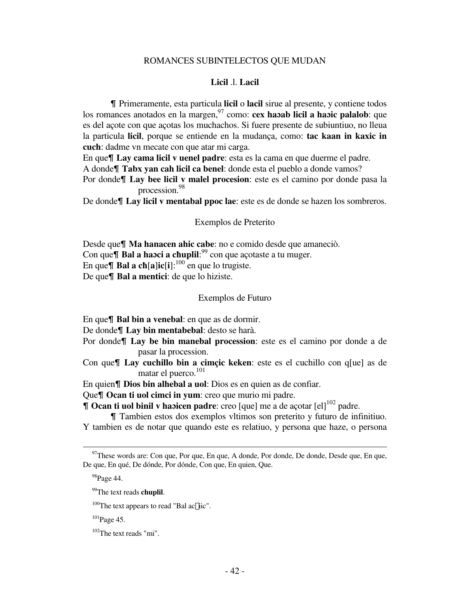# ROMANCES SUBINTELECTOS QUE MUDAN

# **Licil** .l. **Lacil**

& Primeramente, esta particula **licil** o **lacil** sirue al presente, y contiene todos los romances anotados en la margen,<sup>97</sup> como: **cex habab licil a habic palalob**: que es del açote con que açotas los muchachos. Si fuere presente de subiuntiuo, no lleua la particula **licil**, porque se entiende en la mudança, como: **tac kaan in kaxic in cuch**: dadme vn mecate con que atar mi carga.

En que<sup> $\P$ </sup> Lay cama licil v uenel padre: esta es la cama en que duerme el padre.

A donde<sup> $\text{T}$ abx yan cah licil ca benel: donde esta el pueblo a donde vamos?</sup>

Por donde**\[ Lay bee licil y malel procesion**: este es el camino por donde pasa la procession.<sup>98</sup>

De donde¶ Lay licil v mentabal ppoc lae: este es de donde se hazen los sombreros.

Exemplos de Preterito

Desde que<sup> $\blacksquare$  Ma hanacen ahic cabe: no e comido desde que amaneciò.</sup> Con que& **Bal a haɔci a cħuplil**: <sup>99</sup> con que açotaste a tu muger. En que **| Bal a ch**[a]**ic**[i]:<sup>100</sup> en que lo trugiste. De que<sup> $\P$ </sup> Bal a mentici: de que lo hiziste.

# Exemplos de Futuro

En que**\[ Bal bin a venebal**: en que as de dormir.

De donde¶ Lay bin mentabebal: desto se harà.

- Por donde<sup> $\parallel$ </sup> Lay be bin manebal procession: este es el camino por donde a de pasar la procession.
- Con que<sup> $\parallel$ </sup> Lay cuchillo bin a cimçic keken: este es el cuchillo con q<sup>[ue]</sup> as de matar el puerco.<sup>101</sup>
- En quien**\[ Dios bin alhebal a uol**: Dios es en quien as de confiar.

Que**T** Ocan ti uol cimci in yum: creo que murio mi padre.

**T** Ocan ti uol binil v habicen padre: creo [que] me a de açotar [el]<sup>102</sup> padre.

& Tambien estos dos exemplos vltimos son preterito y futuro de infinitiuo. Y tambien es de notar que quando este es relatiuo, y persona que haze, o persona

 $97$ These words are: Con que, Por que, En que, A donde, Por donde, De donde, Desde que, En que, De que, En qué, De dónde, Por dónde, Con que, En quien, Que.

 $^{98}$ Page 44.

<sup>99</sup>The text reads **chuplil**.

 $100$ The text appears to read "Bal ac $\mathcal{E}$ iic".

 $101$ Page 45.

 $102$ The text reads "mi"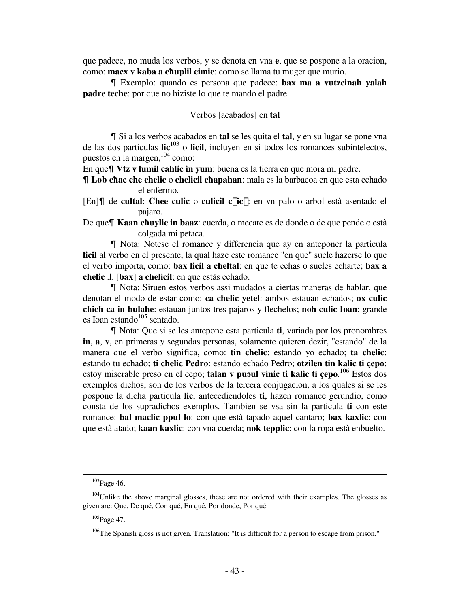que padece, no muda los verbos, y se denota en vna **e**, que se pospone a la oracion, como: **macx v kaba a cħuplil cimie**: como se llama tu muger que murio.

& Exemplo: quando es persona que padece: **bax ma a vutzcinah yalah padre teche**: por que no hiziste lo que te mando el padre.

# Verbos [acabados] en **tal**

& Si a los verbos acabados en **tal** se les quita el **tal**, y en su lugar se pone vna de las dos particulas **lic**<sup>103</sup> o **licil**, incluyen en si todos los romances subintelectos, puestos en la margen,<sup>104</sup> como:

En que¶ Vtz v lumil cahlic in yum: buena es la tierra en que mora mi padre.

& **Lob cħac che chelic** o **chelicil cħapahan**: mala es la barbacoa en que esta echado el enfermo.

- [En]| de **cultal**: Chee culic o culicil c£ic£: en vn palo o arbol està asentado el pajaro.
- De que& **Kaan cħuylic in baaz**: cuerda, o mecate es de donde o de que pende o està colgada mi petaca.

& Nota: Notese el romance y differencia que ay en anteponer la particula **licil** al verbo en el presente, la qual haze este romance "en que" suele hazerse lo que el verbo importa, como: **bax licil a cheltal**: en que te echas o sueles echarte; **bax a chelic** .l. [**bax**] **a chelicil**: en que estàs echado.

& Nota: Siruen estos verbos assi mudados a ciertas maneras de hablar, que denotan el modo de estar como: **ca chelic yetel**: ambos estauan echados; **ox culic chich ca in hulahe**: estauan juntos tres pajaros y flechelos; **noh culic Ioan**: grande es Ioan estando $105$  sentado.

& Nota: Que si se les antepone esta particula **ti**, variada por los pronombres **in**, **a**, **v**, en primeras y segundas personas, solamente quieren dezir, "estando" de la manera que el verbo significa, como: **tin chelic**: estando yo echado; **ta chelic**: estando tu echado; **ti chelic Pedro**: estando echado Pedro; **otzilen tin kalic ti çepo**: estoy miserable preso en el cepo; **talan v puɔul vinic ti kalic ti çepo**. <sup>106</sup> Estos dos exemplos dichos, son de los verbos de la tercera conjugacion, a los quales si se les pospone la dicha particula **lic**, antecediendoles **ti**, hazen romance gerundio, como consta de los supradichos exemplos. Tambien se vsa sin la particula **ti** con este romance: **bal maclic ppul lo**: con que està tapado aquel cantaro; **bax kaxlic**: con que està atado; **kaan kaxlic**: con vna cuerda; **nok tepplic**: con la ropa està enbuelto.

<sup>&</sup>lt;sup>103</sup>Page 46.

 $104$ Unlike the above marginal glosses, these are not ordered with their examples. The glosses as given are: Que, De qué, Con qué, En qué, Por donde, Por qué.

 $105$ Page 47.

 $106$ The Spanish gloss is not given. Translation: "It is difficult for a person to escape from prison."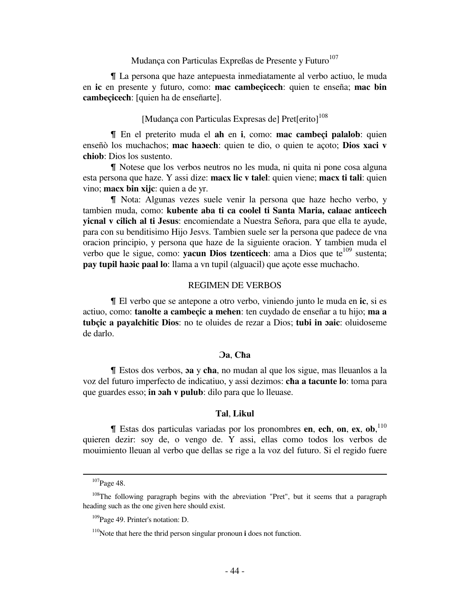# Mudança con Particulas Expreßas de Presente y Futuro<sup>107</sup>

& La persona que haze antepuesta inmediatamente al verbo actiuo, le muda en **ic** en presente y futuro, como: **mac cambeçicech**: quien te enseña; **mac bin cambeçicech**: [quien ha de enseñarte].

# [Mudança con Particulas Expresas de] Pret[erito]<sup>108</sup>

& En el preterito muda el **ah** en **i**, como: **mac cambeçi palalob**: quien enseñò los muchachos; **mac haɔech**: quien te dio, o quien te açoto; **Dios xaci v chiob**: Dios los sustento.

I Notese que los verbos neutros no les muda, ni quita ni pone cosa alguna esta persona que haze. Y assi dize: **macx lic v talel**: quien viene; **macx ti tali**: quien vino; **macx bin xijc**: quien a de yr.

& Nota: Algunas vezes suele venir la persona que haze hecho verbo, y tambien muda, como: **kubente aba ti ca coolel ti Santa Maria, calaac anticech yicnal v cilich al ti Jesus**: encomiendate a Nuestra Señora, para que ella te ayude, para con su benditisimo Hijo Jesvs. Tambien suele ser la persona que padece de vna oracion principio, y persona que haze de la siguiente oracion. Y tambien muda el verbo que le sigue, como: **yacun Dios tzenticech**: ama a Dios que te<sup>109</sup> sustenta; **pay tupil haɔic paal lo**: llama a vn tupil (alguacil) que açote esse muchacho.

#### REGIMEN DE VERBOS

& El verbo que se antepone a otro verbo, viniendo junto le muda en **ic**, si es actiuo, como: **tanolte a cambeçic a mehen**: ten cuydado de enseñar a tu hijo; **ma a tubçic a payalchitic Dios**: no te oluides de rezar a Dios; **tubi in ɔaic**: oluidoseme de darlo.

# **Ɔa**, **Cħa**

& Estos dos verbos, **ɔa** y **cħa**, no mudan al que los sigue, mas lleuanlos a la voz del futuro imperfecto de indicatiuo, y assi dezimos: **cħa a tacunte lo**: toma para que guardes esso; **in ɔah v pulub**: dilo para que lo lleuase.

## **Tal**, **Likul**

& Estas dos particulas variadas por los pronombres **en**, **ech**, **on**, **ex**, **ob**, 110 quieren dezir: soy de, o vengo de. Y assi, ellas como todos los verbos de mouimiento lleuan al verbo que dellas se rige a la voz del futuro. Si el regido fuere

 $107$ Page 48.

<sup>&</sup>lt;sup>108</sup>The following paragraph begins with the abreviation "Pret", but it seems that a paragraph heading such as the one given here should exist.

<sup>&</sup>lt;sup>109</sup>Page 49. Printer's notation: D.

<sup>110</sup>Note that here the thrid person singular pronoun **i** does not function.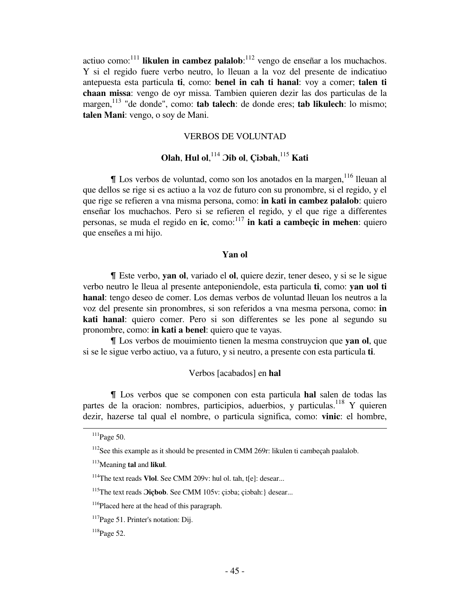actiuo como:<sup>111</sup> likulen in cambez palalob:<sup>112</sup> vengo de enseñar a los muchachos. Y si el regido fuere verbo neutro, lo lleuan a la voz del presente de indicatiuo antepuesta esta particula **ti**, como: **benel in cah ti hanal**: voy a comer; **talen ti chaan missa**: vengo de oyr missa. Tambien quieren dezir las dos particulas de la margen,<sup>113</sup> "de donde", como: **tab talech**: de donde eres; **tab likulech**: lo mismo; **talen Mani**: vengo, o soy de Mani.

# VERBOS DE VOLUNTAD

# **Olah**, **Hul ol**, <sup>114</sup> **Ɔib ol**, **Çiɔbah**, <sup>115</sup> **Kati**

I Los verbos de voluntad, como son los anotados en la margen, <sup>116</sup> lleuan al que dellos se rige si es actiuo a la voz de futuro con su pronombre, si el regido, y el que rige se refieren a vna misma persona, como: **in kati in cambez palalob**: quiero enseñar los muchachos. Pero si se refieren el regido, y el que rige a differentes personas, se muda el regido en **ic**, como:<sup>117</sup> in kati a cambeçic in mehen: quiero que enseñes a mi hijo.

## **Yan ol**

& Este verbo, **yan ol**, variado el **ol**, quiere dezir, tener deseo, y si se le sigue verbo neutro le lleua al presente anteponiendole, esta particula **ti**, como: **yan uol ti hanal**: tengo deseo de comer. Los demas verbos de voluntad lleuan los neutros a la voz del presente sin pronombres, si son referidos a vna mesma persona, como: **in kati hanal**: quiero comer. Pero si son differentes se les pone al segundo su pronombre, como: **in kati a benel**: quiero que te vayas.

& Los verbos de mouimiento tienen la mesma construycion que **yan ol**, que si se le sigue verbo actiuo, va a futuro, y si neutro, a presente con esta particula **ti**.

# Verbos [acabados] en **hal**

& Los verbos que se componen con esta particula **hal** salen de todas las partes de la oracion: nombres, participios, aduerbios, y particulas.<sup>118</sup> Y quieren dezir, hazerse tal qual el nombre, o particula significa, como: **vinic**: el hombre,

 $111$ Page 50.

 $112$ See this example as it should be presented in CMM 269r: likulen ti cambeçah paalalob.

<sup>113</sup>Meaning **tal** and **likul**.

<sup>114</sup>The text reads **Vlol**. See CMM 209v: hul ol. tah, t[e]: desear...

<sup>&</sup>lt;sup>115</sup>The text reads *O***icbob**. See CMM 105v: cipba; cipbah: desear...

<sup>&</sup>lt;sup>116</sup>Placed here at the head of this paragraph.

<sup>&</sup>lt;sup>117</sup>Page 51. Printer's notation: Dij.

 $118$ Page 52.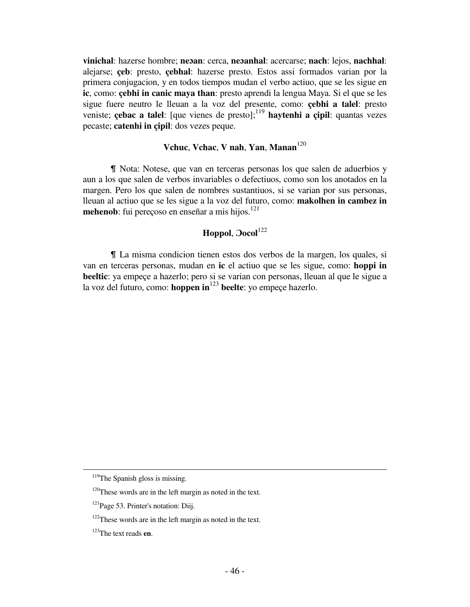**vinichal**: hazerse hombre; **neɔan**: cerca, **neɔanhal**: acercarse; **nach**: lejos, **nachhal**: alejarse; **çeb**: presto, **çebhal**: hazerse presto. Estos assi formados varian por la primera conjugacion, y en todos tiempos mudan el verbo actiuo, que se les sigue en **ic**, como: **çebhi in canic maya than**: presto aprendi la lengua Maya. Si el que se les sigue fuere neutro le lleuan a la voz del presente, como: **çebhi a talel**: presto veniste; **çebac a talel**: [que vienes de presto];<sup>119</sup> **haytenhi a çipil**: quantas vezes pecaste; **catenhi in çipil**: dos vezes peque.

# **Vchuc**, **Vchac**, **V nah**, **Yan**, **Manan**<sup>120</sup>

& Nota: Notese, que van en terceras personas los que salen de aduerbios y aun a los que salen de verbos invariables o defectiuos, como son los anotados en la margen. Pero los que salen de nombres sustantiuos, si se varian por sus personas, lleuan al actiuo que se les sigue a la voz del futuro, como: **makolhen in cambez in mehenob**: fui perecoso en enseñar a mis hijos.<sup>121</sup>

# **Hoppol**, **Ɔocol**<sup>122</sup>

& La misma condicion tienen estos dos verbos de la margen, los quales, si van en terceras personas, mudan en **ic** el actiuo que se les sigue, como: **hoppi in beeltic**: ya empeçe a hazerlo; pero si se varian con personas, lleuan al que le sigue a la voz del futuro, como: **hoppen in**<sup>123</sup> **beelte**: yo empeçe hazerlo.

<sup>&</sup>lt;sup>119</sup>The Spanish gloss is missing.

<sup>&</sup>lt;sup>120</sup>These words are in the left margin as noted in the text.

<sup>&</sup>lt;sup>121</sup>Page 53. Printer's notation: Diij.

 $122$ These words are in the left margin as noted in the text.

<sup>123</sup>The text reads **en**.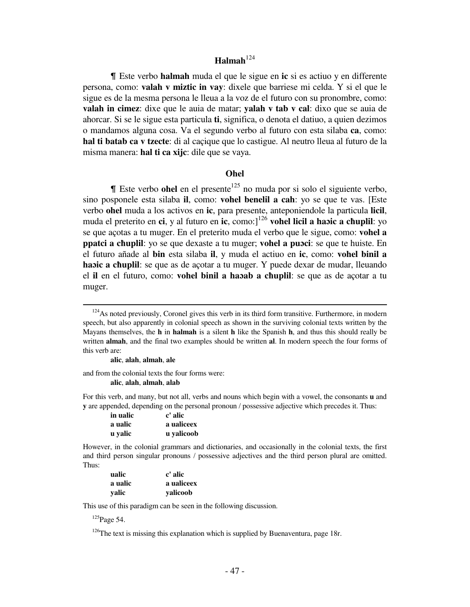# **Halmah**<sup>124</sup>

& Este verbo **halmah** muda el que le sigue en **ic** si es actiuo y en differente persona, como: **valah v miztic in vay**: dixele que barriese mi celda. Y si el que le sigue es de la mesma persona le lleua a la voz de el futuro con su pronombre, como: **valah in cimez**: dixe que le auia de matar; **yalah v tab v cal**: dixo que se auia de ahorcar. Si se le sigue esta particula **ti**, significa, o denota el datiuo, a quien dezimos o mandamos alguna cosa. Va el segundo verbo al futuro con esta silaba **ca**, como: **hal ti batab ca v tzecte**: di al caçique que lo castigue. Al neutro lleua al futuro de la misma manera: **hal ti ca xijc**: dile que se vaya.

# *Ohel*

 $\parallel$  Este verbo **ohel** en el presente<sup>125</sup> no muda por si solo el siguiente verbo, sino posponele esta silaba **il**, como: **vohel benelil a cah**: yo se que te vas. [Este verbo **ohel** muda a los activos en **ic**, para presente, anteponiendole la particula **licil**, muda el preterito en **ci**, y al futuro en **ic**, como:]<sup>126</sup> **vohel licil a haɔic a cħuplil**: yo se que açotas a tu muger. En el preterito muda el verbo que le sigue, como: **vohel a ppatci a cħuplil**: yo se que dexaste a tu muger; **vohel a puɔci**: se que te huiste. En el futuro añade al **bin** esta silaba **il**, y muda el actiuo en **ic**, como: **vohel binil a haɔic a cħuplil**: se que as de açotar a tu muger. Y puede dexar de mudar, lleuando el **il** en el futuro, como: **vohel binil a haɔab a cħuplil**: se que as de açotar a tu muger.

and from the colonial texts the four forms were:

 **alic**, **alah**, **almah**, **alab**

For this verb, and many, but not all, verbs and nouns which begin with a vowel, the consonants **u** and **y** are appended, depending on the personal pronoun / possessive adjective which precedes it. Thus:

| in ualic | c' alic    |
|----------|------------|
| a ualic  | a ualiceex |
| u valic  | u yalicoob |

However, in the colonial grammars and dictionaries, and occasionally in the colonial texts, the first and third person singular pronouns / possessive adjectives and the third person plural are omitted. Thus:

| ualic   | c' alic    |
|---------|------------|
| a ualic | a ualiceex |
| valic   | valicoob   |

This use of this paradigm can be seen in the following discussion.

<sup>125</sup>Page 54.

 $\overline{a}$ 

 $126$ The text is missing this explanation which is supplied by Buenaventura, page 18r.

 $124$ As noted previously, Coronel gives this verb in its third form transitive. Furthermore, in modern speech, but also apparently in colonial speech as shown in the surviving colonial texts written by the Mayans themselves, the **h** in **halmah** is a silent **h** like the Spanish **h**, and thus this should really be written **almah**, and the final two examples should be written **al**. In modern speech the four forms of this verb are:

**alic**, **alah**, **almah**, **ale**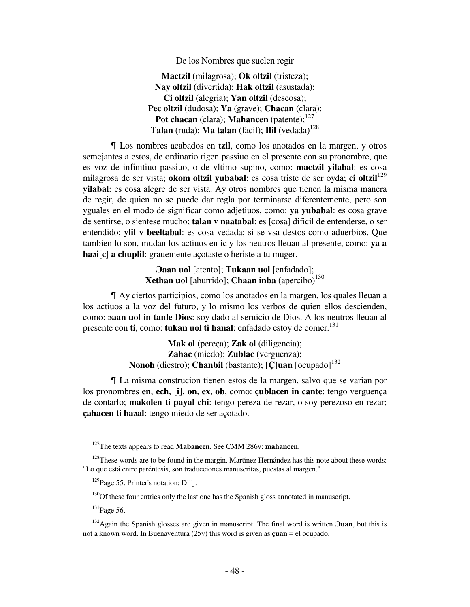De los Nombres que suelen regir

 **Mactzil** (milagrosa); **Ok oltzil** (tristeza);  **Nay oltzil** (divertida); **Hak oltzil** (asustada);  **Ci oltzil** (alegria); **Yan oltzil** (deseosa);  **Pec oltzil** (dudosa); **Ya** (grave); **Chacan** (clara); **Pot chacan** (clara); **Mahancen** (patente);<sup>127</sup> **Talan** (ruda); **Ma talan** (facil); **Ilil** (vedada)<sup>128</sup>

& Los nombres acabados en **tzil**, como los anotados en la margen, y otros semejantes a estos, de ordinario rigen passiuo en el presente con su pronombre, que es voz de infinitiuo passiuo, o de vltimo supino, como: **mactzil yilabal**: es cosa milagrosa de ser vista; **okom oltzil yubabal**: es cosa triste de ser oyda; **ci oltzil**<sup>129</sup> **yilabal**: es cosa alegre de ser vista. Ay otros nombres que tienen la misma manera de regir, de quien no se puede dar regla por terminarse diferentemente, pero son yguales en el modo de significar como adjetiuos, como: **ya yubabal**: es cosa grave de sentirse, o sientese mucho; **talan v naatabal**: es [cosa] dificil de entenderse, o ser entendido; **ylil v beeltabal**: es cosa vedada; si se vsa destos como aduerbios. Que tambien lo son, mudan los actiuos en **ic** y los neutros lleuan al presente, como: **ya a haɔi**[**c**] **a cħuplil**: grauemente açotaste o heriste a tu muger.

> **Ɔaan uol** [atento]; **Tukaan uol** [enfadado];  **Xethan uol** [aburrido]; **Cħaan inba** (apercibo)<sup>130</sup>

& Ay ciertos participios, como los anotados en la margen, los quales lleuan a los actiuos a la voz del futuro, y lo mismo los verbos de quien ellos descienden, como: **ɔaan uol in tanle Dios**: soy dado al seruicio de Dios. A los neutros lleuan al presente con **ti**, como: **tukan uol ti hanal**: enfadado estoy de comer.<sup>131</sup>

> **Mak ol** (pereça); **Zak ol** (diligencia);  **Zahac** (miedo); **Zublac** (verguenza);  **Nonoh** (diestro); **Chanbil** (bastante); [**Ç**]**uan** [ocupado]<sup>132</sup>

& La misma construcion tienen estos de la margen, salvo que se varian por los pronombres **en**, **ech**, [**i**], **on**, **ex**, **ob**, como: **çublacen in cante**: tengo verguença de contarlo; **makolen ti payal chi**: tengo pereza de rezar, o soy perezoso en rezar; **çahacen ti haɔal**: tengo miedo de ser açotado.

 $130$ Of these four entries only the last one has the Spanish gloss annotated in manuscript.

<sup>127</sup>The texts appears to read **Mabancen**. See CMM 286v: **mahancen**.

 $128$ These words are to be found in the margin. Martínez Hernández has this note about these words: "Lo que está entre paréntesis, son traducciones manuscritas, puestas al margen."

<sup>&</sup>lt;sup>129</sup>Page 55. Printer's notation: Diiij.

<sup>&</sup>lt;sup>131</sup>Page 56.

<sup>132</sup>Again the Spanish glosses are given in manuscript. The final word is written **Ɔuan**, but this is not a known word. In Buenaventura (25v) this word is given as **çuan** = el ocupado.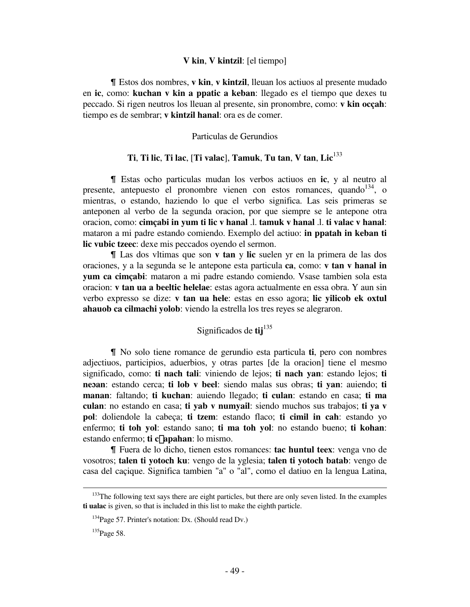### **V kin**, **V kintzil**: [el tiempo]

& Estos dos nombres, **v kin**, **v kintzil**, lleuan los actiuos al presente mudado en **ic**, como: **kuchan v kin a ppatic a keban**: llegado es el tiempo que dexes tu peccado. Si rigen neutros los lleuan al presente, sin pronombre, como: **v kin ocçah**: tiempo es de sembrar; **v kintzil hanal**: ora es de comer.

# Particulas de Gerundios

# **Ti**, **Ti lic**, **Ti lac**, [**Ti valac**], **Tamuk**, **Tu tan**, **V tan**, **Lic**<sup>133</sup>

& Estas ocho particulas mudan los verbos actiuos en **ic**, y al neutro al presente, antepuesto el pronombre vienen con estos romances, quando  $134$ , o mientras, o estando, haziendo lo que el verbo significa. Las seis primeras se anteponen al verbo de la segunda oracion, por que siempre se le antepone otra oracion, como: **cimçabi in yum ti lic v hanal** .l. **tamuk v hanal** .l. **ti valac v hanal**: mataron a mi padre estando comiendo. Exemplo del actiuo: **in ppatah in keban ti lic vubic tzeec**: dexe mis peccados oyendo el sermon.

& Las dos vltimas que son **v tan** y **lic** suelen yr en la primera de las dos oraciones, y a la segunda se le antepone esta particula **ca**, como: **v tan v hanal in yum ca cimçabi**: mataron a mi padre estando comiendo. Vsase tambien sola esta oracion: **v tan ua a beeltic helelae**: estas agora actualmente en essa obra. Y aun sin verbo expresso se dize: **v tan ua hele**: estas en esso agora; **lic yilicob ek oxtul ahauob ca cilmachi yolob**: viendo la estrella los tres reyes se alegraron.

# Significados de **tij**<sup>135</sup>

& No solo tiene romance de gerundio esta particula **ti**, pero con nombres adjectiuos, participios, aduerbios, y otras partes [de la oracion] tiene el mesmo significado, como: **ti nach tali**: viniendo de lejos; **ti nach yan**: estando lejos; **ti neɔan**: estando cerca; **ti lob v beel**: siendo malas sus obras; **ti yan**: auiendo; **ti manan**: faltando; **ti kuchan**: auiendo llegado; **ti culan**: estando en casa; **ti ma culan**: no estando en casa; **ti yab v numyail**: siendo muchos sus trabajos; **ti ya v pol**: doliendole la cabeça; **ti tzem**: estando flaco; **ti cimil in cah**: estando yo enfermo; **ti toh yol**: estando sano; **ti ma toh yol**: no estando bueno; **ti kohan**: estando enfermo; **ti c**£**apahan**: lo mismo.

& Fuera de lo dicho, tienen estos romances: **tac huntul teex**: venga vno de vosotros; **talen ti yotoch ku**: vengo de la yglesia; **talen ti yotoch batab**: vengo de casa del caçique. Significa tambien "a" o "al", como el datiuo en la lengua Latina,

<sup>&</sup>lt;sup>133</sup>The following text says there are eight particles, but there are only seven listed. In the examples **ti ualac** is given, so that is included in this list to make the eighth particle.

<sup>&</sup>lt;sup>134</sup>Page 57. Printer's notation: Dx. (Should read Dv.)

 $135$ Page 58.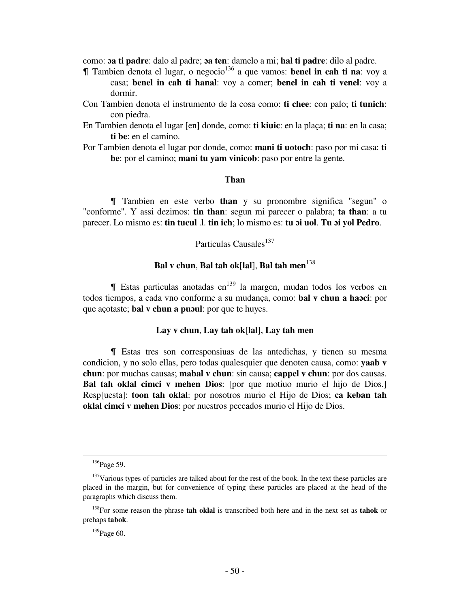como: **ɔa ti padre**: dalo al padre; **ɔa ten**: damelo a mi; **hal ti padre**: dilo al padre.

- & Tambien denota el lugar, o negocio<sup>136</sup> a que vamos: **benel in cah ti na**: voy a casa; **benel in cah ti hanal**: voy a comer; **benel in cah ti venel**: voy a dormir.
- Con Tambien denota el instrumento de la cosa como: **ti chee**: con palo; **ti tunich**: con piedra.
- En Tambien denota el lugar [en] donde, como: **ti kiuic**: en la plaça; **ti na**: en la casa; **ti be**: en el camino.
- Por Tambien denota el lugar por donde, como: **mani ti uotoch**: paso por mi casa: **ti be**: por el camino; **mani tu yam vinicob**: paso por entre la gente.

# **Than**

& Tambien en este verbo **than** y su pronombre significa "segun" o "conforme". Y assi dezimos: **tin than**: segun mi parecer o palabra; **ta than**: a tu parecer. Lo mismo es: **tin tucul** .l. **tin ich**; lo mismo es: **tu ɔi uol**. **Tu ɔi yol Pedro**.

# Particulas Causales<sup>137</sup>

# **Bal v chun**, **Bal tah ok**[**lal**], **Bal tah men**<sup>138</sup>

 $\parallel$  Estas particulas anotadas en<sup>139</sup> la margen, mudan todos los verbos en todos tiempos, a cada vno conforme a su mudança, como: **bal v chun a haɔci**: por que açotaste; **bal v chun a puɔul**: por que te huyes.

# **Lay v chun**, **Lay tah ok**[**lal**], **Lay tah men**

& Estas tres son corresponsiuas de las antedichas, y tienen su mesma condicion, y no solo ellas, pero todas qualesquier que denoten causa, como: **yaab v chun**: por muchas causas; **mabal v chun**: sin causa; **cappel v chun**: por dos causas. **Bal tah oklal cimci v mehen Dios**: [por que motiuo murio el hijo de Dios.] Resp[uesta]: **toon tah oklal**: por nosotros murio el Hijo de Dios; **ca keban tah oklal cimci v mehen Dios**: por nuestros peccados murio el Hijo de Dios.

<sup>&</sup>lt;sup>136</sup>Page 59.

<sup>&</sup>lt;sup>137</sup>Various types of particles are talked about for the rest of the book. In the text these particles are placed in the margin, but for convenience of typing these particles are placed at the head of the paragraphs which discuss them.

<sup>138</sup>For some reason the phrase **tah oklal** is transcribed both here and in the next set as **tahok** or prehaps **tabok**.

 $139$ Page 60.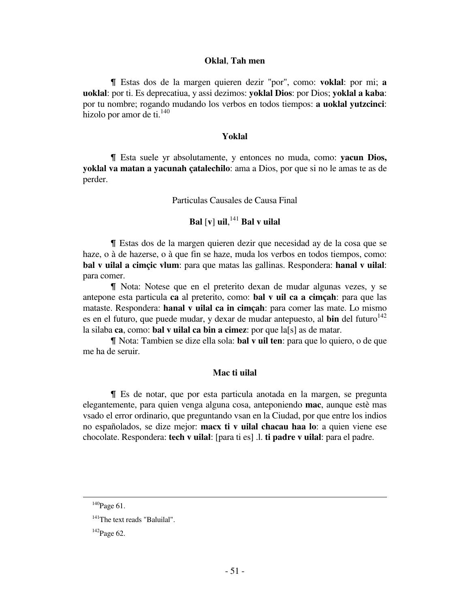### **Oklal**, **Tah men**

& Estas dos de la margen quieren dezir "por", como: **voklal**: por mi; **a uoklal**: por ti. Es deprecatiua, y assi dezimos: **yoklal Dios**: por Dios; **yoklal a kaba**: por tu nombre; rogando mudando los verbos en todos tiempos: **a uoklal yutzcinci**: hizolo por amor de ti.<sup>140</sup>

## **Yoklal**

& Esta suele yr absolutamente, y entonces no muda, como: **yacun Dios, yoklal va matan a yacunah çatalechilo**: ama a Dios, por que si no le amas te as de perder.

Particulas Causales de Causa Final

# **Bal** [**v**] **uil**, <sup>141</sup> **Bal v uilal**

& Estas dos de la margen quieren dezir que necesidad ay de la cosa que se haze, o à de hazerse, o à que fin se haze, muda los verbos en todos tiempos, como: **bal v uilal a cimçic vlum**: para que matas las gallinas. Respondera: **hanal v uilal**: para comer.

& Nota: Notese que en el preterito dexan de mudar algunas vezes, y se antepone esta particula **ca** al preterito, como: **bal v uil ca a cimçah**: para que las mataste. Respondera: **hanal v uilal ca in cimçah**: para comer las mate. Lo mismo es en el futuro, que puede mudar, y dexar de mudar antepuesto, al **bin** del futuro $142$ la silaba **ca**, como: **bal v uilal ca bin a cimez**: por que la[s] as de matar.

& Nota: Tambien se dize ella sola: **bal v uil ten**: para que lo quiero, o de que me ha de seruir.

# **Mac ti uilal**

& Es de notar, que por esta particula anotada en la margen, se pregunta elegantemente, para quien venga alguna cosa, anteponiendo **mac**, aunque estè mas vsado el error ordinario, que preguntando vsan en la Ciudad, por que entre los indios no españolados, se dize mejor: **macx ti v uilal chacau haa lo**: a quien viene ese chocolate. Respondera: **tech v uilal**: [para ti es] .l. **ti padre v uilal**: para el padre.

 $140$ Page 61.

<sup>&</sup>lt;sup>141</sup>The text reads "Baluilal".

 $142$ Page 62.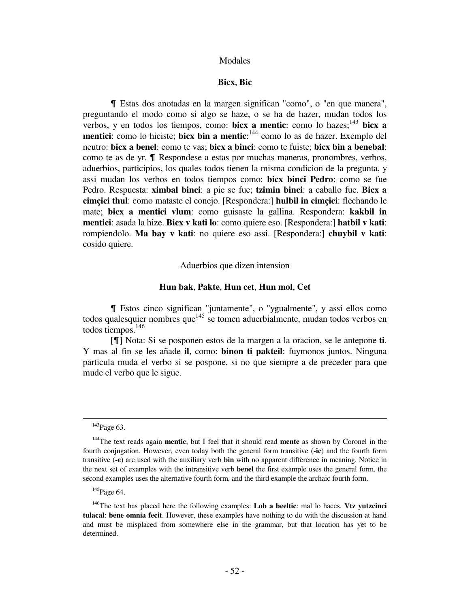### Modales

# **Bicx**, **Bic**

& Estas dos anotadas en la margen significan "como", o "en que manera", preguntando el modo como si algo se haze, o se ha de hazer, mudan todos los verbos, y en todos los tiempos, como: **bicx a mentic**: como lo hazes;<sup>143</sup> **bicx a mentici**: como lo hiciste; **bicx bin a mentic**: <sup>144</sup> como lo as de hazer. Exemplo del neutro: **bicx a benel**: como te vas; **bicx a binci**: como te fuiste; **bicx bin a benebal**: como te as de yr.  $\blacksquare$  Respondese a estas por muchas maneras, pronombres, verbos, aduerbios, participios, los quales todos tienen la misma condicion de la pregunta, y assi mudan los verbos en todos tiempos como: **bicx binci Pedro**: como se fue Pedro. Respuesta: **ximbal binci**: a pie se fue; **tzimin binci**: a caballo fue. **Bicx a cimçici thul**: como mataste el conejo. [Respondera:] **hulbil in cimçici**: flechando le mate; **bicx a mentici vlum**: como guisaste la gallina. Respondera: **kakbil in mentici**: asada la hize. **Bicx v kati lo**: como quiere eso. [Respondera:] **hatbil v kati**: rompiendolo. **Ma bay v kati**: no quiere eso assi. [Respondera:] **chuybil v kati**: cosido quiere.

# Aduerbios que dizen intension

### **Hun bak**, **Pakte**, **Hun cet**, **Hun mol**, **Cet**

& Estos cinco significan "juntamente", o "ygualmente", y assi ellos como todos qualesquier nombres que<sup>145</sup> se tomen aduerbialmente, mudan todos verbos en todos tiempos.<sup>146</sup>

 [&] Nota: Si se posponen estos de la margen a la oracion, se le antepone **ti**. Y mas al fin se les añade **il**, como: **binon ti pakteil**: fuymonos juntos. Ninguna particula muda el verbo si se pospone, si no que siempre a de preceder para que mude el verbo que le sigue.

<sup>&</sup>lt;sup>143</sup>Page 63.

<sup>144</sup>The text reads again **mentic**, but I feel that it should read **mente** as shown by Coronel in the fourth conjugation. However, even today both the general form transitive (**-ic**) and the fourth form transitive (**-e**) are used with the auxiliary verb **bin** with no apparent difference in meaning. Notice in the next set of examples with the intransitive verb **benel** the first example uses the general form, the second examples uses the alternative fourth form, and the third example the archaic fourth form.

 $145$ Page 64.

<sup>146</sup>The text has placed here the following examples: **Lob a beeltic**: mal lo haces. **Vtz yutzcinci tulacal**: **bene omnia fecit**. However, these examples have nothing to do with the discussion at hand and must be misplaced from somewhere else in the grammar, but that location has yet to be determined.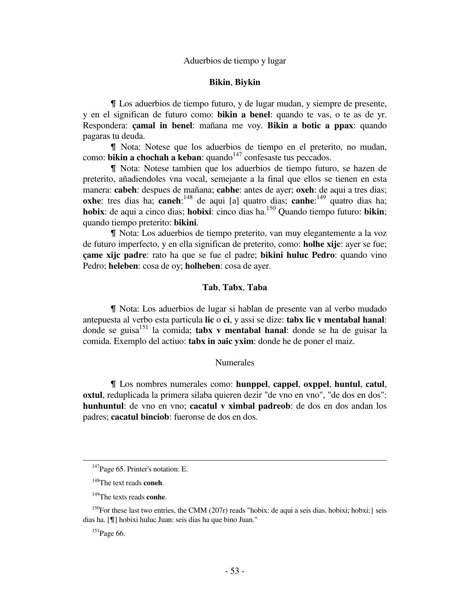# Aduerbios de tiempo y lugar

# **Bikin**, **Biykin**

& Los aduerbios de tiempo futuro, y de lugar mudan, y siempre de presente, y en el significan de futuro como: **bikin a benel**: quando te vas, o te as de yr. Respondera: **çamal in benel**: mañana me voy. **Bikin a botic a ppax**: quando pagaras tu deuda.

& Nota: Notese que los aduerbios de tiempo en el preterito, no mudan, como: **bikin a chochah a keban**: quando<sup>147</sup> confesaste tus peccados.

& Nota: Notese tambien que los aduerbios de tiempo futuro, se hazen de preterito, añadiendoles vna vocal, semejante a la final que ellos se tienen en esta manera: **cabeh**: despues de mañana; **cabhe**: antes de ayer; **oxeh**: de aqui a tres dias; **oxhe**: tres dias ha; **caneh**:<sup>148</sup> de aqui [a] quatro dias; **canhe**:<sup>149</sup> quatro dias ha; **hobix**: de aqui a cinco dias; **hobixi**: cinco dias ha.<sup>150</sup> Quando tiempo futuro: **bikin**; quando tiempo preterito: **bikini**.

& Nota: Los aduerbios de tiempo preterito, van muy elegantemente a la voz de futuro imperfecto, y en ella significan de preterito, como: **holhe xijc**: ayer se fue; **çame xijc padre**: rato ha que se fue el padre; **bikini huluc Pedro**: quando vino Pedro; **heleben**: cosa de oy; **holheben**: cosa de ayer.

# **Tab**, **Tabx**, **Taba**

& Nota: Los aduerbios de lugar si hablan de presente van al verbo mudado antepuesta al verbo esta particula **lic** o **ci**, y assi se dize: **tabx lic v mentabal hanal**: donde se guisa<sup>151</sup> la comida; **tabx v mentabal hanal**: donde se ha de guisar la comida. Exemplo del actiuo: **tabx in ɔaic yxim**: donde he de poner el maiz.

# Numerales

& Los nombres numerales como: **hunppel**, **cappel**, **oxppel**, **huntul**, **catul**, **oxtul**, reduplicada la primera silaba quieren dezir "de vno en vno", "de dos en dos": **hunhuntul**: de vno en vno; **cacatul v ximbal padreob**: de dos en dos andan los padres; **cacatul binciob**: fueronse de dos en dos.

 $\overline{a}$ 

<sup>&</sup>lt;sup>147</sup>Page 65. Printer's notation: E.

<sup>148</sup>The text reads **coneh**.

<sup>149</sup>The texts reads **conhe**.

<sup>&</sup>lt;sup>150</sup>For these last two entries, the CMM (207r) reads "hobix: de aqui a seis dias. hobixi; hobxi: seis dias ha. [&] hobixi huluc Juan: seis dias ha que bino Juan."

 $151$ Page 66.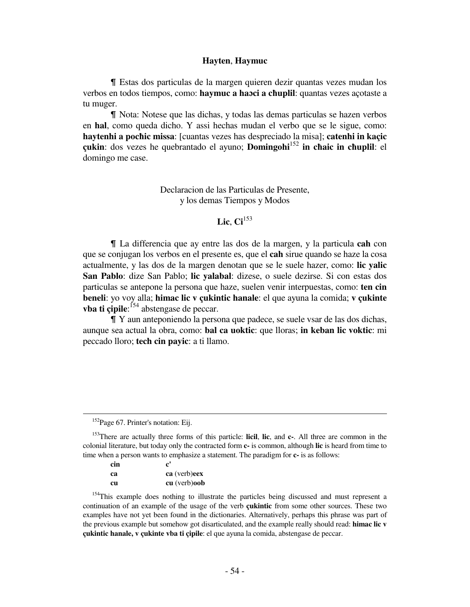## **Hayten**, **Haymuc**

& Estas dos particulas de la margen quieren dezir quantas vezes mudan los verbos en todos tiempos, como: **haymuc a haɔci a cħuplil**: quantas vezes açotaste a tu muger.

& Nota: Notese que las dichas, y todas las demas particulas se hazen verbos en **hal**, como queda dicho. Y assi hechas mudan el verbo que se le sigue, como: **haytenhi a pocħic missa**: [cuantas vezes has despreciado la misa]; **catenhi in kaçic çukin**: dos vezes he quebrantado el ayuno; **Domingohi**<sup>152</sup> **in cħaic in cħuplil**: el domingo me case.

> Declaracion de las Particulas de Presente, y los demas Tiempos y Modos

# **Lic**, **Ci**<sup>153</sup>

& La differencia que ay entre las dos de la margen, y la particula **cah** con que se conjugan los verbos en el presente es, que el **cah** sirue quando se haze la cosa actualmente, y las dos de la margen denotan que se le suele hazer, como: **lic yalic San Pablo**: dize San Pablo; **lic yalabal**: dizese, o suele dezirse. Si con estas dos particulas se antepone la persona que haze, suelen venir interpuestas, como: **ten cin beneli**: yo voy alla; **himac lic v çukintic hanale**: el que ayuna la comida; **v çukinte vba ti çipile**: <sup>154</sup> abstengase de peccar.

& Y aun anteponiendo la persona que padece, se suele vsar de las dos dichas, aunque sea actual la obra, como: **bal ca uoktic**: que lloras; **in keban lic voktic**: mi peccado lloro; **tech cin payic**: a ti llamo.

| cin | $\mathbf{c}^{\prime}$ |
|-----|-----------------------|
| ca  | ca (verb)eex          |
| cи  | $cu$ (verb) $oob$     |

<sup>&</sup>lt;sup>152</sup>Page 67. Printer's notation: Eij.

<sup>153</sup>There are actually three forms of this particle: **licil**, **lic**, and **c-**. All three are common in the colonial literature, but today only the contracted form **c-** is common, although **lic** is heard from time to time when a person wants to emphasize a statement. The paradigm for **c-** is as follows:

<sup>&</sup>lt;sup>154</sup>This example does nothing to illustrate the particles being discussed and must represent a continuation of an example of the usage of the verb **çukintic** from some other sources. These two examples have not yet been found in the dictionaries. Alternatively, perhaps this phrase was part of the previous example but somehow got disarticulated, and the example really should read: **himac lic v çukintic hanale, v çukinte vba ti çipile**: el que ayuna la comida, abstengase de peccar.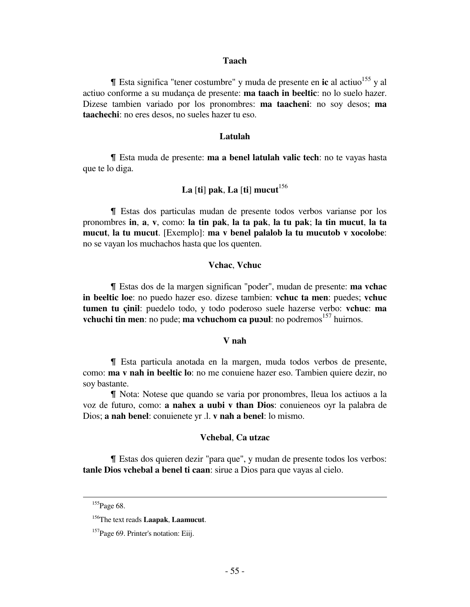# **Taach**

 $\parallel$  Esta significa "tener costumbre" y muda de presente en **ic** al actiuo<sup>155</sup> y al actiuo conforme a su mudança de presente: **ma taach in beeltic**: no lo suelo hazer. Dizese tambien variado por los pronombres: **ma taacheni**: no soy desos; **ma taachechi**: no eres desos, no sueles hazer tu eso.

## **Latulah**

& Esta muda de presente: **ma a benel latulah valic tech**: no te vayas hasta que te lo diga.

# La  $\left[\text{ti}\right]$  pak, La  $\left[\text{ti}\right]$  mucut<sup>156</sup>

& Estas dos particulas mudan de presente todos verbos varianse por los pronombres **in**, **a**, **v**, como: **la tin pak**, **la ta pak**, **la tu pak**; **la tin mucut**, **la ta mucut**, **la tu mucut**. [Exemplo]: **ma v benel palalob la tu mucutob v xocolobe**: no se vayan los muchachos hasta que los quenten.

# **Vchac**, **Vchuc**

& Estas dos de la margen significan "poder", mudan de presente: **ma vchac in beeltic loe**: no puedo hazer eso. dizese tambien: **vchuc ta men**: puedes; **vchuc tumen tu çinil**: puedelo todo, y todo poderoso suele hazerse verbo: **vchuc**: **ma vchuchi tin men**: no pude; **ma vchuchom ca pubul**: no podremos<sup>157</sup> huirnos.

## **V nah**

& Esta particula anotada en la margen, muda todos verbos de presente, como: **ma v nah in beeltic lo**: no me conuiene hazer eso. Tambien quiere dezir, no soy bastante.

& Nota: Notese que quando se varia por pronombres, lleua los actiuos a la voz de futuro, como: **a nahex a uubi v than Dios**: conuieneos oyr la palabra de Dios; **a nah benel**: conuienete yr .l. **v nah a benel**: lo mismo.

### **Vchebal**, **Ca utzac**

& Estas dos quieren dezir "para que", y mudan de presente todos los verbos: **tanle Dios vchebal a benel ti caan**: sirue a Dios para que vayas al cielo.

 $\overline{a}$ 

<sup>&</sup>lt;sup>155</sup>Page 68.

<sup>156</sup>The text reads **Laapak**, **Laamucut**.

<sup>&</sup>lt;sup>157</sup>Page 69. Printer's notation: Eiij.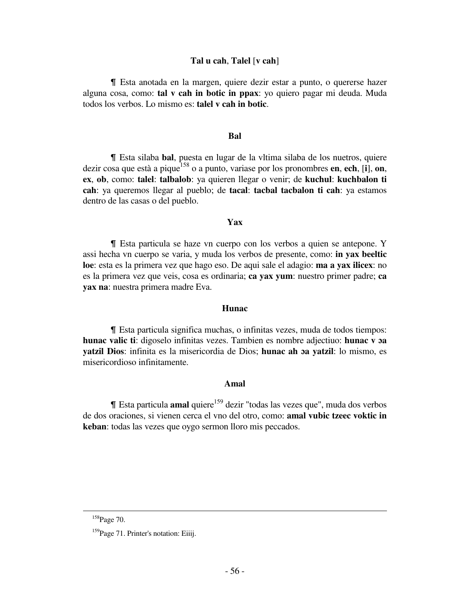# **Tal u cah**, **Talel** [**v cah**]

& Esta anotada en la margen, quiere dezir estar a punto, o quererse hazer alguna cosa, como: **tal v cah in botic in ppax**: yo quiero pagar mi deuda. Muda todos los verbos. Lo mismo es: **talel v cah in botic**.

# **Bal**

& Esta silaba **bal**, puesta en lugar de la vltima silaba de los nuetros, quiere dezir cosa que està a pique<sup>158</sup> o a punto, variase por los pronombres **en**, **ech**, [**i**], **on**, **ex**, **ob**, como: **talel**: **talbalob**: ya quieren llegar o venir; de **kuchul**: **kuchbalon ti cah**: ya queremos llegar al pueblo; de **tacal**: **tacbal tacbalon ti cah**: ya estamos dentro de las casas o del pueblo.

# **Yax**

& Esta particula se haze vn cuerpo con los verbos a quien se antepone. Y assi hecha vn cuerpo se varia, y muda los verbos de presente, como: **in yax beeltic loe**: esta es la primera vez que hago eso. De aqui sale el adagio: **ma a yax ilicex**: no es la primera vez que veis, cosa es ordinaria; **ca yax yum**: nuestro primer padre; **ca yax na**: nuestra primera madre Eva.

# **Hunac**

& Esta particula significa muchas, o infinitas vezes, muda de todos tiempos: **hunac valic ti**: digoselo infinitas vezes. Tambien es nombre adjectiuo: **hunac v ɔa yatzil Dios**: infinita es la misericordia de Dios; **hunac ah ɔa yatzil**: lo mismo, es misericordioso infinitamente.

# *Amal*

**If** Esta particula **amal** quiere<sup>159</sup> dezir "todas las vezes que", muda dos verbos de dos oraciones, si vienen cerca el vno del otro, como: **amal vubic tzeec voktic in keban**: todas las vezes que oygo sermon lloro mis peccados.

<sup>&</sup>lt;sup>158</sup>Page 70.

<sup>&</sup>lt;sup>159</sup>Page 71. Printer's notation: Eiiij.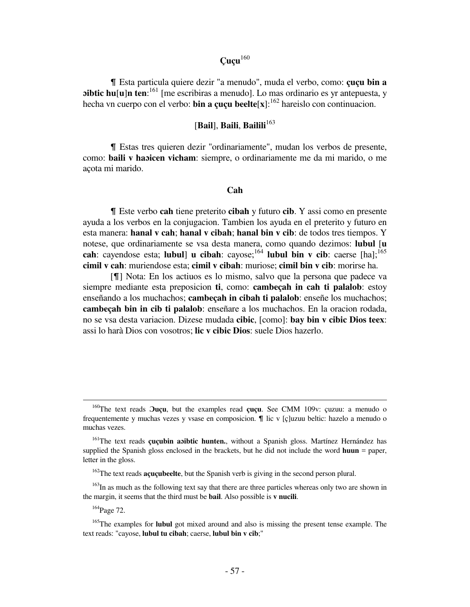# **Çuçu**<sup>160</sup>

& Esta particula quiere dezir "a menudo", muda el verbo, como: **çuçu bin a bibtic hu**[**u**]**n** ten:<sup>161</sup> [me escribiras a menudo]. Lo mas ordinario es yr antepuesta, y hecha vn cuerpo con el verbo: **bin a cucu beelte**[ $\mathbf{x}$ ]:<sup>162</sup> hareislo con continuacion.

# [**Bail**], **Baili**, **Bailili**<sup>163</sup>

& Estas tres quieren dezir "ordinariamente", mudan los verbos de presente, como: **baili v haɔicen vicham**: siempre, o ordinariamente me da mi marido, o me açota mi marido.

# *Cah*

& Este verbo **cah** tiene preterito **cibah** y futuro **cib**. Y assi como en presente ayuda a los verbos en la conjugacion. Tambien los ayuda en el preterito y futuro en esta manera: **hanal v cah**; **hanal v cibah**; **hanal bin v cib**: de todos tres tiempos. Y notese, que ordinariamente se vsa desta manera, como quando dezimos: **lubul** [**u cah**: cayendose esta; **lubul**] **u cibah**: cayose;<sup>164</sup> **lubul bin v cib**: caerse [ha];<sup>165</sup> **cimil v cah**: muriendose esta; **cimil v cibah**: muriose; **cimil bin v cib**: morirse ha.

[ $\parallel$ ] Nota: En los actiuos es lo mismo, salvo que la persona que padece va siempre mediante esta preposicion **ti**, como: **cambeçah in cah ti palalob**: estoy enseñando a los muchachos; **cambeçah in cibah ti palalob**: enseñe los muchachos; **cambeçah bin in cib ti palalob**: enseñare a los muchachos. En la oracion rodada, no se vsa desta variacion. Dizese mudada **cibic**, [como]: **bay bin v cibic Dios teex**: assi lo harà Dios con vosotros; **lic v cibic Dios**: suele Dios hazerlo.

<sup>163</sup>In as much as the following text say that there are three particles whereas only two are shown in the margin, it seems that the third must be **bail**. Also possible is **v nucili**.

 $\overline{a}$ 

<sup>160</sup>The text reads **Ɔuçu**, but the examples read **çuçu**. See CMM 109v: çuzuu: a menudo o frequentemente y muchas vezes y vsase en composicion.  $\parallel$  lic v [ç]uzuu beltic: hazelo a menudo o muchas vezes.

<sup>161</sup>The text reads **çuçubin aɔibtic hunten.**, without a Spanish gloss. Martínez Hernández has supplied the Spanish gloss enclosed in the brackets, but he did not include the word **huun** = paper, letter in the gloss.

<sup>&</sup>lt;sup>162</sup>The text reads **acucubeelte**, but the Spanish verb is giving in the second person plural.

<sup>164</sup>Page 72.

<sup>&</sup>lt;sup>165</sup>The examples for **lubul** got mixed around and also is missing the present tense example. The text reads: "cayose, **lubul tu cibah**; caerse, **lubul bin v cib**;"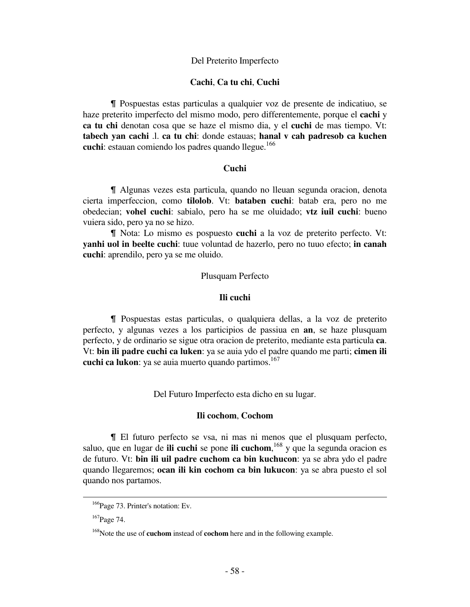# Del Preterito Imperfecto

# **Cachi**, **Ca tu chi**, **Cuchi**

& Pospuestas estas particulas a qualquier voz de presente de indicatiuo, se haze preterito imperfecto del mismo modo, pero differentemente, porque el **cachi** y **ca tu chi** denotan cosa que se haze el mismo dia, y el **cuchi** de mas tiempo. Vt: **tabech yan cachi** .l. **ca tu chi**: donde estauas; **hanal v cah padresob ca kuchen cuchi**: estauan comiendo los padres quando llegue.<sup>166</sup>

# *Cuchi* **Cuchi**

& Algunas vezes esta particula, quando no lleuan segunda oracion, denota cierta imperfeccion, como **tilolob**. Vt: **bataben cuchi**: batab era, pero no me obedecian; **vohel cuchi**: sabialo, pero ha se me oluidado; **vtz iuil cuchi**: bueno vuiera sido, pero ya no se hizo.

& Nota: Lo mismo es pospuesto **cuchi** a la voz de preterito perfecto. Vt: **yanhi uol in beelte cuchi**: tuue voluntad de hazerlo, pero no tuuo efecto; **in canah cuchi**: aprendilo, pero ya se me oluido.

## Plusquam Perfecto

#### **Ili cuchi**

& Pospuestas estas particulas, o qualquiera dellas, a la voz de preterito perfecto, y algunas vezes a los participios de passiua en **an**, se haze plusquam perfecto, y de ordinario se sigue otra oracion de preterito, mediante esta particula **ca**. Vt: **bin ili padre cuchi ca luken**: ya se auia ydo el padre quando me parti; **cimen ili cuchi ca lukon**: ya se auia muerto quando partimos.<sup>167</sup>

Del Futuro Imperfecto esta dicho en su lugar.

# **Ili cochom**, **Cochom**

& El futuro perfecto se vsa, ni mas ni menos que el plusquam perfecto, saluo, que en lugar de **ili cuchi** se pone **ili cuchom**, <sup>168</sup> y que la segunda oracion es de futuro. Vt: **bin ili uil padre cuchom ca bin kuchucon**: ya se abra ydo el padre quando llegaremos; **ocan ili kin cochom ca bin lukucon**: ya se abra puesto el sol quando nos partamos.

į.

<sup>&</sup>lt;sup>166</sup>Page 73. Printer's notation: Ev.

<sup>&</sup>lt;sup>167</sup>Page 74.

<sup>168</sup>Note the use of **cuchom** instead of **cochom** here and in the following example.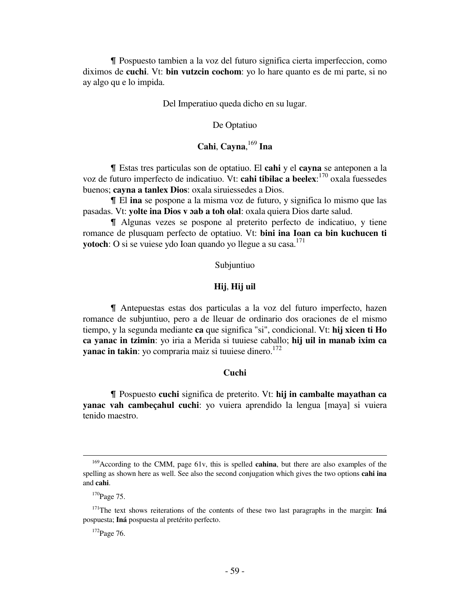& Pospuesto tambien a la voz del futuro significa cierta imperfeccion, como diximos de **cuchi**. Vt: **bin vutzcin cochom**: yo lo hare quanto es de mi parte, si no ay algo qu e lo impida.

Del Imperatiuo queda dicho en su lugar.

### De Optatiuo

# **Cahi**, **Cayna**, <sup>169</sup> **Ina**

& Estas tres particulas son de optatiuo. El **cahi** y el **cayna** se anteponen a la voz de futuro imperfecto de indicatiuo. Vt: **cahi tibilac a beelex**: <sup>170</sup> oxala fuessedes buenos; **cayna a tanlex Dios**: oxala siruiessedes a Dios.

& El **ina** se pospone a la misma voz de futuro, y significa lo mismo que las pasadas. Vt: **yolte ina Dios v ɔab a toh olal**: oxala quiera Dios darte salud.

& Algunas vezes se pospone al preterito perfecto de indicatiuo, y tiene romance de plusquam perfecto de optatiuo. Vt: **bini ina Ioan ca bin kuchucen ti yotoch**: O si se vuiese ydo Ioan quando yo llegue a su casa.<sup>171</sup>

Subjuntiuo

# **Hij**, **Hij uil**

& Antepuestas estas dos particulas a la voz del futuro imperfecto, hazen romance de subjuntiuo, pero a de lleuar de ordinario dos oraciones de el mismo tiempo, y la segunda mediante **ca** que significa "si", condicional. Vt: **hij xicen ti Ho ca yanac in tzimin**: yo iria a Merida si tuuiese caballo; **hij uil in manab ixim ca yanac in takin**: yo compraria maiz si tuuiese dinero.<sup>172</sup>

## **Cuchi**

& Pospuesto **cuchi** significa de preterito. Vt: **hij in cambalte mayathan ca yanac vah cambeçahul cuchi**: yo vuiera aprendido la lengua [maya] si vuiera tenido maestro.

į.

<sup>169</sup>According to the CMM, page 61v, this is spelled **cahina**, but there are also examples of the spelling as shown here as well. See also the second conjugation which gives the two options **cahi ina** and **cahi**.

 $170$ Page 75.

<sup>171</sup>The text shows reiterations of the contents of these two last paragraphs in the margin: **Iná** pospuesta; **Iná** pospuesta al pretérito perfecto.

<sup>&</sup>lt;sup>172</sup>Page 76.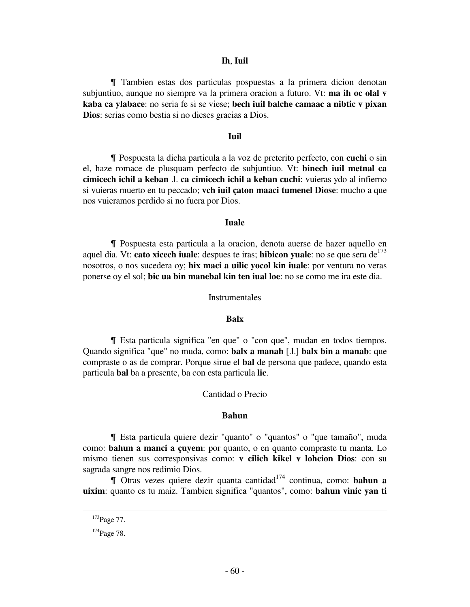### **Ih**, **Iuil**

& Tambien estas dos particulas pospuestas a la primera dicion denotan subjuntiuo, aunque no siempre va la primera oracion a futuro. Vt: **ma ih oc olal v kaba ca ylabace**: no seria fe si se viese; **bech iuil balche camaac a nibtic v pixan Dios**: serias como bestia si no dieses gracias a Dios.

# **Iuil**

& Pospuesta la dicha particula a la voz de preterito perfecto, con **cuchi** o sin el, haze romace de plusquam perfecto de subjuntiuo. Vt: **binech iuil metnal ca cimicech ichil a keban** .l. **ca cimicech ichil a keban cuchi**: vuieras ydo al infierno si vuieras muerto en tu peccado; **vch iuil çaton maaci tumenel Diose**: mucho a que nos vuieramos perdido si no fuera por Dios.

# *<u> Iuale</u>*

& Pospuesta esta particula a la oracion, denota auerse de hazer aquello en aquel dia. Vt: **cato xicech iuale**: despues te iras; **hibicon yuale**: no se que sera de<sup>173</sup> nosotros, o nos sucedera oy; **hix maci a uilic yocol kin iuale**: por ventura no veras ponerse oy el sol; **bic ua bin manebal kin ten iual loe**: no se como me ira este dia.

#### Instrumentales

# **Balx**

& Esta particula significa "en que" o "con que", mudan en todos tiempos. Quando significa "que" no muda, como: **balx a manah** [.l.] **balx bin a manab**: que compraste o as de comprar. Porque sirue el **bal** de persona que padece, quando esta particula **bal** ba a presente, ba con esta particula **lic**.

# Cantidad o Precio

#### **Bahun**

& Esta particula quiere dezir "quanto" o "quantos" o "que tamaño", muda como: **bahun a manci a çuyem**: por quanto, o en quanto compraste tu manta. Lo mismo tienen sus corresponsivas como: **v cilich kikel v lohcion Dios**: con su sagrada sangre nos redimio Dios.

& Otras vezes quiere dezir quanta cantidad<sup>174</sup> continua, como: **bahun a uixim**: quanto es tu maiz. Tambien significa "quantos", como: **bahun vinic yan ti** 

<sup>&</sup>lt;sup>173</sup>Page 77.

<sup>&</sup>lt;sup>174</sup>Page 78.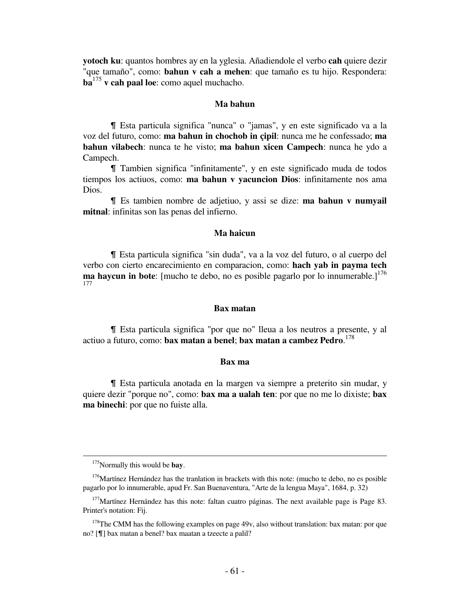**yotoch ku**: quantos hombres ay en la yglesia. Añadiendole el verbo **cah** quiere dezir "que tamaño", como: **bahun v cah a mehen**: que tamaño es tu hijo. Respondera: **ba**<sup>175</sup> **v cah paal loe**: como aquel muchacho.

### **Ma bahun**

& Esta particula significa "nunca" o "jamas", y en este significado va a la voz del futuro, como: **ma bahun in chochob in çipil**: nunca me he confessado; **ma bahun vilabech**: nunca te he visto; **ma bahun xicen Campech**: nunca he ydo a Campech.

& Tambien significa "infinitamente", y en este significado muda de todos tiempos los actiuos, como: **ma bahun v yacuncion Dios**: infinitamente nos ama Dios.

& Es tambien nombre de adjetiuo, y assi se dize: **ma bahun v numyail mitnal**: infinitas son las penas del infierno.

# **Ma haicun**

& Esta particula significa "sin duda", va a la voz del futuro, o al cuerpo del verbo con cierto encarecimiento en comparacion, como: **hach yab in payma tech ma haycun in bote**: [mucho te debo, no es posible pagarlo por lo innumerable.]<sup>176</sup> 177

# **Bax matan**

& Esta particula significa "por que no" lleua a los neutros a presente, y al actiuo a futuro, como: **bax matan a benel**; **bax matan a cambez Pedro**. 178

#### **Bax ma**

& Esta particula anotada en la margen va siempre a preterito sin mudar, y quiere dezir "porque no", como: **bax ma a ualah ten**: por que no me lo dixiste; **bax ma binechi**: por que no fuiste alla.

 $\overline{a}$ 

<sup>175</sup>Normally this would be **bay**.

<sup>&</sup>lt;sup>176</sup>Martínez Hernández has the tranlation in brackets with this note: (mucho te debo, no es posible pagarlo por lo innumerable, apud Fr. San Buenaventura, "Arte de la lengua Maya", 1684, p. 32)

 $177$ Martínez Hernández has this note: faltan cuatro páginas. The next available page is Page 83. Printer's notation: Fij.

<sup>&</sup>lt;sup>178</sup>The CMM has the following examples on page  $49v$ , also without translation: bax matan: por que no? [¶] bax matan a benel? bax maatan a tzeecte a palil?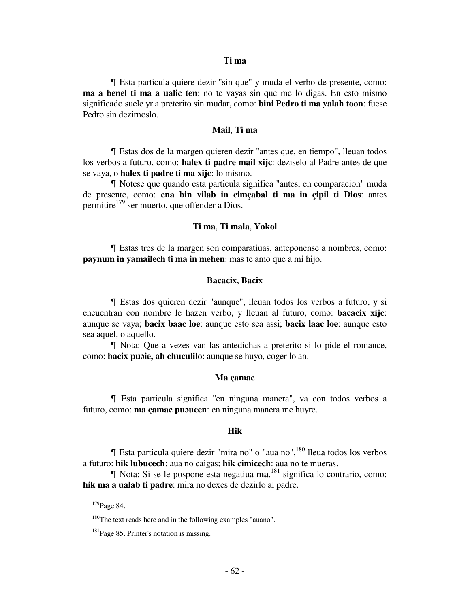# **Ti ma**

& Esta particula quiere dezir "sin que" y muda el verbo de presente, como: **ma a benel ti ma a ualic ten**: no te vayas sin que me lo digas. En esto mismo significado suele yr a preterito sin mudar, como: **bini Pedro ti ma yalah toon**: fuese Pedro sin dezirnoslo.

### **Mail**, **Ti ma**

& Estas dos de la margen quieren dezir "antes que, en tiempo", lleuan todos los verbos a futuro, como: **halex ti padre mail xijc**: deziselo al Padre antes de que se vaya, o **halex ti padre ti ma xijc**: lo mismo.

& Notese que quando esta particula significa "antes, en comparacion" muda de presente, como: **ena bin vilab in cimçabal ti ma in çipil ti Dios**: antes permitire<sup>179</sup> ser muerto, que offender a Dios.

# **Ti ma**, **Ti mala**, **Yokol**

& Estas tres de la margen son comparatiuas, anteponense a nombres, como: **paynum in yamailech ti ma in mehen**: mas te amo que a mi hijo.

# **Bacacix**, **Bacix**

& Estas dos quieren dezir "aunque", lleuan todos los verbos a futuro, y si encuentran con nombre le hazen verbo, y lleuan al futuro, como: **bacacix xijc**: aunque se vaya; **bacix baac loe**: aunque esto sea assi; **bacix laac loe**: aunque esto sea aquel, o aquello.

& Nota: Que a vezes van las antedichas a preterito si lo pide el romance, como: **bacix puɔie, ah chuculilo**: aunque se huyo, coger lo an.

# **Ma çamac**

& Esta particula significa "en ninguna manera", va con todos verbos a futuro, como: **ma çamac puɔucen**: en ninguna manera me huyre.

# **Hik**

 $\blacksquare$  Esta particula quiere dezir "mira no" o "aua no",  $^{180}$  lleua todos los verbos a futuro: **hik lubucech**: aua no caigas; **hik cimicech**: aua no te mueras.

& Nota: Si se le pospone esta negatiua **ma**, <sup>181</sup> significa lo contrario, como: **hik ma a ualab ti padre**: mira no dexes de dezirlo al padre.

<sup>&</sup>lt;sup>179</sup>Page 84.

<sup>&</sup>lt;sup>180</sup>The text reads here and in the following examples "auano".

<sup>&</sup>lt;sup>181</sup>Page 85. Printer's notation is missing.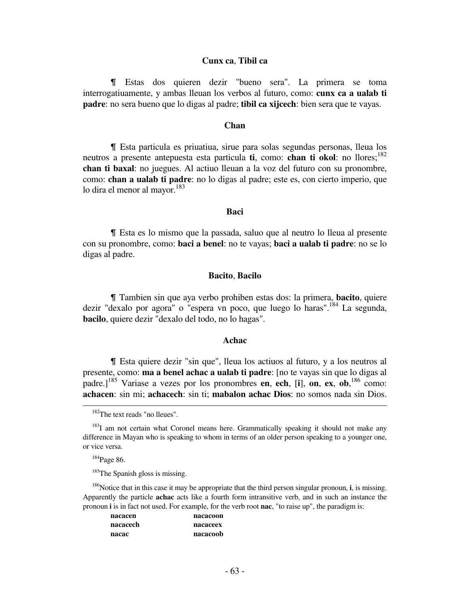# **Cunx ca**, **Tibil ca**

& Estas dos quieren dezir "bueno sera". La primera se toma interrogatiuamente, y ambas lleuan los verbos al futuro, como: **cunx ca a ualab ti padre**: no sera bueno que lo digas al padre; **tibil ca xijcech**: bien sera que te vayas.

# **Chan**

& Esta particula es priuatiua, sirue para solas segundas personas, lleua los neutros a presente antepuesta esta particula **ti**, como: **chan ti okol**: no llores; <sup>182</sup> **chan ti baxal**: no juegues. Al actiuo lleuan a la voz del futuro con su pronombre, como: **chan a ualab ti padre**: no lo digas al padre; este es, con cierto imperio, que lo dira el menor al mayor.<sup>183</sup>

# **BaciBaci**

& Esta es lo mismo que la passada, saluo que al neutro lo lleua al presente con su pronombre, como: **baci a benel**: no te vayas; **baci a ualab ti padre**: no se lo digas al padre.

# **Bacito**, **Bacilo**

& Tambien sin que aya verbo prohiben estas dos: la primera, **bacito**, quiere dezir "dexalo por agora" o "espera vn poco, que luego lo haras".<sup>184</sup> La segunda, **bacilo**, quiere dezir "dexalo del todo, no lo hagas".

#### **Achac**

& Esta quiere dezir "sin que", lleua los actiuos al futuro, y a los neutros al presente, como: **ma a benel achac a ualab ti padre**: [no te vayas sin que lo digas al padre.]<sup>185</sup> Variase a vezes por los pronombres **en**, **ech**, [**i**], **on**, **ex**, **ob**, <sup>186</sup> como: **achacen**: sin mi; **achacech**: sin ti; **mabalon achac Dios**: no somos nada sin Dios.  $\overline{\phantom{0}}$ 

<sup>186</sup>Notice that in this case it may be appropriate that the third person singular pronoun, **i**, is missing. Apparently the particle **achac** acts like a fourth form intransitive verb, and in such an instance the pronoun **i** is in fact not used. For example, for the verb root **nac**, "to raise up", the paradigm is:

| nacacen  | nacacoon |
|----------|----------|
| nacacech | nacaceex |
| nacac    | nacacoob |

<sup>&</sup>lt;sup>182</sup>The text reads "no lleues".

<sup>&</sup>lt;sup>183</sup>I am not certain what Coronel means here. Grammatically speaking it should not make any difference in Mayan who is speaking to whom in terms of an older person speaking to a younger one, or vice versa.

 $184$ Page 86.

<sup>&</sup>lt;sup>185</sup>The Spanish gloss is missing.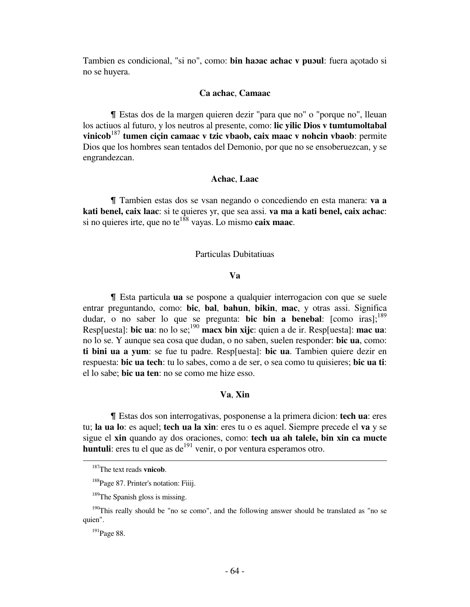Tambien es condicional, "si no", como: **bin haɔac achac v puɔul**: fuera açotado si no se huyera.

# **Ca achac**, **Camaac**

Il Estas dos de la margen quieren dezir "para que no" o "porque no", lleuan los actiuos al futuro, y los neutros al presente, como: **lic yilic Dios v tumtumoltabal vinicob**<sup>187</sup> **tumen ciçin camaac v tzic vbaob, caix maac v nohcin vbaob**: permite Dios que los hombres sean tentados del Demonio, por que no se ensoberuezcan, y se engrandezcan.

# **Achac**, **Laac**

& Tambien estas dos se vsan negando o concediendo en esta manera: **va a kati benel, caix laac**: si te quieres yr, que sea assi. **va ma a kati benel, caix achac**: si no quieres irte, que no te<sup>188</sup> vayas. Lo mismo **caix maac**.

# Particulas Dubitatiuas

# **Va**

& Esta particula **ua** se pospone a qualquier interrogacion con que se suele entrar preguntando, como: **bic**, **bal**, **bahun**, **bikin**, **mac**, y otras assi. Significa dudar, o no saber lo que se pregunta: **bic bin a benebal**: [como iras];<sup>189</sup> Resp[uesta]: **bic ua**: no lo se;<sup>190</sup> **macx bin xijc**: quien a de ir. Resp[uesta]: **mac ua**: no lo se. Y aunque sea cosa que dudan, o no saben, suelen responder: **bic ua**, como: **ti bini ua a yum**: se fue tu padre. Resp[uesta]: **bic ua**. Tambien quiere dezir en respuesta: **bic ua tech**: tu lo sabes, como a de ser, o sea como tu quisieres; **bic ua ti**: el lo sabe; **bic ua ten**: no se como me hize esso.

## **Va**, **Xin**

& Estas dos son interrogativas, posponense a la primera dicion: **tech ua**: eres tu; **la ua lo**: es aquel; **tech ua la xin**: eres tu o es aquel. Siempre precede el **va** y se sigue el **xin** quando ay dos oraciones, como: **tech ua ah talele, bin xin ca mucte huntuli**: eres tu el que as de<sup>191</sup> venir, o por ventura esperamos otro. į.

<sup>187</sup>The text reads **vnicob**.

<sup>&</sup>lt;sup>188</sup>Page 87. Printer's notation: Fiiij.

<sup>&</sup>lt;sup>189</sup>The Spanish gloss is missing.

 $190$ This really should be "no se como", and the following answer should be translated as "no se quien".

<sup>&</sup>lt;sup>191</sup>Page 88.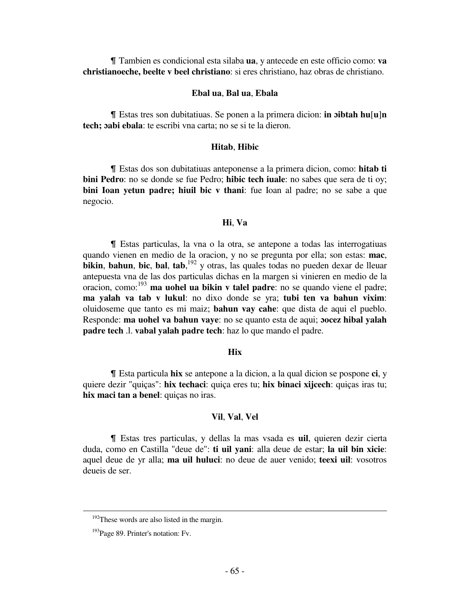& Tambien es condicional esta silaba **ua**, y antecede en este officio como: **va christianoeche, beelte v beel christiano**: si eres christiano, haz obras de christiano.

# **Ebal ua**, **Bal ua**, **Ebala**

& Estas tres son dubitatiuas. Se ponen a la primera dicion: **in ɔibtah hu**[**u**]**n tech; ɔabi ebala**: te escribi vna carta; no se si te la dieron.

# **Hitab**, **Hibic**

& Estas dos son dubitatiuas anteponense a la primera dicion, como: **hitab ti bini Pedro**: no se donde se fue Pedro; **hibic tech iuale**: no sabes que sera de ti oy; **bini Ioan yetun padre; hiuil bic v thani**: fue Ioan al padre; no se sabe a que negocio.

#### **Hi**, **Va**

& Estas particulas, la vna o la otra, se antepone a todas las interrogatiuas quando vienen en medio de la oracion, y no se pregunta por ella; son estas: **mac**, **bikin**, **bahun**, **bic**, **bal**, **tab**, <sup>192</sup> y otras, las quales todas no pueden dexar de lleuar antepuesta vna de las dos particulas dichas en la margen si vinieren en medio de la oracion, como:<sup>193</sup> **ma uohel ua bikin v talel padre**: no se quando viene el padre; **ma yalah va tab v lukul**: no dixo donde se yra; **tubi ten va bahun vixim**: oluidoseme que tanto es mi maiz; **bahun vay cahe**: que dista de aqui el pueblo. Responde: **ma uohel va bahun vaye**: no se quanto esta de aqui; **ɔocez hibal yalah padre tech** .l. **vabal yalah padre tech**: haz lo que mando el padre.

# *<u>Hix*</u>

& Esta particula **hix** se antepone a la dicion, a la qual dicion se pospone **ci**, y quiere dezir "quiças": **hix techaci**: quiça eres tu; **hix binaci xijcech**: quiças iras tu; **hix maci tan a benel**: quiças no iras.

## **Vil**, **Val**, **Vel**

& Estas tres particulas, y dellas la mas vsada es **uil**, quieren dezir cierta duda, como en Castilla "deue de": **ti uil yani**: alla deue de estar; **la uil bin xicie**: aquel deue de yr alla; **ma uil huluci**: no deue de auer venido; **teexi uil**: vosotros deueis de ser.

<sup>&</sup>lt;sup>192</sup>These words are also listed in the margin.

<sup>&</sup>lt;sup>193</sup>Page 89. Printer's notation: Fv.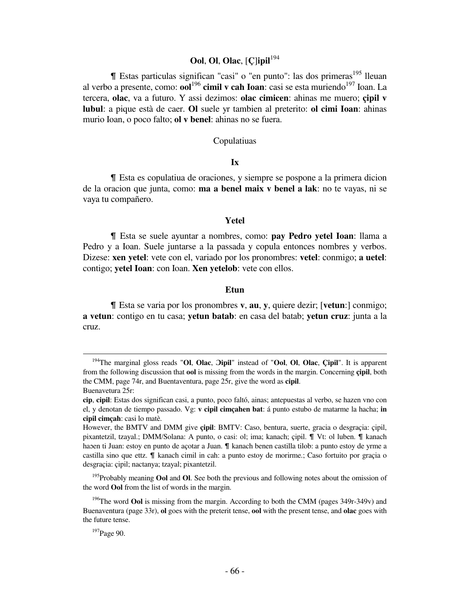# **Ool**, **Ol**, **Olac**, [**Ç**]**ipil**<sup>194</sup>

¶ Estas particulas significan "casi" o "en punto": las dos primeras<sup>195</sup> lleuan al verbo a presente, como: **ool**<sup>196</sup> cimil v cah Ioan: casi se esta muriendo<sup>197</sup> Ioan. La tercera, **olac**, va a futuro. Y assi dezimos: **olac cimicen**: ahinas me muero; **çipil v lubul**: a pique està de caer. **Ol** suele yr tambien al preterito: **ol cimi Ioan**: ahinas murio Ioan, o poco falto; **ol v benel**: ahinas no se fuera.

## Copulatiuas

# **Ix**

& Esta es copulatiua de oraciones, y siempre se pospone a la primera dicion de la oracion que junta, como: **ma a benel maix v benel a lak**: no te vayas, ni se vaya tu compañero.

# **Yetel**

& Esta se suele ayuntar a nombres, como: **pay Pedro yetel Ioan**: llama a Pedro y a Ioan. Suele juntarse a la passada y copula entonces nombres y verbos. Dizese: **xen yetel**: vete con el, variado por los pronombres: **vetel**: conmigo; **a uetel**: contigo; **yetel Ioan**: con Ioan. **Xen yetelob**: vete con ellos.

# *Etun*

& Esta se varia por los pronombres **v**, **au**, **y**, quiere dezir; [**vetun**:] conmigo; **a vetun**: contigo en tu casa; **yetun batab**: en casa del batab; **yetun cruz**: junta a la cruz.

<sup>195</sup>Probably meaning **Ool** and **Ol**. See both the previous and following notes about the omission of the word **Ool** from the list of words in the margin.

<sup>194</sup>The marginal gloss reads "**Ol**, **Olac**, **Ɔipil**" instead of "**Ool**, **Ol**, **Olac**, **Çipil**". It is apparent from the following discussion that **ool** is missing from the words in the margin. Concerning **çipil**, both the CMM, page 74r, and Buentaventura, page 25r, give the word as **cipil**. Buenavetura 25r:

**cip**, **cipil**: Estas dos significan casi, a punto, poco faltó, ainas; antepuestas al verbo, se hazen vno con el, y denotan de tiempo passado. Vg: **v cipil cimçahen bat**: á punto estubo de matarme la hacha; **in cipil cimçah**: casi lo matè.

However, the BMTV and DMM give **çipil**: BMTV: Caso, bentura, suerte, gracia o desgraçia: çipil, pixantetzil, tzayal.; DMM/Solana: A punto, o casi: ol; ima; kanach; cipil.  $\P$  Vt: ol luben.  $\P$  kanach habaen ti Juan: estoy en punto de açotar a Juan.  $\mathbb T$  kanach benen castilla tilob: a punto estoy de yrme a castilla sino que ettz.  $\parallel$  kanach cimil in cah: a punto estoy de morirme.; Caso fortuito por graçia o desgraçia: çipil; nactanya; tzayal; pixantetzil.

<sup>196</sup>The word **Ool** is missing from the margin. According to both the CMM (pages 349r-349v) and Buenaventura (page 33r), **ol** goes with the preterit tense, **ool** with the present tense, and **olac** goes with the future tense.

<sup>&</sup>lt;sup>197</sup>Page 90.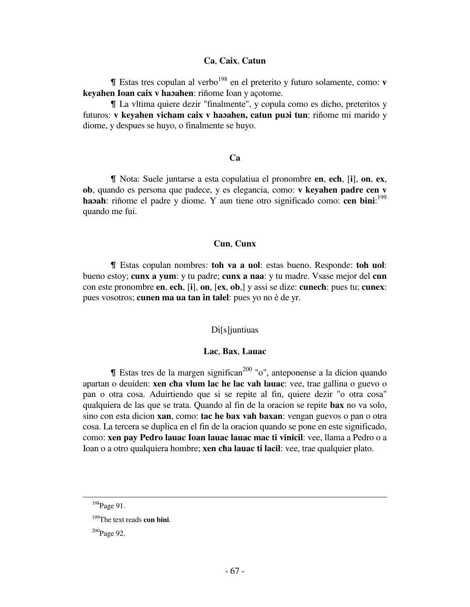## **Ca**, **Caix**, **Catun**

 $\blacksquare$  Estas tres copulan al verbo<sup>198</sup> en el preterito y futuro solamente, como: **v keyahen Ioan caix v haɔahen**: riñome Ioan y açotome.

& La vltima quiere dezir "finalmente", y copula como es dicho, preteritos y futuros: **v keyahen vicham caix v haɔahen, catun puɔi tun**: riñome mi marido y diome, y despues se huyo, o finalmente se huyo.

# **Ca**

& Nota: Suele juntarse a esta copulatiua el pronombre **en**, **ech**, [**i**], **on**, **ex**, **ob**, quando es persona que padece, y es elegancia, como: **v keyahen padre cen v haɔah**: riñome el padre y diome. Y aun tiene otro significado como: **cen bini**: 199 quando me fui.

### **Cun**, **Cunx**

& Estas copulan nombres: **toh va a uol**: estas bueno. Responde: **toh uol**: bueno estoy; **cunx a yum**: y tu padre; **cunx a naa**: y tu madre. Vsase mejor del **cun** con este pronombre **en**, **ech**, [**i**], **on**, [**ex**, **ob**,] y assi se dize: **cunech**: pues tu; **cunex**: pues vosotros; **cunen ma ua tan in talel**: pues yo no è de yr.

## Di[s]juntiuas

## **Lac**, **Bax**, **Lauac**

 $\parallel$  Estas tres de la margen significan<sup>200</sup> "o", anteponense a la dicion quando apartan o deuiden: **xen cħa vlum lac he lac vah lauac**: vee, trae gallina o guevo o pan o otra cosa. Aduirtiendo que si se repite al fin, quiere dezir "o otra cosa" qualquiera de las que se trata. Quando al fin de la oracion se repite **bax** no va solo, sino con esta dicion **xan**, como: **tac he bax vah baxan**: vengan guevos o pan o otra cosa. La tercera se duplica en el fin de la oracion quando se pone en este significado, como: **xen pay Pedro lauac Ioan lauac lauac mac ti vinicil**: vee, llama a Pedro o a Ioan o a otro qualquiera hombre; **xen cħa lauac ti lacil**: vee, trae qualquier plato.

 $\overline{a}$ 

<sup>&</sup>lt;sup>198</sup>Page 91.

<sup>199</sup>The text reads **con bini**.

 $200$ Page 92.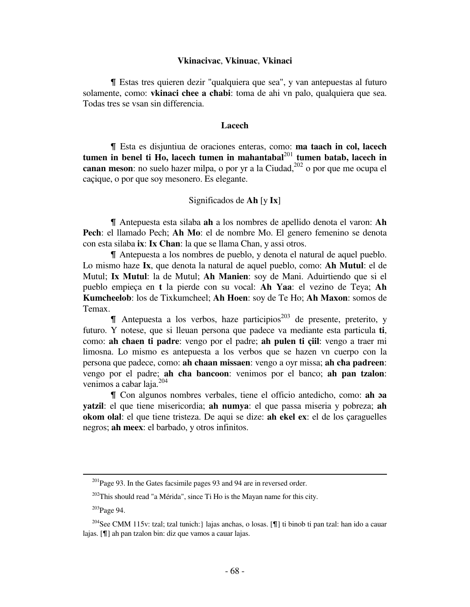### **Vkinacivac**, **Vkinuac**, **Vkinaci**

& Estas tres quieren dezir "qualquiera que sea", y van antepuestas al futuro solamente, como: **vkinaci chee a cħabi**: toma de ahi vn palo, qualquiera que sea. Todas tres se vsan sin differencia.

### **Lacech**

& Esta es disjuntiua de oraciones enteras, como: **ma taach in col, lacech tumen in benel ti Ho, lacech tumen in mahantabal**<sup>201</sup> **tumen batab, lacech in canan meson**: no suelo hazer milpa, o por yr a la Ciudad, $^{202}$  o por que me ocupa el caçique, o por que soy mesonero. Es elegante.

# Significados de **Ah** [y **Ix**]

& Antepuesta esta silaba **ah** a los nombres de apellido denota el varon: **Ah Pech**: el llamado Pech; **Ah Mo**: el de nombre Mo. El genero femenino se denota con esta silaba **ix**: **Ix Chan**: la que se llama Chan, y assi otros.

& Antepuesta a los nombres de pueblo, y denota el natural de aquel pueblo. Lo mismo haze **Ix**, que denota la natural de aquel pueblo, como: **Ah Mutul**: el de Mutul; **Ix Mutul**: la de Mutul; **Ah Manien**: soy de Mani. Aduirtiendo que si el pueblo empieça en **t** la pierde con su vocal: **Ah Yaa**: el vezino de Teya; **Ah Kumcheelob**: los de Tixkumcheel; **Ah Hoen**: soy de Te Ho; **Ah Maxon**: somos de Temax.

 $\P$  Antepuesta a los verbos, haze participios<sup>203</sup> de presente, preterito, y futuro. Y notese, que si lleuan persona que padece va mediante esta particula **ti**, como: **ah cħaen ti padre**: vengo por el padre; **ah pulen ti çiil**: vengo a traer mi limosna. Lo mismo es antepuesta a los verbos que se hazen vn cuerpo con la persona que padece, como: **ah chaan missaen**: vengo a oyr missa; **ah cħa padreen**: vengo por el padre; **ah cħa bancoon**: venimos por el banco; **ah pan tzalon**: venimos a cabar laja.<sup>204</sup>

& Con algunos nombres verbales, tiene el officio antedicho, como: **ah ɔa yatzil**: el que tiene misericordia; **ah numya**: el que passa miseria y pobreza; **ah okom olal**: el que tiene tristeza. De aqui se dize: **ah ekel ex**: el de los çaraguelles negros; **ah meex**: el barbado, y otros infinitos.

 $^{201}$ Page 93. In the Gates facsimile pages 93 and 94 are in reversed order.

 $202$ This should read "a Mérida", since Ti Ho is the Mayan name for this city.

<sup>203</sup>Page 94.

<sup>&</sup>lt;sup>204</sup>See CMM 115v: tzal; tzal tunich: } lajas anchas, o losas. [¶] ti binob ti pan tzal: han ido a cauar lajas. [¶] ah pan tzalon bin: diz que vamos a cauar lajas.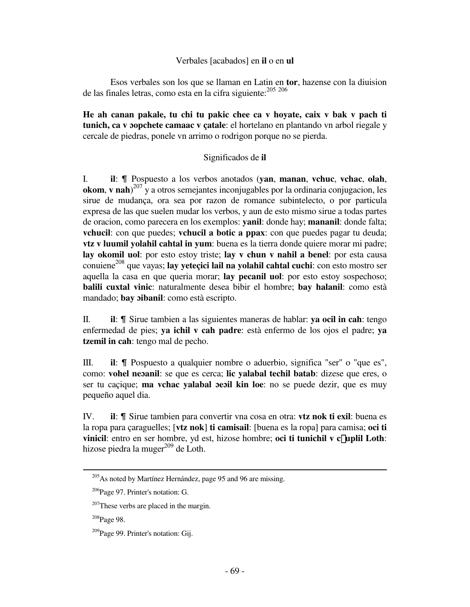# Verbales [acabados] en **il** o en **ul**

 Esos verbales son los que se llaman en Latin en **tor**, hazense con la diuision de las finales letras, como esta en la cifra siguiente: <sup>205 206</sup>

**He ah canan pakale, tu chi tu pakic chee ca v hoyate, caix v bak v pach ti tunich, ca v ɔopchete camaac v çatale**: el hortelano en plantando vn arbol riegale y cercale de piedras, ponele vn arrimo o rodrigon porque no se pierda.

# Significados de **il**

I. **il**: & Pospuesto a los verbos anotados (**yan**, **manan**, **vchuc**, **vchac**, **olah**, **okom**, **v nah**) <sup>207</sup> y a otros semejantes inconjugables por la ordinaria conjugacion, les sirue de mudança, ora sea por razon de romance subintelecto, o por particula expresa de las que suelen mudar los verbos, y aun de esto mismo sirue a todas partes de oracion, como parecera en los exemplos: **yanil**: donde hay; **mananil**: donde falta; **vchucil**: con que puedes; **vchucil a botic a ppax**: con que puedes pagar tu deuda; **vtz v luumil yolahil cahtal in yum**: buena es la tierra donde quiere morar mi padre; **lay okomil uol**: por esto estoy triste; **lay v chun v nahil a benel**: por esta causa conuiene<sup>208</sup> que vayas; lay yeteçici lail na yolahil cahtal cuchi: con esto mostro ser aquella la casa en que queria morar; **lay pecanil uol**: por esto estoy sospechoso; **balili cuxtal vinic**: naturalmente desea bibir el hombre; **bay halanil**: como està mandado; **bay ɔibanil**: como està escripto.

II. **il**: & Sirue tambien a las siguientes maneras de hablar: **ya ocil in cah**: tengo enfermedad de pies; **ya ichil v cah padre**: està enfermo de los ojos el padre; **ya tzemil in cah**: tengo mal de pecho.

III. **il**: *I*l Pospuesto a qualquier nombre o aduerbio, significa "ser" o "que es", como: **vohel neɔanil**: se que es cerca; **lic yalabal techil batab**: dizese que eres, o ser tu caçique; **ma vchac yalabal ɔeɔil kin loe**: no se puede dezir, que es muy pequeño aquel dia.

IV. **il**:  $\parallel$  Sirue tambien para convertir vna cosa en otra: **vtz nok ti exil**: buena es la ropa para çaraguelles; [**vtz nok**] **ti camisail**: [buena es la ropa] para camisa; **oci ti vinicil**: entro en ser hombre, yd est, hizose hombre; oci ti tunichil v c£uplil Loth: hizose piedra la muger $^{209}$  de Loth.

<sup>208</sup>Page 98.

<sup>&</sup>lt;sup>205</sup>As noted by Martínez Hernández, page 95 and 96 are missing.

<sup>206</sup>Page 97. Printer's notation: G.

 $207$ These verbs are placed in the margin.

<sup>&</sup>lt;sup>209</sup>Page 99. Printer's notation: Gij.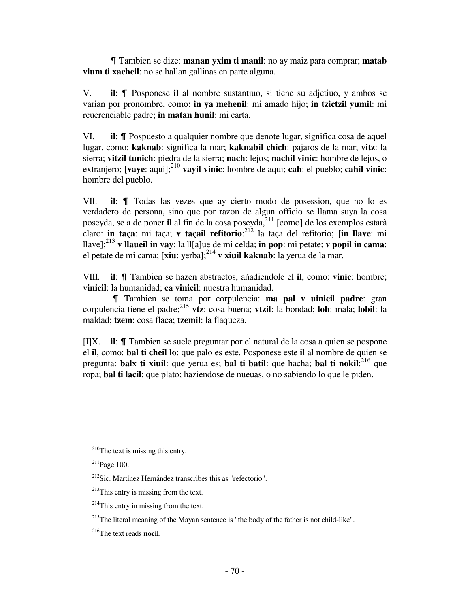& Tambien se dize: **manan yxim ti manil**: no ay maiz para comprar; **matab vlum ti xacheil**: no se hallan gallinas en parte alguna.

V. **il**: & Posponese **il** al nombre sustantiuo, si tiene su adjetiuo, y ambos se varian por pronombre, como: **in ya mehenil**: mi amado hijo; **in tzictzil yumil**: mi reuerenciable padre; **in matan hunil**: mi carta.

VI. **il**:  $\parallel$  Pospuesto a qualquier nombre que denote lugar, significa cosa de aquel lugar, como: **kaknab**: significa la mar; **kaknabil cħicħ**: pajaros de la mar; **vitz**: la sierra; **vitzil tunich**: piedra de la sierra; **nach**: lejos; **nachil vinic**: hombre de lejos, o extranjero; **[vaye**: aqui];<sup>210</sup> **vayil vinic**: hombre de aqui; **cah**: el pueblo; **cahil vinic**: hombre del pueblo.

VII. **il**:  $\parallel$  Todas las vezes que ay cierto modo de posession, que no lo es verdadero de persona, sino que por razon de algun officio se llama suya la cosa poseyda, se a de poner il al fin de la cosa poseyda, <sup>211</sup> [como] de los exemplos estarà claro: **in taça**: mi taça; **v taçail refitorio**: <sup>212</sup> la taça del refitorio; [**in llave**: mi llave];<sup>213</sup> **v llaueil in vay**: la ll[a]ue de mi celda; **in pop**: mi petate; **v popil in cama**: el petate de mi cama; [**xiu**: yerba];<sup>214</sup> **v xiuil kaknab**: la yerua de la mar.

VIII. **il**:  $\parallel$  Tambien se hazen abstractos, añadiendole el **il**, como: **vinic**: hombre; **vinicil**: la humanidad; **ca vinicil**: nuestra humanidad.

 & Tambien se toma por corpulencia: **ma pal v uinicil padre**: gran corpulencia tiene el padre;<sup>215</sup> **vtz**: cosa buena; **vtzil**: la bondad; **lob**: mala; **lobil**: la maldad; **tzem**: cosa flaca; **tzemil**: la flaqueza.

[I]X. **il**: & Tambien se suele preguntar por el natural de la cosa a quien se pospone el **il**, como: **bal ti cheil lo**: que palo es este. Posponese este **il** al nombre de quien se pregunta: **balx ti xiuil**: que yerua es; **bal ti batil**: que hacha; **bal ti nokil**: 216 que ropa; **bal ti lacil**: que plato; haziendose de nueuas, o no sabiendo lo que le piden.

 $210$ The text is missing this entry.

<sup>211</sup>Page 100.

<sup>212</sup>Sic. Martínez Hernández transcribes this as "refectorio".

 $213$ This entry is missing from the text.

 $^{214}$ This entry in missing from the text.

<sup>&</sup>lt;sup>215</sup>The literal meaning of the Mayan sentence is "the body of the father is not child-like".

<sup>216</sup>The text reads **nocil**.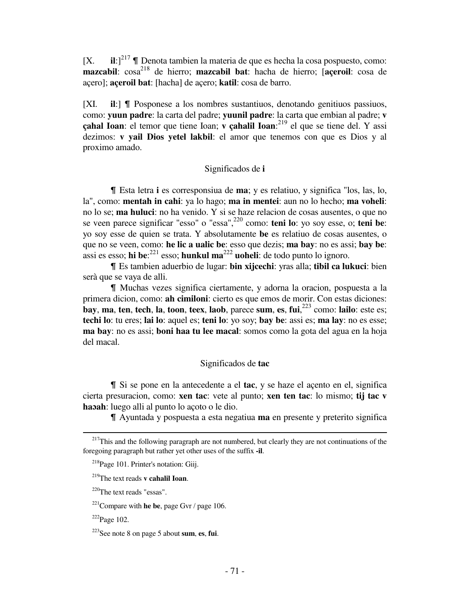$[X.$  **ii**: $]^{217}$   $\P$  Denota tambien la materia de que es hecha la cosa pospuesto, como: **mazcabil**:  $\cos^{218}$  de hierro; **mazcabil bat**: hacha de hierro; **[aceroil**: cosa de açero]; **açeroil bat**: [hacha] de açero; **katil**: cosa de barro.

[XI. **il**:]  $\blacksquare$  Posponese a los nombres sustantiuos, denotando genitiuos passiuos, como: **yuun padre**: la carta del padre; **yuunil padre**: la carta que embian al padre; **v çahal Ioan**: el temor que tiene Ioan; **v çahalil Ioan**: <sup>219</sup> el que se tiene del. Y assi dezimos: **v yail Dios yetel lakbil**: el amor que tenemos con que es Dios y al proximo amado.

# Significados de **i**

& Esta letra **i** es corresponsiua de **ma**; y es relatiuo, y significa "los, las, lo, la", como: **mentah in cahi**: ya lo hago; **ma in mentei**: aun no lo hecho; **ma voheli**: no lo se; **ma huluci**: no ha venido. Y si se haze relacion de cosas ausentes, o que no se veen parece significar "esso" o "essa",<sup>220</sup> como: **teni lo**: yo soy esse, o; **teni be**: yo soy esse de quien se trata. Y absolutamente **be** es relatiuo de cosas ausentes, o que no se veen, como: **he lic a ualic be**: esso que dezis; **ma bay**: no es assi; **bay be**: assi es esso; **hi be**:<sup>221</sup> esso; **hunkul ma**<sup>222</sup> **uoheli**: de todo punto lo ignoro.

& Es tambien aduerbio de lugar: **bin xijcechi**: yras alla; **tibil ca lukuci**: bien serà que se vaya de alli.

& Muchas vezes significa ciertamente, y adorna la oracion, pospuesta a la primera dicion, como: **ah cimiloni**: cierto es que emos de morir. Con estas diciones: **bay**, **ma**, **ten**, **tech**, **la**, **toon**, **teex**, **laob**, parece **sum**, **es**, **fui**, <sup>223</sup> como: **lailo**: este es; **techi lo**: tu eres; **lai lo**: aquel es; **teni lo**: yo soy; **bay be**: assi es; **ma lay**: no es esse; **ma bay**: no es assi; **boni haa tu lee macal**: somos como la gota del agua en la hoja del macal.

## Significados de **tac**

& Si se pone en la antecedente a el **tac**, y se haze el açento en el, significa cierta presuracion, como: **xen tac**: vete al punto; **xen ten tac**: lo mismo; **tij tac v haɔah**: luego alli al punto lo açoto o le dio.

& Ayuntada y pospuesta a esta negatiua **ma** en presente y preterito significa

<sup>220</sup>The text reads "essas".

 $\overline{\phantom{0}}$ 

 $2^{17}$ This and the following paragraph are not numbered, but clearly they are not continuations of the foregoing paragraph but rather yet other uses of the suffix **-il**.

<sup>218</sup>Page 101. Printer's notation: Giij.

<sup>219</sup>The text reads **v cahalil Ioan**.

<sup>221</sup>Compare with **he be**, page Gvr / page 106.

 $222$ Page 102.

<sup>223</sup>See note 8 on page 5 about **sum**, **es**, **fui**.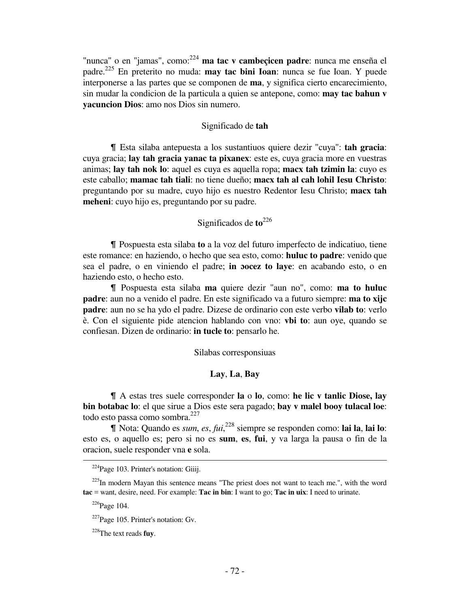"nunca" o en "jamas", como:<sup>224</sup> **ma tac v cambeçicen padre**: nunca me enseña el padre.<sup>225</sup> En preterito no muda: **may tac bini Ioan**: nunca se fue Ioan. Y puede interponerse a las partes que se componen de **ma**, y significa cierto encarecimiento, sin mudar la condicion de la particula a quien se antepone, como: **may tac bahun v yacuncion Dios**: amo nos Dios sin numero.

## Significado de **tah**

& Esta silaba antepuesta a los sustantiuos quiere dezir "cuya": **tah gracia**: cuya gracia; **lay tah gracia yanac ta pixanex**: este es, cuya gracia more en vuestras animas; **lay tah nok lo**: aquel es cuya es aquella ropa; **macx tah tzimin la**: cuyo es este caballo; **mamac tah tiali**: no tiene dueño; **macx tah al cah lohil Iesu Christo**: preguntando por su madre, cuyo hijo es nuestro Redentor Iesu Christo; **macx tah meheni**: cuyo hijo es, preguntando por su padre.

## Significados de **to**<sup>226</sup>

& Pospuesta esta silaba **to** a la voz del futuro imperfecto de indicatiuo, tiene este romance: en haziendo, o hecho que sea esto, como: **huluc to padre**: venido que sea el padre, o en viniendo el padre; **in ɔocez to laye**: en acabando esto, o en haziendo esto, o hecho esto.

& Pospuesta esta silaba **ma** quiere dezir "aun no", como: **ma to huluc padre**: aun no a venido el padre. En este significado va a futuro siempre: **ma to xijc padre**: aun no se ha ydo el padre. Dizese de ordinario con este verbo **vilab to**: verlo è. Con el siguiente pide atencion hablando con vno: **vbi to**: aun oye, quando se confiesan. Dizen de ordinario: **in tucle to**: pensarlo he.

## Silabas corresponsiuas

#### **Lay**, **La**, **Bay**

& A estas tres suele corresponder **la** o **lo**, como: **he lic v tanlic Diose, lay bin botabac lo**: el que sirue a Dios este sera pagado; **bay v malel booy tulacal loe**: todo esto passa como sombra.<sup>227</sup>

& Nota: Quando es *sum*, *es*, *fui*, <sup>228</sup> siempre se responden como: **lai la**, **lai lo**: esto es, o aquello es; pero si no es **sum**, **es**, **fui**, y va larga la pausa o fin de la oracion, suele responder vna **e** sola.  $\overline{\phantom{0}}$ 

 $224P$ age 103. Printer's notation: Giiij.

 $225$ In modern Mayan this sentence means "The priest does not want to teach me.", with the word **tac** = want, desire, need. For example: **Tac in bin**: I want to go; **Tac in uix**: I need to urinate.

 $226$ Page 104.

 $227$ Page 105. Printer's notation: Gv.

<sup>228</sup>The text reads **fuy**.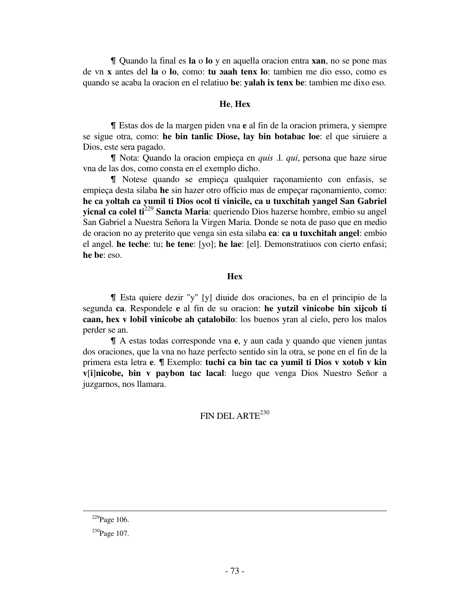& Quando la final es **la** o **lo** y en aquella oracion entra **xan**, no se pone mas de vn **x** antes del **la** o **lo**, como: **tu ɔaah tenx lo**: tambien me dio esso, como es quando se acaba la oracion en el relatiuo **be**: **yalah ix tenx be**: tambien me dixo eso.

## **He**, **Hex**

& Estas dos de la margen piden vna **e** al fin de la oracion primera, y siempre se sigue otra, como: **he bin tanlic Diose, lay bin botabac loe**: el que siruiere a Dios, este sera pagado.

& Nota: Quando la oracion empieça en *quis* .l. *qui*, persona que haze sirue vna de las dos, como consta en el exemplo dicho.

& Notese quando se empieça qualquier raçonamiento con enfasis, se empieça desta silaba **he** sin hazer otro officio mas de empeçar raçonamiento, como: **he ca yoltah ca yumil ti Dios ocol ti vinicile, ca u tuxchitah yangel San Gabriel yicnal ca colel ti**<sup>229</sup> **Sancta Maria**: queriendo Dios hazerse hombre, embio su angel San Gabriel a Nuestra Señora la Virgen Maria. Donde se nota de paso que en medio de oracion no ay preterito que venga sin esta silaba **ca**: **ca u tuxchitah angel**: embio el angel. **he teche**: tu; **he tene**: [yo]; **he lae**: [el]. Demonstratiuos con cierto enfasi; **he be**: eso.

### *<u>Hexandre</u>*

& Esta quiere dezir "y" [y] diuide dos oraciones, ba en el principio de la segunda **ca**. Respondele **e** al fin de su oracion: **he yutzil vinicobe bin xijcob ti caan, hex v lobil vinicobe ah çatalobilo**: los buenos yran al cielo, pero los malos perder se an.

& A estas todas corresponde vna **e**, y aun cada y quando que vienen juntas dos oraciones, que la vna no haze perfecto sentido sin la otra, se pone en el fin de la primera esta letra **e**. *I* Exemplo: **tuchi ca bin tac ca yumil ti Dios v xotob v kin v**[**i**]**nicobe, bin v paybon tac lacal**: luego que venga Dios Nuestro Señor a juzgarnos, nos llamara.

# FIN DEL ARTE<sup>230</sup>

 $\overline{\phantom{0}}$ 

 $229$ Page 106.

<sup>&</sup>lt;sup>230</sup>Page 107.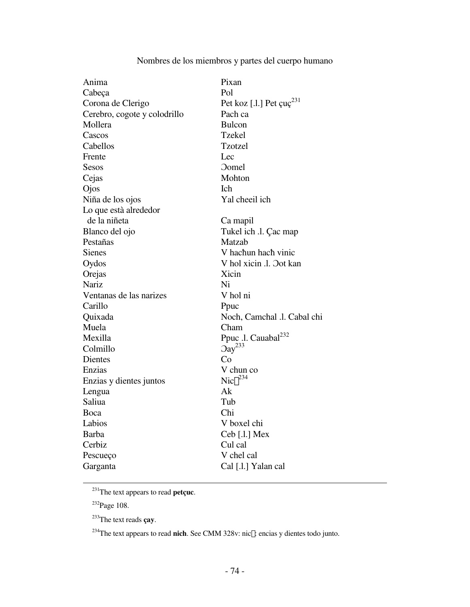# Nombres de los miembros y partes del cuerpo humano

| Anima                        | Pixan                                |
|------------------------------|--------------------------------------|
| Cabeça                       | Pol                                  |
| Corona de Clerigo            | Pet koz [.l.] Pet $\text{cuc}^{231}$ |
| Cerebro, cogote y colodrillo | Pach ca                              |
| Mollera                      | <b>Bulcon</b>                        |
| Cascos                       | <b>Tzekel</b>                        |
| Cabellos                     | Tzotzel                              |
| Frente                       | Lec                                  |
| Sesos                        | <b>Domel</b>                         |
| Cejas                        | Mohton                               |
| Ojos                         | <b>Ich</b>                           |
| Niña de los ojos             | Yal cheeil ich                       |
| Lo que està alrededor        |                                      |
| de la niñeta                 | Ca mapil                             |
| Blanco del ojo               | Tukel ich .l. Çac map                |
| Pestañas                     | Matzab                               |
| <b>Sienes</b>                | V hachun hach vinic                  |
| Oydos                        | V hol xicin .l. Oot kan              |
| Orejas                       | Xicin                                |
| Nariz                        | Ni                                   |
| Ventanas de las narizes      | V hol ni                             |
| Carillo                      | Ppuc                                 |
| Quixada                      | Noch, Camchal .l. Cabal chi          |
| Muela                        | Cham                                 |
| Mexilla                      | Ppuc .l. Cauabal <sup>232</sup>      |
| Colmillo                     | $\text{Oay}^{233}$                   |
| Dientes                      | Co                                   |
| Enzias                       | V chun co                            |
| Enzias y dientes juntos      | $Nic\mathbf{\hat{E}}^{234}$          |
| Lengua                       | Ak                                   |
| Saliua                       | Tub                                  |
| Boca                         | Chi                                  |
| Labios                       | V boxel chi                          |
| <b>Barba</b>                 | Ceb [.l.] Mex                        |
| Cerbiz                       | Cul cal                              |
| Pescueço                     | V chel cal                           |
| Garganta                     | Cal [.l.] Yalan cal                  |
|                              |                                      |

 $\overline{^{231}}$ The text appears to read **petçuc**.

<sup>232</sup>Page 108.

<sup>233</sup>The text reads **çay**.

<sup>234</sup>The text appears to read nich. See CMM 328v: nic£: encias y dientes todo junto.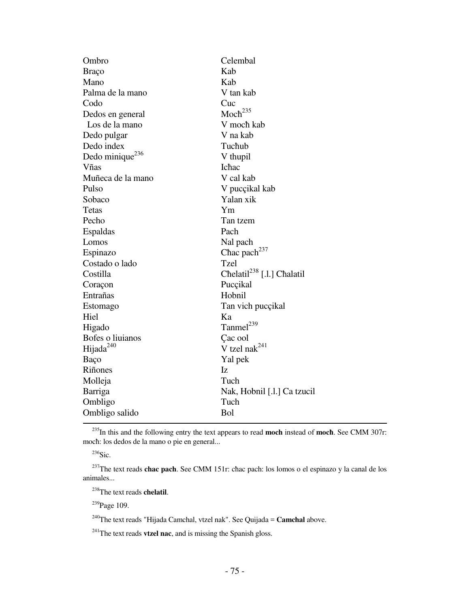| Ombro                       | Celembal                               |
|-----------------------------|----------------------------------------|
| Braço                       | Kab                                    |
| Mano                        | Kab                                    |
| Palma de la mano            | V tan kab                              |
| Codo                        | Cuc                                    |
| Dedos en general            | $Moch^{235}$                           |
| Los de la mano              | V moch kab                             |
| Dedo pulgar                 | V na kab                               |
| Dedo index                  | Tuchub                                 |
| Dedo minique <sup>236</sup> | V thupil                               |
| Vñas                        | Ichac                                  |
| Muñeca de la mano           | V cal kab                              |
| Pulso                       | V pucçikal kab                         |
| Sobaco                      | Yalan xik                              |
| <b>Tetas</b>                | Ym                                     |
| Pecho                       | Tan tzem                               |
| Espaldas                    | Pach                                   |
| Lomos                       | Nal pach                               |
| Espinazo                    | Chac pach <sup>237</sup>               |
| Costado o lado              | Tzel                                   |
| Costilla                    | Chelatil <sup>238</sup> [.l.] Chalatil |
| Coraçon                     | Puccikal                               |
| Entrañas                    | Hobnil                                 |
| Estomago                    | Tan vich pucçikal                      |
| Hiel                        | Ka                                     |
| Higado                      | Tanmel <sup>239</sup>                  |
| Bofes o liuianos            | Çac ool                                |
| Hijada <sup>240</sup>       | V tzel na $k^{241}$                    |
| Baço                        | Yal pek                                |
| Riñones                     | Iz                                     |
| Molleja                     | Tuch                                   |
| Barriga                     | Nak, Hobnil [.l.] Ca tzucil            |
| Ombligo                     | Tuch                                   |
| Ombligo salido              | Bol                                    |

<sup>235</sup>In this and the following entry the text appears to read **moch** instead of **mocħ**. See CMM 307r: mocħ: los dedos de la mano o pie en general...

 $236$ Sic.

<sup>237</sup>The text reads **chac pach**. See CMM 151r: chac pach: los lomos o el espinazo y la canal de los animales...

<sup>238</sup>The text reads **chelatil**.

<sup>239</sup>Page 109.

<sup>240</sup>The text reads "Hijada Camchal, vtzel nak". See Quijada = **Camchal** above.

<sup>241</sup>The text reads **vtzel nac**, and is missing the Spanish gloss.